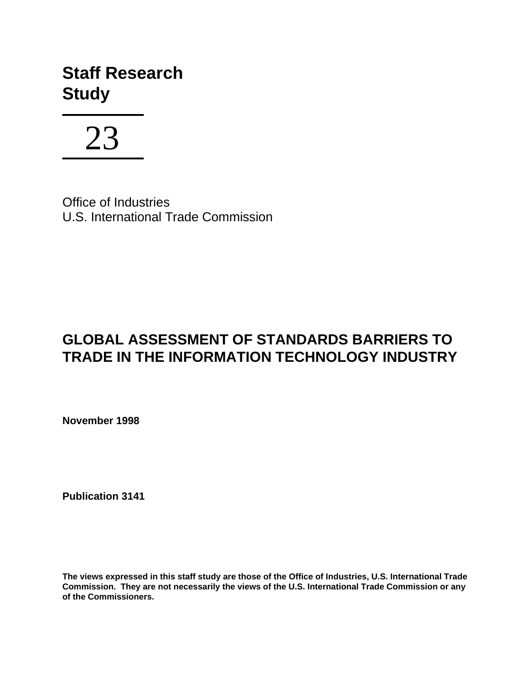# **Staff Research Study**



Office of Industries U.S. International Trade Commission

## **GLOBAL ASSESSMENT OF STANDARDS BARRIERS TO TRADE IN THE INFORMATION TECHNOLOGY INDUSTRY**

**November 1998**

**Publication 3141**

**The views expressed in this staff study are those of the Office of Industries, U.S. International Trade Commission. They are not necessarily the views of the U.S. International Trade Commission or any of the Commissioners.**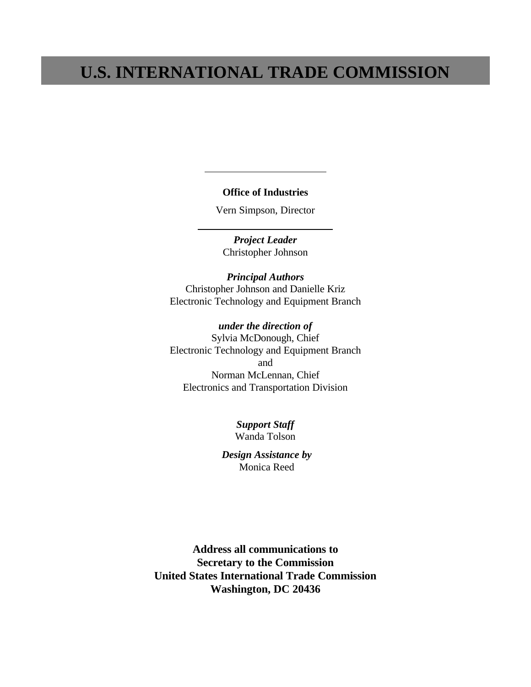## **U.S. INTERNATIONAL TRADE COMMISSION**

#### **Office of Industries**

l

 $\overline{a}$ 

Vern Simpson, Director

*Project Leader* Christopher Johnson

*Principal Authors* Christopher Johnson and Danielle Kriz Electronic Technology and Equipment Branch

*under the direction of* Sylvia McDonough, Chief Electronic Technology and Equipment Branch and Norman McLennan, Chief Electronics and Transportation Division

> *Support Staff* Wanda Tolson

 *Design Assistance by* Monica Reed

**Address all communications to Secretary to the Commission United States International Trade Commission Washington, DC 20436**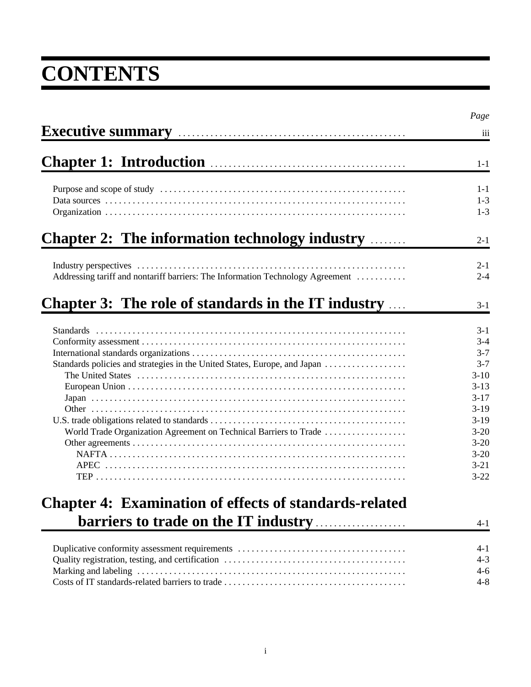# **CONTENTS**

|                                                                                | Page     |
|--------------------------------------------------------------------------------|----------|
| Executive summary manual contract to the summary                               | iii      |
| Chapter 1: Introduction <b>Chapter 1: Introduction</b>                         | $1 - 1$  |
|                                                                                | $1 - 1$  |
|                                                                                | $1 - 3$  |
|                                                                                | $1-3$    |
| <b>Chapter 2: The information technology industry </b>                         | $2 - 1$  |
|                                                                                | $2 - 1$  |
| Addressing tariff and nontariff barriers: The Information Technology Agreement | $2 - 4$  |
| <b>Chapter 3: The role of standards in the IT industry</b>                     | $3 - 1$  |
|                                                                                | $3 - 1$  |
|                                                                                | $3 - 4$  |
|                                                                                | $3 - 7$  |
| Standards policies and strategies in the United States, Europe, and Japan      | $3 - 7$  |
|                                                                                | $3-10$   |
|                                                                                | $3 - 13$ |
|                                                                                | $3 - 17$ |
|                                                                                | $3-19$   |
|                                                                                | $3-19$   |
| World Trade Organization Agreement on Technical Barriers to Trade              | $3 - 20$ |
|                                                                                | $3 - 20$ |
|                                                                                | $3 - 20$ |
|                                                                                | $3 - 21$ |
|                                                                                | $3 - 22$ |
| <b>Chapter 4: Examination of effects of standards-related</b>                  |          |
|                                                                                | $4 - 1$  |
|                                                                                | 4-1      |
|                                                                                | $4 - 3$  |
|                                                                                | $4 - 6$  |
|                                                                                | $4 - 8$  |
|                                                                                |          |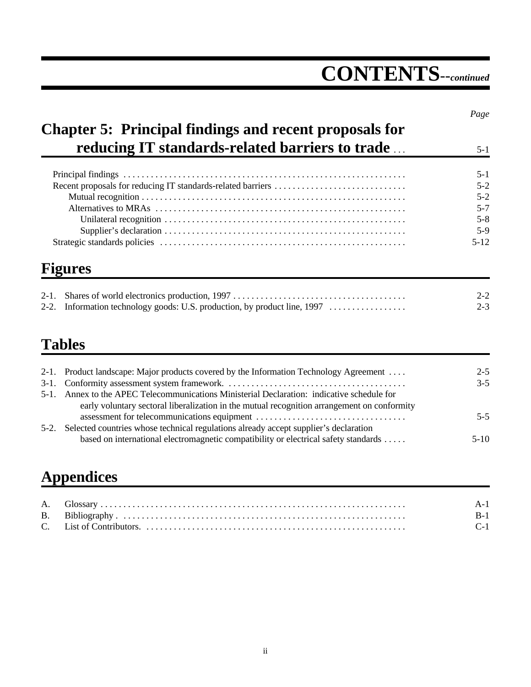# **CONTENTS***--continued*

|                                                               | Page     |
|---------------------------------------------------------------|----------|
| <b>Chapter 5: Principal findings and recent proposals for</b> |          |
| <b>reducing IT standards-related barriers to trade</b>        | $5 - 1$  |
|                                                               | $5 - 1$  |
|                                                               | $5-2$    |
|                                                               | $5-2$    |
|                                                               | $5 - 7$  |
|                                                               | $5 - 8$  |
|                                                               | $5-9$    |
|                                                               | $5 - 12$ |
| <b>Figures</b>                                                |          |
| $2 - 1$ .                                                     | $2 - 2$  |
|                                                               | $2 - 3$  |

# **Tables**

| 2-1. Product landscape: Major products covered by the Information Technology Agreement      | $2 - 5$ |
|---------------------------------------------------------------------------------------------|---------|
|                                                                                             | $3 - 5$ |
| 5-1. Annex to the APEC Telecommunications Ministerial Declaration: indicative schedule for  |         |
| early voluntary sectoral liberalization in the mutual recognition arrangement on conformity |         |
|                                                                                             | $5 - 5$ |
| 5-2. Selected countries whose technical regulations already accept supplier's declaration   |         |
| based on international electromagnetic compatibility or electrical safety standards         | $5-10$  |

# **Appendices**

|  | $C-1$ |
|--|-------|
|  |       |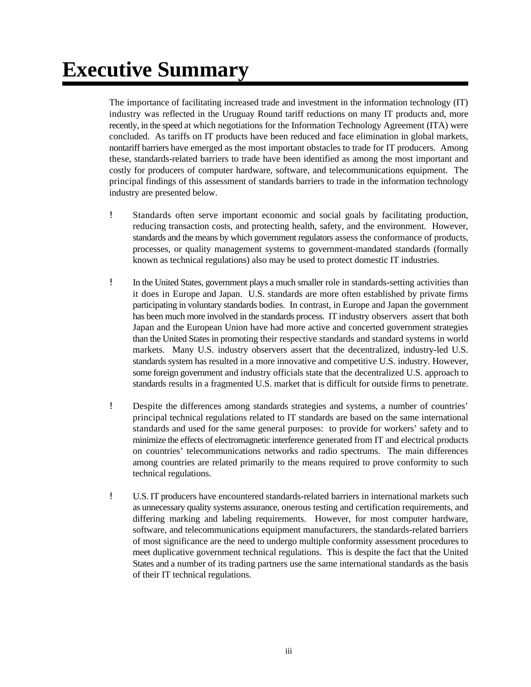# **Executive Summary**

The importance of facilitating increased trade and investment in the information technology (IT) industry was reflected in the Uruguay Round tariff reductions on many IT products and, more recently, in the speed at which negotiations for the Information Technology Agreement (ITA) were concluded. As tariffs on IT products have been reduced and face elimination in global markets, nontariff barriers have emerged as the most important obstacles to trade for IT producers. Among these, standards-related barriers to trade have been identified as among the most important and costly for producers of computer hardware, software, and telecommunications equipment. The principal findings of this assessment of standards barriers to trade in the information technology industry are presented below.

- ! Standards often serve important economic and social goals by facilitating production, reducing transaction costs, and protecting health, safety, and the environment. However, standards and the means by which government regulators assess the conformance of products, processes, or quality management systems to government-mandated standards (formally known as technical regulations) also may be used to protect domestic IT industries.
- ! In the United States, government plays a much smaller role in standards-setting activities than it does in Europe and Japan. U.S. standards are more often established by private firms participating in voluntary standards bodies. In contrast, in Europe and Japan the government has been much more involved in the standards process. IT industry observers assert that both Japan and the European Union have had more active and concerted government strategies than the United States in promoting their respective standards and standard systems in world markets. Many U.S. industry observers assert that the decentralized, industry-led U.S. standards system has resulted in a more innovative and competitive U.S. industry. However, some foreign government and industry officials state that the decentralized U.S. approach to standards results in a fragmented U.S. market that is difficult for outside firms to penetrate.
- ! Despite the differences among standards strategies and systems, a number of countries' principal technical regulations related to IT standards are based on the same international standards and used for the same general purposes: to provide for workers' safety and to minimize the effects of electromagnetic interference generated from IT and electrical products on countries' telecommunications networks and radio spectrums. The main differences among countries are related primarily to the means required to prove conformity to such technical regulations.
- ! U.S. IT producers have encountered standards-related barriers in international markets such as unnecessary quality systems assurance, onerous testing and certification requirements, and differing marking and labeling requirements. However, for most computer hardware, software, and telecommunications equipment manufacturers, the standards-related barriers of most significance are the need to undergo multiple conformity assessment procedures to meet duplicative government technical regulations. This is despite the fact that the United States and a number of its trading partners use the same international standards as the basis of their IT technical regulations.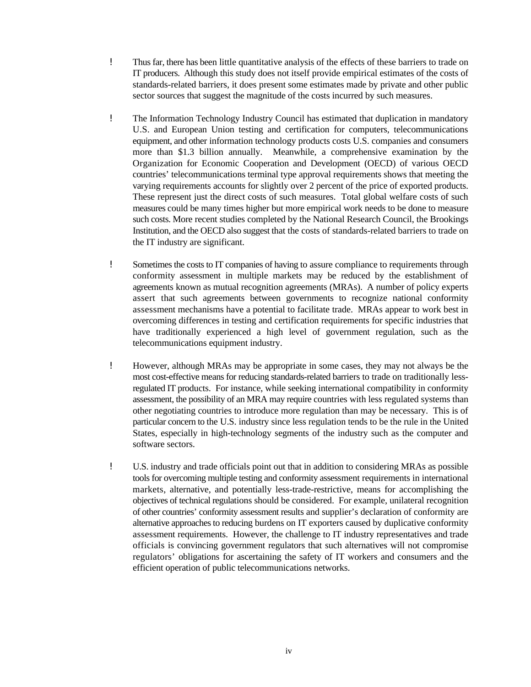- ! Thus far, there has been little quantitative analysis of the effects of these barriers to trade on IT producers. Although this study does not itself provide empirical estimates of the costs of standards-related barriers, it does present some estimates made by private and other public sector sources that suggest the magnitude of the costs incurred by such measures.
- ! The Information Technology Industry Council has estimated that duplication in mandatory U.S. and European Union testing and certification for computers, telecommunications equipment, and other information technology products costs U.S. companies and consumers more than \$1.3 billion annually. Meanwhile, a comprehensive examination by the Organization for Economic Cooperation and Development (OECD) of various OECD countries' telecommunications terminal type approval requirements shows that meeting the varying requirements accounts for slightly over 2 percent of the price of exported products. These represent just the direct costs of such measures. Total global welfare costs of such measures could be many times higher but more empirical work needs to be done to measure such costs. More recent studies completed by the National Research Council, the Brookings Institution, and the OECD also suggest that the costs of standards-related barriers to trade on the IT industry are significant.
- ! Sometimes the costs to IT companies of having to assure compliance to requirements through conformity assessment in multiple markets may be reduced by the establishment of agreements known as mutual recognition agreements (MRAs). A number of policy experts assert that such agreements between governments to recognize national conformity assessment mechanisms have a potential to facilitate trade. MRAs appear to work best in overcoming differences in testing and certification requirements for specific industries that have traditionally experienced a high level of government regulation, such as the telecommunications equipment industry.
- ! However, although MRAs may be appropriate in some cases, they may not always be the most cost-effective means for reducing standards-related barriers to trade on traditionally lessregulated IT products. For instance, while seeking international compatibility in conformity assessment, the possibility of an MRA may require countries with less regulated systems than other negotiating countries to introduce more regulation than may be necessary. This is of particular concern to the U.S. industry since less regulation tends to be the rule in the United States, especially in high-technology segments of the industry such as the computer and software sectors.
- ! U.S. industry and trade officials point out that in addition to considering MRAs as possible tools for overcoming multiple testing and conformity assessment requirements in international markets, alternative, and potentially less-trade-restrictive, means for accomplishing the objectives of technical regulations should be considered. For example, unilateral recognition of other countries' conformity assessment results and supplier's declaration of conformity are alternative approaches to reducing burdens on IT exporters caused by duplicative conformity assessment requirements. However, the challenge to IT industry representatives and trade officials is convincing government regulators that such alternatives will not compromise regulators' obligations for ascertaining the safety of IT workers and consumers and the efficient operation of public telecommunications networks.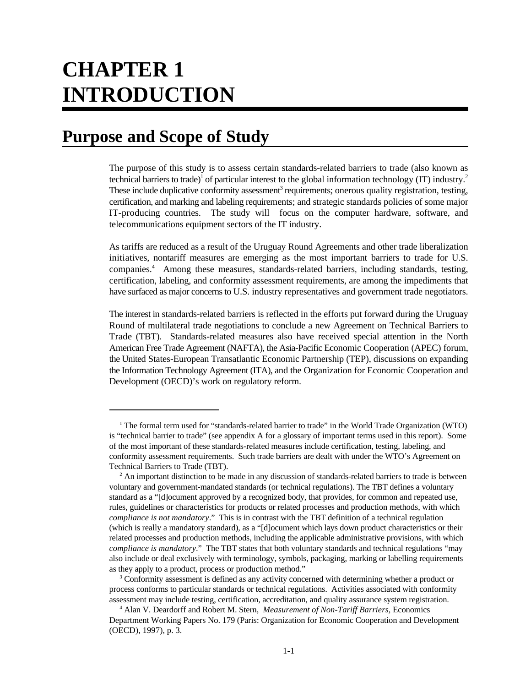# **CHAPTER 1 INTRODUCTION**

## **Purpose and Scope of Study**

The purpose of this study is to assess certain standards-related barriers to trade (also known as technical barriers to trade)<sup>1</sup> of particular interest to the global information technology (IT) industry.<sup>2</sup> These include duplicative conformity assessment<sup>3</sup> requirements; onerous quality registration, testing, certification, and marking and labeling requirements; and strategic standards policies of some major IT-producing countries. The study will focus on the computer hardware, software, and telecommunications equipment sectors of the IT industry.

As tariffs are reduced as a result of the Uruguay Round Agreements and other trade liberalization initiatives, nontariff measures are emerging as the most important barriers to trade for U.S. companies.<sup>4</sup> Among these measures, standards-related barriers, including standards, testing, certification, labeling, and conformity assessment requirements, are among the impediments that have surfaced as major concerns to U.S. industry representatives and government trade negotiators.

The interest in standards-related barriers is reflected in the efforts put forward during the Uruguay Round of multilateral trade negotiations to conclude a new Agreement on Technical Barriers to Trade (TBT). Standards-related measures also have received special attention in the North American Free Trade Agreement (NAFTA), the Asia-Pacific Economic Cooperation (APEC) forum, the United States-European Transatlantic Economic Partnership (TEP), discussions on expanding the Information Technology Agreement (ITA), and the Organization for Economic Cooperation and Development (OECD)'s work on regulatory reform.

<sup>&</sup>lt;sup>1</sup> The formal term used for "standards-related barrier to trade" in the World Trade Organization (WTO) is "technical barrier to trade" (see appendix A for a glossary of important terms used in this report). Some of the most important of these standards-related measures include certification, testing, labeling, and conformity assessment requirements. Such trade barriers are dealt with under the WTO's Agreement on Technical Barriers to Trade (TBT).

 $<sup>2</sup>$  An important distinction to be made in any discussion of standards-related barriers to trade is between</sup> voluntary and government-mandated standards (or technical regulations). The TBT defines a voluntary standard as a "[d]ocument approved by a recognized body, that provides, for common and repeated use, rules, guidelines or characteristics for products or related processes and production methods, with which *compliance is not mandatory*." This is in contrast with the TBT definition of a technical regulation (which is really a mandatory standard), as a "[d]ocument which lays down product characteristics or their related processes and production methods, including the applicable administrative provisions, with which *compliance is mandatory*." The TBT states that both voluntary standards and technical regulations "may also include or deal exclusively with terminology, symbols, packaging, marking or labelling requirements as they apply to a product, process or production method."

<sup>&</sup>lt;sup>3</sup> Conformity assessment is defined as any activity concerned with determining whether a product or process conforms to particular standards or technical regulations. Activities associated with conformity assessment may include testing, certification, accreditation, and quality assurance system registration.

Alan V. Deardorff and Robert M. Stern, *Measurement of Non-Tariff Barriers,* Economics <sup>4</sup> Department Working Papers No. 179 (Paris: Organization for Economic Cooperation and Development (OECD), 1997), p. 3.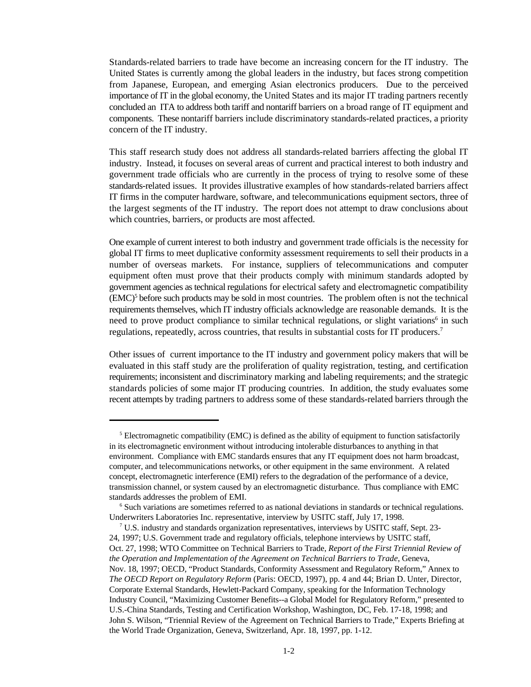Standards-related barriers to trade have become an increasing concern for the IT industry. The United States is currently among the global leaders in the industry, but faces strong competition from Japanese, European, and emerging Asian electronics producers. Due to the perceived importance of IT in the global economy, the United States and its major IT trading partners recently concluded an ITA to address both tariff and nontariff barriers on a broad range of IT equipment and components. These nontariff barriers include discriminatory standards-related practices, a priority concern of the IT industry.

This staff research study does not address all standards-related barriers affecting the global IT industry. Instead, it focuses on several areas of current and practical interest to both industry and government trade officials who are currently in the process of trying to resolve some of these standards-related issues. It provides illustrative examples of how standards-related barriers affect IT firms in the computer hardware, software, and telecommunications equipment sectors, three of the largest segments of the IT industry. The report does not attempt to draw conclusions about which countries, barriers, or products are most affected.

One example of current interest to both industry and government trade officials is the necessity for global IT firms to meet duplicative conformity assessment requirements to sell their products in a number of overseas markets. For instance, suppliers of telecommunications and computer equipment often must prove that their products comply with minimum standards adopted by government agencies as technical regulations for electrical safety and electromagnetic compatibility  $(EMC)<sup>5</sup>$  before such products may be sold in most countries. The problem often is not the technical requirements themselves, which IT industry officials acknowledge are reasonable demands. It is the need to prove product compliance to similar technical regulations, or slight variations<sup>6</sup> in such regulations, repeatedly, across countries, that results in substantial costs for IT producers.<sup>7</sup>

Other issues of current importance to the IT industry and government policy makers that will be evaluated in this staff study are the proliferation of quality registration, testing, and certification requirements; inconsistent and discriminatory marking and labeling requirements; and the strategic standards policies of some major IT producing countries. In addition, the study evaluates some recent attempts by trading partners to address some of these standards-related barriers through the

<sup>&</sup>lt;sup>5</sup> Electromagnetic compatibility (EMC) is defined as the ability of equipment to function satisfactorily in its electromagnetic environment without introducing intolerable disturbances to anything in that environment. Compliance with EMC standards ensures that any IT equipment does not harm broadcast, computer, and telecommunications networks, or other equipment in the same environment. A related concept, electromagnetic interference (EMI) refers to the degradation of the performance of a device, transmission channel, or system caused by an electromagnetic disturbance. Thus compliance with EMC standards addresses the problem of EMI.

<sup>&</sup>lt;sup>6</sup> Such variations are sometimes referred to as national deviations in standards or technical regulations. Underwriters Laboratories Inc. representative, interview by USITC staff, July 17, 1998.

 $\mathrm{U.S.}$  industry and standards organization representatives, interviews by USITC staff, Sept. 23-24, 1997; U.S. Government trade and regulatory officials, telephone interviews by USITC staff, Oct. 27, 1998; WTO Committee on Technical Barriers to Trade, *Report of the First Triennial Review of the Operation and Implementation of the Agreement on Technical Barriers to Trade*, Geneva, Nov. 18, 1997; OECD, "Product Standards, Conformity Assessment and Regulatory Reform," Annex to *The OECD Report on Regulatory Reform* (Paris: OECD, 1997), pp. 4 and 44; Brian D. Unter, Director, Corporate External Standards, Hewlett-Packard Company, speaking for the Information Technology Industry Council, "Maximizing Customer Benefits--a Global Model for Regulatory Reform," presented to U.S.-China Standards, Testing and Certification Workshop, Washington, DC, Feb. 17-18, 1998; and John S. Wilson, "Triennial Review of the Agreement on Technical Barriers to Trade," Experts Briefing at the World Trade Organization, Geneva, Switzerland, Apr. 18, 1997, pp. 1-12.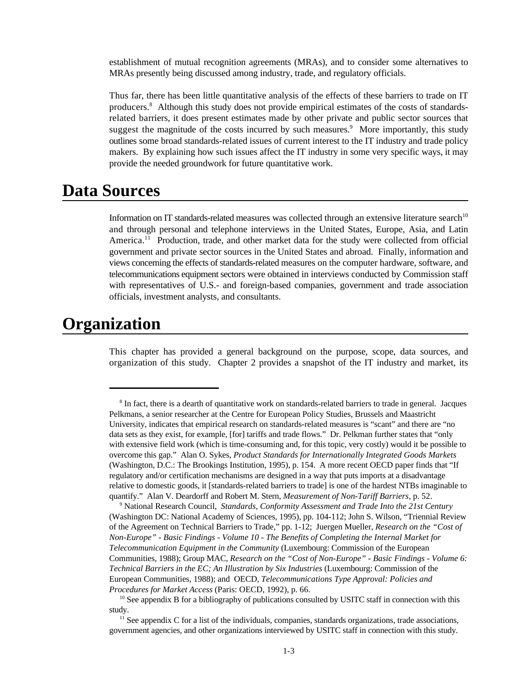establishment of mutual recognition agreements (MRAs), and to consider some alternatives to MRAs presently being discussed among industry, trade, and regulatory officials.

Thus far, there has been little quantitative analysis of the effects of these barriers to trade on IT producers.<sup>8</sup> Although this study does not provide empirical estimates of the costs of standardsrelated barriers, it does present estimates made by other private and public sector sources that suggest the magnitude of the costs incurred by such measures.<sup>9</sup> More importantly, this study outlines some broad standards-related issues of current interest to the IT industry and trade policy makers. By explaining how such issues affect the IT industry in some very specific ways, it may provide the needed groundwork for future quantitative work.

### **Data Sources**

Information on IT standards-related measures was collected through an extensive literature search<sup>10</sup> and through personal and telephone interviews in the United States, Europe, Asia, and Latin America.<sup>11</sup> Production, trade, and other market data for the study were collected from official government and private sector sources in the United States and abroad. Finally, information and views concerning the effects of standards-related measures on the computer hardware, software, and telecommunications equipment sectors were obtained in interviews conducted by Commission staff with representatives of U.S.- and foreign-based companies, government and trade association officials, investment analysts, and consultants.

### **Organization**

This chapter has provided a general background on the purpose, scope, data sources, and organization of this study. Chapter 2 provides a snapshot of the IT industry and market, its

<sup>&</sup>lt;sup>8</sup> In fact, there is a dearth of quantitative work on standards-related barriers to trade in general. Jacques Pelkmans, a senior researcher at the Centre for European Policy Studies, Brussels and Maastricht University, indicates that empirical research on standards-related measures is "scant" and there are "no data sets as they exist, for example, [for] tariffs and trade flows." Dr. Pelkman further states that "only with extensive field work (which is time-consuming and, for this topic, very costly) would it be possible to overcome this gap." Alan O. Sykes, *Product Standards for Internationally Integrated Goods Markets* (Washington, D.C.: The Brookings Institution, 1995), p. 154. A more recent OECD paper finds that "If regulatory and/or certification mechanisms are designed in a way that puts imports at a disadvantage relative to domestic goods, it [standards-related barriers to trade] is one of the hardest NTBs imaginable to quantify." Alan V. Deardorff and Robert M. Stern, *Measurement of Non-Tariff Barriers,* p. 52.

<sup>&</sup>lt;sup>9</sup> National Research Council, *Standards, Conformity Assessment and Trade Into the 21st Century* (Washington DC: National Academy of Sciences, 1995), pp. 104-112; John S. Wilson, "Triennial Review of the Agreement on Technical Barriers to Trade," pp. 1-12; Juergen Mueller, *Research on the "Cost of Non-Europe" - Basic Findings - Volume 10 - The Benefits of Completing the Internal Market for Telecommunication Equipment in the Community* (Luxembourg: Commission of the European Communities, 1988); Group MAC, *Research on the "Cost of Non-Europe" - Basic Findings - Volume 6: Technical Barriers in the EC; An Illustration by Six Industries* (Luxembourg: Commission of the European Communities, 1988); and OECD, *Telecommunications Type Approval: Policies and Procedures for Market Access* (Paris: OECD, 1992), p. 66.

 $^{10}$  See appendix B for a bibliography of publications consulted by USITC staff in connection with this study.

 $<sup>11</sup>$  See appendix C for a list of the individuals, companies, standards organizations, trade associations,</sup> government agencies, and other organizations interviewed by USITC staff in connection with this study.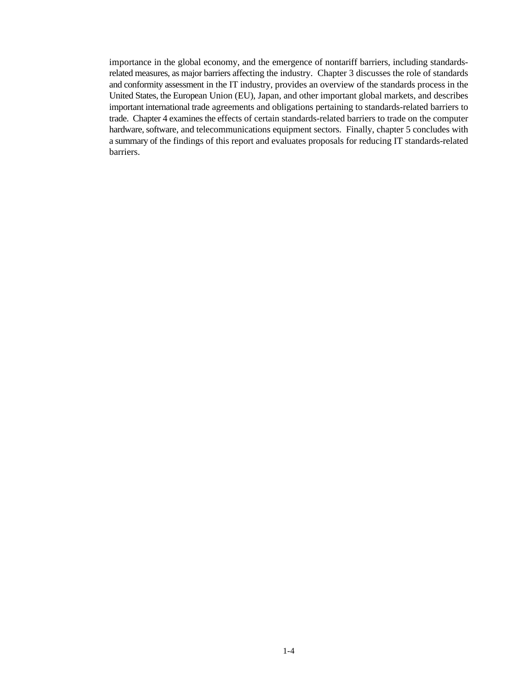importance in the global economy, and the emergence of nontariff barriers, including standardsrelated measures, as major barriers affecting the industry. Chapter 3 discusses the role of standards and conformity assessment in the IT industry, provides an overview of the standards process in the United States, the European Union (EU), Japan, and other important global markets, and describes important international trade agreements and obligations pertaining to standards-related barriers to trade. Chapter 4 examines the effects of certain standards-related barriers to trade on the computer hardware, software, and telecommunications equipment sectors. Finally, chapter 5 concludes with a summary of the findings of this report and evaluates proposals for reducing IT standards-related barriers.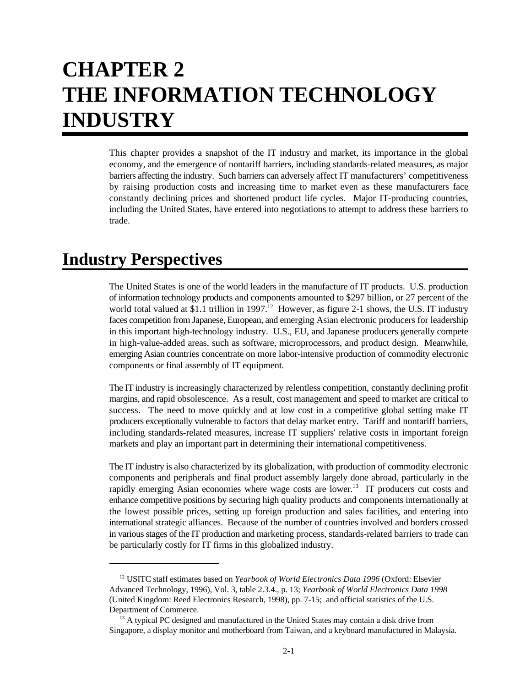# **CHAPTER 2 THE INFORMATION TECHNOLOGY INDUSTRY**

This chapter provides a snapshot of the IT industry and market, its importance in the global economy, and the emergence of nontariff barriers, including standards-related measures, as major barriers affecting the industry. Such barriers can adversely affect IT manufacturers' competitiveness by raising production costs and increasing time to market even as these manufacturers face constantly declining prices and shortened product life cycles. Major IT-producing countries, including the United States, have entered into negotiations to attempt to address these barriers to trade.

## **Industry Perspectives**

The United States is one of the world leaders in the manufacture of IT products. U.S. production of information technology products and components amounted to \$297 billion, or 27 percent of the world total valued at \$1.1 trillion in 1997.<sup>12</sup> However, as figure 2-1 shows, the U.S. IT industry faces competition from Japanese, European, and emerging Asian electronic producers for leadership in this important high-technology industry. U.S., EU, and Japanese producers generally compete in high-value-added areas, such as software, microprocessors, and product design. Meanwhile, emerging Asian countries concentrate on more labor-intensive production of commodity electronic components or final assembly of IT equipment.

The IT industry is increasingly characterized by relentless competition, constantly declining profit margins, and rapid obsolescence. As a result, cost management and speed to market are critical to success. The need to move quickly and at low cost in a competitive global setting make IT producers exceptionally vulnerable to factors that delay market entry. Tariff and nontariff barriers, including standards-related measures, increase IT suppliers' relative costs in important foreign markets and play an important part in determining their international competitiveness.

The IT industry is also characterized by its globalization, with production of commodity electronic components and peripherals and final product assembly largely done abroad, particularly in the rapidly emerging Asian economies where wage costs are lower.<sup>13</sup> IT producers cut costs and enhance competitive positions by securing high quality products and components internationally at the lowest possible prices, setting up foreign production and sales facilities, and entering into international strategic alliances. Because of the number of countries involved and borders crossed in various stages of the IT production and marketing process, standards-related barriers to trade can be particularly costly for IT firms in this globalized industry.

<sup>&</sup>lt;sup>12</sup> USITC staff estimates based on *Yearbook of World Electronics Data 1996* (Oxford: Elsevier Advanced Technology, 1996), Vol. 3, table 2.3.4., p. 13; *Yearbook of World Electronics Data 1998* (United Kingdom: Reed Electronics Research, 1998), pp. 7-15; and official statistics of the U.S. Department of Commerce.

 $13$  A typical PC designed and manufactured in the United States may contain a disk drive from Singapore, a display monitor and motherboard from Taiwan, and a keyboard manufactured in Malaysia.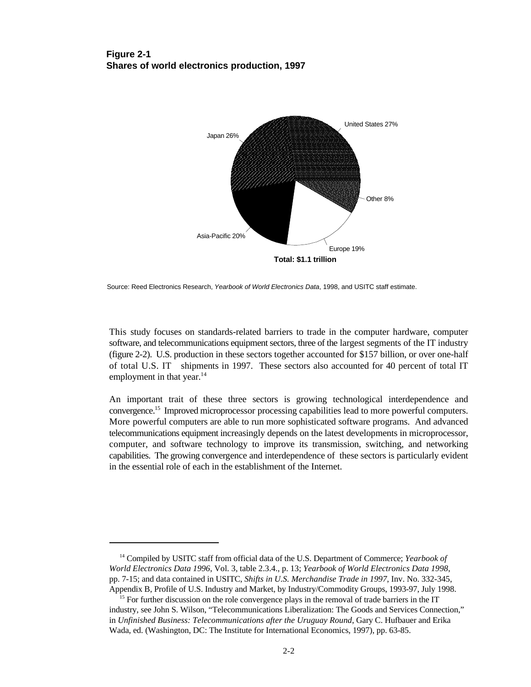#### **Figure 2-1 Shares of world electronics production, 1997**



Source: Reed Electronics Research, *Yearbook of World Electronics Data*, 1998, and USITC staff estimate.

This study focuses on standards-related barriers to trade in the computer hardware, computer software, and telecommunications equipment sectors, three of the largest segments of the IT industry (figure 2-2). U.S. production in these sectors together accounted for \$157 billion, or over one-half of total U.S. IT shipments in 1997. These sectors also accounted for 40 percent of total IT employment in that year.<sup>14</sup>

An important trait of these three sectors is growing technological interdependence and convergence.<sup>15</sup> Improved microprocessor processing capabilities lead to more powerful computers. More powerful computers are able to run more sophisticated software programs. And advanced telecommunications equipment increasingly depends on the latest developments in microprocessor, computer, and software technology to improve its transmission, switching, and networking capabilities. The growing convergence and interdependence of these sectors is particularly evident in the essential role of each in the establishment of the Internet.

<sup>&</sup>lt;sup>14</sup> Compiled by USITC staff from official data of the U.S. Department of Commerce; *Yearbook of World Electronics Data 1996*, Vol. 3, table 2.3.4., p. 13; *Yearbook of World Electronics Data 1998*, pp. 7-15; and data contained in USITC, *Shifts in U.S. Merchandise Trade in 1997*, Inv. No. 332-345, Appendix B, Profile of U.S. Industry and Market, by Industry/Commodity Groups, 1993-97, July 1998.

<sup>&</sup>lt;sup>15</sup> For further discussion on the role convergence plays in the removal of trade barriers in the IT industry, see John S. Wilson, "Telecommunications Liberalization: The Goods and Services Connection," in *Unfinished Business: Telecommunications after the Uruguay Round*, Gary C. Hufbauer and Erika Wada, ed. (Washington, DC: The Institute for International Economics, 1997), pp. 63-85.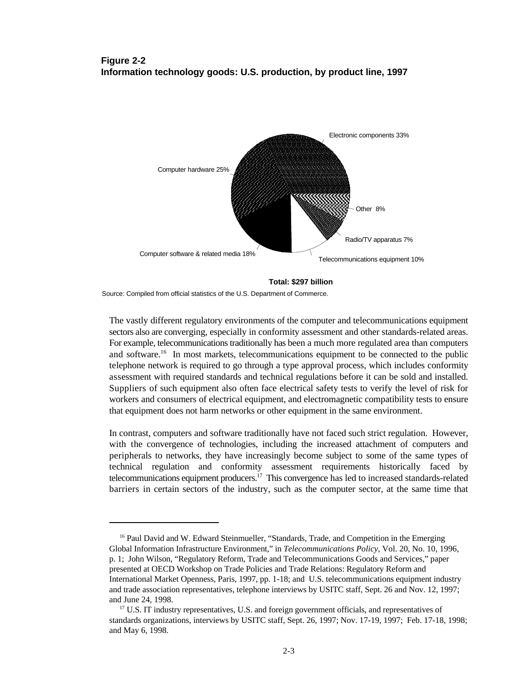#### **Figure 2-2 Information technology goods: U.S. production, by product line, 1997**



**Total: \$297 billion**

Source: Compiled from official statistics of the U.S. Department of Commerce.

The vastly different regulatory environments of the computer and telecommunications equipment sectors also are converging, especially in conformity assessment and other standards-related areas. For example, telecommunications traditionally has been a much more regulated area than computers and software.<sup>16</sup> In most markets, telecommunications equipment to be connected to the public telephone network is required to go through a type approval process, which includes conformity assessment with required standards and technical regulations before it can be sold and installed. Suppliers of such equipment also often face electrical safety tests to verify the level of risk for workers and consumers of electrical equipment, and electromagnetic compatibility tests to ensure that equipment does not harm networks or other equipment in the same environment.

In contrast, computers and software traditionally have not faced such strict regulation. However, with the convergence of technologies, including the increased attachment of computers and peripherals to networks, they have increasingly become subject to some of the same types of technical regulation and conformity assessment requirements historically faced by telecommunications equipment producers.<sup>17</sup> This convergence has led to increased standards-related barriers in certain sectors of the industry, such as the computer sector, at the same time that

<sup>&</sup>lt;sup>16</sup> Paul David and W. Edward Steinmueller, "Standards, Trade, and Competition in the Emerging Global Information Infrastructure Environment," in *Telecommunications Policy*, Vol. 20, No. 10, 1996, p. 1; John Wilson, "Regulatory Reform, Trade and Telecommunications Goods and Services," paper presented at OECD Workshop on Trade Policies and Trade Relations: Regulatory Reform and International Market Openness, Paris, 1997, pp. 1-18; and U.S. telecommunications equipment industry and trade association representatives, telephone interviews by USITC staff, Sept. 26 and Nov. 12, 1997; and June 24, 1998.

 $17$  U.S. IT industry representatives, U.S. and foreign government officials, and representatives of standards organizations, interviews by USITC staff, Sept. 26, 1997; Nov. 17-19, 1997; Feb. 17-18, 1998; and May 6, 1998.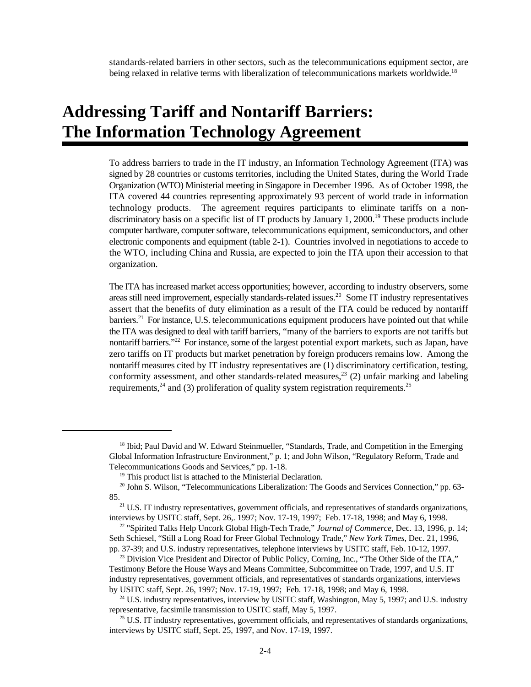standards-related barriers in other sectors, such as the telecommunications equipment sector, are being relaxed in relative terms with liberalization of telecommunications markets worldwide.<sup>18</sup>

## **Addressing Tariff and Nontariff Barriers: The Information Technology Agreement**

To address barriers to trade in the IT industry, an Information Technology Agreement (ITA) was signed by 28 countries or customs territories, including the United States, during the World Trade Organization (WTO) Ministerial meeting in Singapore in December 1996. As of October 1998, the ITA covered 44 countries representing approximately 93 percent of world trade in information technology products. The agreement requires participants to eliminate tariffs on a nondiscriminatory basis on a specific list of IT products by January 1, 2000.<sup>19</sup> These products include computer hardware, computer software, telecommunications equipment, semiconductors, and other electronic components and equipment (table 2-1). Countries involved in negotiations to accede to the WTO, including China and Russia, are expected to join the ITA upon their accession to that organization.

The ITA has increased market access opportunities; however, according to industry observers, some areas still need improvement, especially standards-related issues.<sup>20</sup> Some IT industry representatives assert that the benefits of duty elimination as a result of the ITA could be reduced by nontariff barriers.<sup>21</sup> For instance, U.S. telecommunications equipment producers have pointed out that while the ITA was designed to deal with tariff barriers, "many of the barriers to exports are not tariffs but nontariff barriers."<sup>22</sup> For instance, some of the largest potential export markets, such as Japan, have zero tariffs on IT products but market penetration by foreign producers remains low. Among the nontariff measures cited by IT industry representatives are (1) discriminatory certification, testing, conformity assessment, and other standards-related measures, $23$  (2) unfair marking and labeling requirements,  $24$  and (3) proliferation of quality system registration requirements.  $25$ 

<sup>&</sup>lt;sup>18</sup> Ibid; Paul David and W. Edward Steinmueller, "Standards, Trade, and Competition in the Emerging Global Information Infrastructure Environment," p. 1; and John Wilson, "Regulatory Reform, Trade and Telecommunications Goods and Services," pp. 1-18.

 $19$  This product list is attached to the Ministerial Declaration.

<sup>&</sup>lt;sup>20</sup> John S. Wilson, "Telecommunications Liberalization: The Goods and Services Connection," pp. 63-85.

 $21$  U.S. IT industry representatives, government officials, and representatives of standards organizations, interviews by USITC staff, Sept. 26,. 1997; Nov. 17-19, 1997; Feb. 17-18, 1998; and May 6, 1998.

<sup>&</sup>lt;sup>22</sup> "Spirited Talks Help Uncork Global High-Tech Trade," *Journal of Commerce*, Dec. 13, 1996, p. 14; Seth Schiesel, "Still a Long Road for Freer Global Technology Trade," *New York Times,* Dec. 21, 1996, pp. 37-39; and U.S. industry representatives, telephone interviews by USITC staff, Feb. 10-12, 1997.

<sup>&</sup>lt;sup>23</sup> Division Vice President and Director of Public Policy, Corning, Inc., "The Other Side of the ITA," Testimony Before the House Ways and Means Committee, Subcommittee on Trade, 1997, and U.S. IT industry representatives, government officials, and representatives of standards organizations, interviews by USITC staff, Sept. 26, 1997; Nov. 17-19, 1997; Feb. 17-18, 1998; and May 6, 1998.

 $24$  U.S. industry representatives, interview by USITC staff, Washington, May 5, 1997; and U.S. industry representative, facsimile transmission to USITC staff, May 5, 1997.

 $25$  U.S. IT industry representatives, government officials, and representatives of standards organizations, interviews by USITC staff, Sept. 25, 1997, and Nov. 17-19, 1997.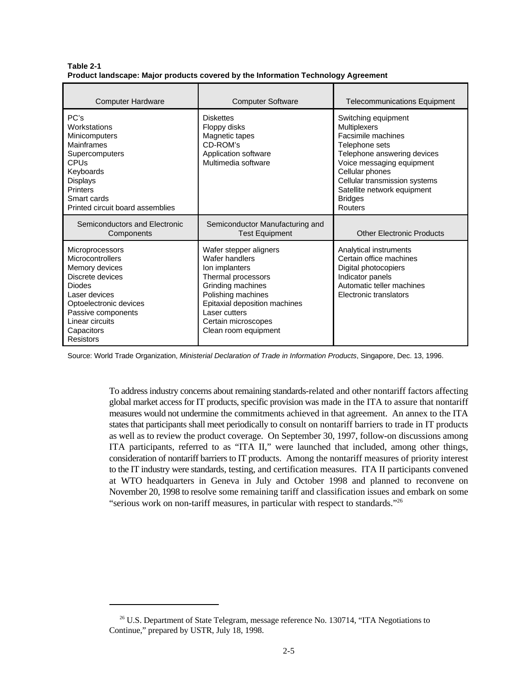| <b>Computer Hardware</b>                                                                                                                                                                                  | <b>Computer Software</b>                                                                                                                                                                                                     | <b>Telecommunications Equipment</b>                                                                                                                                                                                                                            |
|-----------------------------------------------------------------------------------------------------------------------------------------------------------------------------------------------------------|------------------------------------------------------------------------------------------------------------------------------------------------------------------------------------------------------------------------------|----------------------------------------------------------------------------------------------------------------------------------------------------------------------------------------------------------------------------------------------------------------|
| PC's<br>Workstations<br><b>Minicomputers</b><br><b>Mainframes</b><br>Supercomputers<br>CPUs<br>Keyboards<br>Displays<br><b>Printers</b><br>Smart cards<br>Printed circuit board assemblies                | <b>Diskettes</b><br>Floppy disks<br>Magnetic tapes<br>CD-ROM's<br>Application software<br>Multimedia software                                                                                                                | Switching equipment<br><b>Multiplexers</b><br>Facsimile machines<br>Telephone sets<br>Telephone answering devices<br>Voice messaging equipment<br>Cellular phones<br>Cellular transmission systems<br>Satellite network equipment<br><b>Bridges</b><br>Routers |
| Semiconductors and Electronic<br>Components                                                                                                                                                               | Semiconductor Manufacturing and<br><b>Test Equipment</b>                                                                                                                                                                     | <b>Other Electronic Products</b>                                                                                                                                                                                                                               |
| Microprocessors<br>Microcontrollers<br>Memory devices<br>Discrete devices<br><b>Diodes</b><br>Laser devices<br>Optoelectronic devices<br>Passive components<br>Linear circuits<br>Capacitors<br>Resistors | Wafer stepper aligners<br>Wafer handlers<br>Ion implanters<br>Thermal processors<br>Grinding machines<br>Polishing machines<br>Epitaxial deposition machines<br>Laser cutters<br>Certain microscopes<br>Clean room equipment | Analytical instruments<br>Certain office machines<br>Digital photocopiers<br>Indicator panels<br>Automatic teller machines<br>Electronic translators                                                                                                           |

**Table 2-1 Product landscape: Major products covered by the Information Technology Agreement**

Source: World Trade Organization, *Ministerial Declaration of Trade in Information Products*, Singapore, Dec. 13, 1996.

To address industry concerns about remaining standards-related and other nontariff factors affecting global market access for IT products, specific provision was made in the ITA to assure that nontariff measures would not undermine the commitments achieved in that agreement. An annex to the ITA states that participants shall meet periodically to consult on nontariff barriers to trade in IT products as well as to review the product coverage. On September 30, 1997, follow-on discussions among ITA participants, referred to as "ITA II," were launched that included, among other things, consideration of nontariff barriers to IT products. Among the nontariff measures of priority interest to the IT industry were standards, testing, and certification measures. ITA II participants convened at WTO headquarters in Geneva in July and October 1998 and planned to reconvene on November 20, 1998 to resolve some remaining tariff and classification issues and embark on some "serious work on non-tariff measures, in particular with respect to standards."26

 $26$  U.S. Department of State Telegram, message reference No. 130714, "ITA Negotiations to Continue," prepared by USTR, July 18, 1998.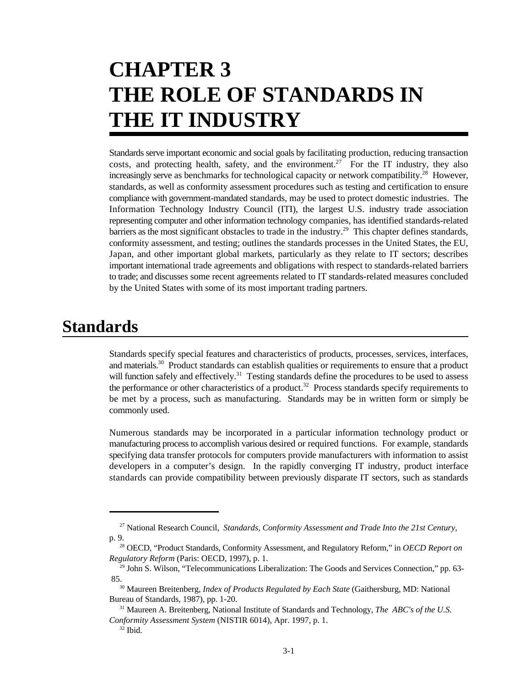# **CHAPTER 3 THE ROLE OF STANDARDS IN THE IT INDUSTRY**

Standards serve important economic and social goals by facilitating production, reducing transaction costs, and protecting health, safety, and the environment.<sup>27</sup> For the IT industry, they also increasingly serve as benchmarks for technological capacity or network compatibility.<sup>28</sup> However, standards, as well as conformity assessment procedures such as testing and certification to ensure compliance with government-mandated standards, may be used to protect domestic industries. The Information Technology Industry Council (ITI), the largest U.S. industry trade association representing computer and other information technology companies, has identified standards-related barriers as the most significant obstacles to trade in the industry.<sup>29</sup> This chapter defines standards, conformity assessment, and testing; outlines the standards processes in the United States, the EU, Japan, and other important global markets, particularly as they relate to IT sectors; describes important international trade agreements and obligations with respect to standards-related barriers to trade; and discusses some recent agreements related to IT standards-related measures concluded by the United States with some of its most important trading partners.

## **Standards**

Standards specify special features and characteristics of products, processes, services, interfaces, and materials.<sup>30</sup> Product standards can establish qualities or requirements to ensure that a product will function safely and effectively.<sup>31</sup> Testing standards define the procedures to be used to assess the performance or other characteristics of a product.<sup>32</sup> Process standards specify requirements to be met by a process, such as manufacturing. Standards may be in written form or simply be commonly used.

Numerous standards may be incorporated in a particular information technology product or manufacturing process to accomplish various desired or required functions. For example, standards specifying data transfer protocols for computers provide manufacturers with information to assist developers in a computer's design. In the rapidly converging IT industry, product interface standards can provide compatibility between previously disparate IT sectors, such as standards

<sup>&</sup>lt;sup>27</sup> National Research Council, *Standards, Conformity Assessment and Trade Into the 21st Century,* p. 9.

<sup>&</sup>lt;sup>28</sup> OECD, "Product Standards, Conformity Assessment, and Regulatory Reform," in *OECD Report on Regulatory Reform* (Paris: OECD, 1997), p. 1.

<sup>&</sup>lt;sup>29</sup> John S. Wilson, "Telecommunications Liberalization: The Goods and Services Connection," pp. 63-85.

<sup>&</sup>lt;sup>30</sup> Maureen Breitenberg, *Index of Products Regulated by Each State* (Gaithersburg, MD: National Bureau of Standards, 1987), pp. 1-20.

<sup>&</sup>lt;sup>31</sup> Maureen A. Breitenberg, National Institute of Standards and Technology, *The ABC's of the U.S. Conformity Assessment System* (NISTIR 6014), Apr. 1997, p. 1.

 $32$  Ibid.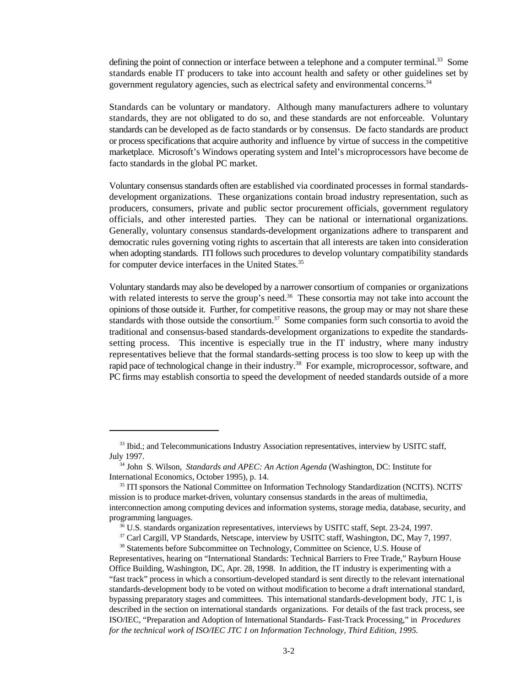defining the point of connection or interface between a telephone and a computer terminal.<sup>33</sup> Some standards enable IT producers to take into account health and safety or other guidelines set by government regulatory agencies, such as electrical safety and environmental concerns.<sup>34</sup>

Standards can be voluntary or mandatory. Although many manufacturers adhere to voluntary standards, they are not obligated to do so, and these standards are not enforceable. Voluntary standards can be developed as de facto standards or by consensus. De facto standards are product or process specifications that acquire authority and influence by virtue of success in the competitive marketplace. Microsoft's Windows operating system and Intel's microprocessors have become de facto standards in the global PC market.

Voluntary consensus standards often are established via coordinated processes in formal standardsdevelopment organizations. These organizations contain broad industry representation, such as producers, consumers, private and public sector procurement officials, government regulatory officials, and other interested parties. They can be national or international organizations. Generally, voluntary consensus standards-development organizations adhere to transparent and democratic rules governing voting rights to ascertain that all interests are taken into consideration when adopting standards. ITI follows such procedures to develop voluntary compatibility standards for computer device interfaces in the United States.<sup>35</sup>

Voluntary standards may also be developed by a narrower consortium of companies or organizations with related interests to serve the group's need.<sup>36</sup> These consortia may not take into account the opinions of those outside it. Further, for competitive reasons, the group may or may not share these standards with those outside the consortium.<sup>37</sup> Some companies form such consortia to avoid the traditional and consensus-based standards-development organizations to expedite the standardssetting process.This incentive is especially true in the IT industry, where many industry representatives believe that the formal standards-setting process is too slow to keep up with the rapid pace of technological change in their industry.<sup>38</sup> For example, microprocessor, software, and PC firms may establish consortia to speed the development of needed standards outside of a more

<sup>&</sup>lt;sup>33</sup> Ibid.; and Telecommunications Industry Association representatives, interview by USITC staff, July 1997.

<sup>&</sup>lt;sup>34</sup> John S. Wilson, *Standards and APEC: An Action Agenda* (Washington, DC: Institute for International Economics, October 1995), p. 14.

<sup>&</sup>lt;sup>35</sup> ITI sponsors the National Committee on Information Technology Standardization (NCITS). NCITS' mission is to produce market-driven, voluntary consensus standards in the areas of multimedia, interconnection among computing devices and information systems, storage media, database, security, and programming languages.

<sup>&</sup>lt;sup>36</sup> U.S. standards organization representatives, interviews by USITC staff, Sept. 23-24, 1997.

<sup>&</sup>lt;sup>37</sup> Carl Cargill, VP Standards, Netscape, interview by USITC staff, Washington, DC, May 7, 1997.

<sup>&</sup>lt;sup>38</sup> Statements before Subcommittee on Technology, Committee on Science, U.S. House of Representatives, hearing on "International Standards: Technical Barriers to Free Trade," Rayburn House Office Building, Washington, DC, Apr. 28, 1998. In addition, the IT industry is experimenting with a "fast track" process in which a consortium-developed standard is sent directly to the relevant international standards-development body to be voted on without modification to become a draft international standard, bypassing preparatory stages and committees. This international standards-development body, JTC 1, is described in the section on international standards organizations. For details of the fast track process, see ISO/IEC, "Preparation and Adoption of International Standards- Fast-Track Processing," in *Procedures for the technical work of ISO/IEC JTC 1 on Information Technology, Third Edition, 1995.*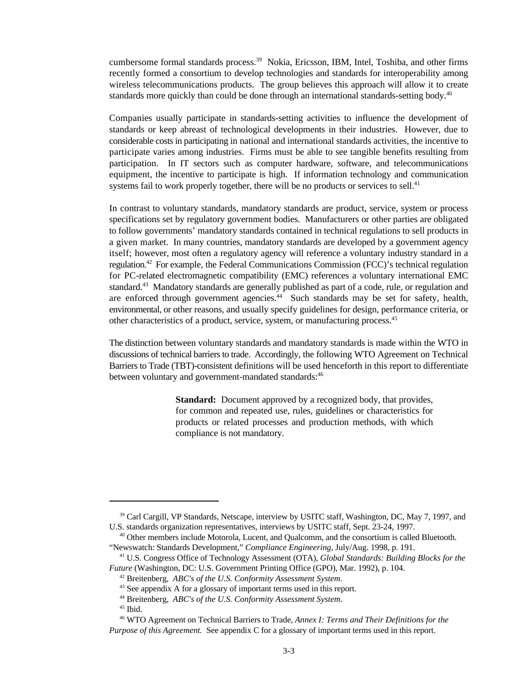cumbersome formal standards process.<sup>39</sup> Nokia, Ericsson, IBM, Intel, Toshiba, and other firms recently formed a consortium to develop technologies and standards for interoperability among wireless telecommunications products. The group believes this approach will allow it to create standards more quickly than could be done through an international standards-setting body.<sup>40</sup>

Companies usually participate in standards-setting activities to influence the development of standards or keep abreast of technological developments in their industries. However, due to considerable costs in participating in national and international standards activities, the incentive to participate varies among industries. Firms must be able to see tangible benefits resulting from participation. In IT sectors such as computer hardware, software, and telecommunications equipment, the incentive to participate is high. If information technology and communication systems fail to work properly together, there will be no products or services to sell.<sup>41</sup>

In contrast to voluntary standards, mandatory standards are product, service, system or process specifications set by regulatory government bodies. Manufacturers or other parties are obligated to follow governments' mandatory standards contained in technical regulations to sell products in a given market. In many countries, mandatory standards are developed by a government agency itself; however, most often a regulatory agency will reference a voluntary industry standard in a regulation.<sup>42</sup> For example, the Federal Communications Commission (FCC)'s technical regulation for PC-related electromagnetic compatibility (EMC) references a voluntary international EMC standard.<sup>43</sup> Mandatory standards are generally published as part of a code, rule, or regulation and are enforced through government agencies.<sup>44</sup> Such standards may be set for safety, health, environmental, or other reasons, and usually specify guidelines for design, performance criteria, or other characteristics of a product, service, system, or manufacturing process. 45

The distinction between voluntary standards and mandatory standards is made within the WTO in discussions of technical barriers to trade. Accordingly, the following WTO Agreement on Technical Barriers to Trade (TBT)-consistent definitions will be used henceforth in this report to differentiate between voluntary and government-mandated standards:<sup>46</sup>

> **Standard:** Document approved by a recognized body, that provides, for common and repeated use, rules, guidelines or characteristics for products or related processes and production methods, with which compliance is not mandatory.

<sup>&</sup>lt;sup>39</sup> Carl Cargill, VP Standards, Netscape, interview by USITC staff, Washington, DC, May 7, 1997, and U.S. standards organization representatives, interviews by USITC staff, Sept. 23-24, 1997.

 $40$  Other members include Motorola, Lucent, and Qualcomm, and the consortium is called Bluetooth. "Newswatch: Standards Development," *Compliance Engineering,* July/Aug. 1998, p. 191.

<sup>&</sup>lt;sup>41</sup> U.S. Congress Office of Technology Assessment (OTA), *Global Standards: Building Blocks for the Future* (Washington, DC: U.S. Government Printing Office (GPO), Mar. 1992), p. 104.

Breitenberg, *ABC's of the U.S. Conformity Assessment System*. 42

 $43$  See appendix A for a glossary of important terms used in this report.

Breitenberg, *ABC's of the U.S. Conformity Assessment System*. 44

 $45$  Ibid.

WTO Agreement on Technical Barriers to Trade*, Annex I: Terms and Their Definitions for the* <sup>46</sup> *Purpose of this Agreement.* See appendix C for a glossary of important terms used in this report.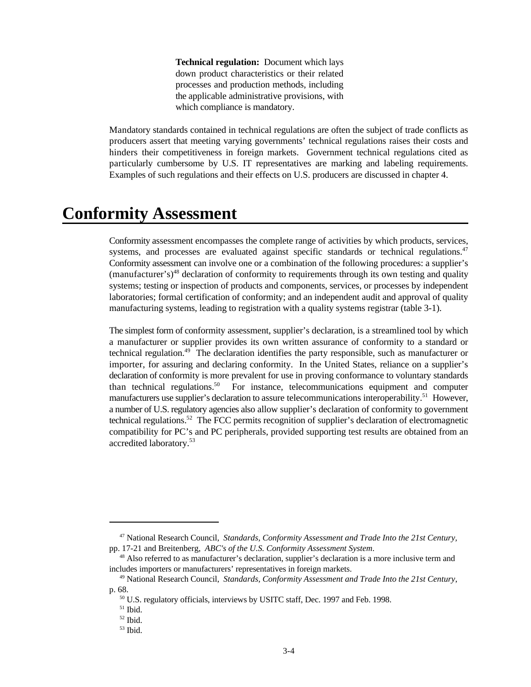**Technical regulation:** Document which lays down product characteristics or their related processes and production methods, including the applicable administrative provisions, with which compliance is mandatory.

Mandatory standards contained in technical regulations are often the subject of trade conflicts as producers assert that meeting varying governments' technical regulations raises their costs and hinders their competitiveness in foreign markets. Government technical regulations cited as particularly cumbersome by U.S. IT representatives are marking and labeling requirements. Examples of such regulations and their effects on U.S. producers are discussed in chapter 4.

### **Conformity Assessment**

Conformity assessment encompasses the complete range of activities by which products, services, systems, and processes are evaluated against specific standards or technical regulations.<sup>47</sup> Conformity assessment can involve one or a combination of the following procedures: a supplier's  $($ manufacturer's)<sup>48</sup> declaration of conformity to requirements through its own testing and quality systems; testing or inspection of products and components, services, or processes by independent laboratories; formal certification of conformity; and an independent audit and approval of quality manufacturing systems, leading to registration with a quality systems registrar (table 3-1).

The simplest form of conformity assessment, supplier's declaration, is a streamlined tool by which a manufacturer or supplier provides its own written assurance of conformity to a standard or technical regulation.<sup>49</sup> The declaration identifies the party responsible, such as manufacturer or importer, for assuring and declaring conformity. In the United States, reliance on a supplier's declaration of conformity is more prevalent for use in proving conformance to voluntary standards than technical regulations.<sup>50</sup> For instance, telecommunications equipment and computer manufacturers use supplier's declaration to assure telecommunications interoperability.<sup>51</sup> However, a number of U.S. regulatory agencies also allow supplier's declaration of conformity to government technical regulations.<sup>52</sup> The FCC permits recognition of supplier's declaration of electromagnetic compatibility for PC's and PC peripherals, provided supporting test results are obtained from an accredited laboratory. 53

National Research Council, *Standards, Conformity Assessment and Trade Into the 21st Century,* <sup>47</sup> pp. 17-21 and Breitenberg, *ABC's of the U.S. Conformity Assessment System*.

<sup>&</sup>lt;sup>48</sup> Also referred to as manufacturer's declaration, supplier's declaration is a more inclusive term and includes importers or manufacturers' representatives in foreign markets.

<sup>&</sup>lt;sup>49</sup> National Research Council, *Standards, Conformity Assessment and Trade Into the 21st Century*, p. 68.

 $50$  U.S. regulatory officials, interviews by USITC staff, Dec. 1997 and Feb. 1998.

 $51$  Ibid.

 $52$  Ibid.

 $53$  Ibid.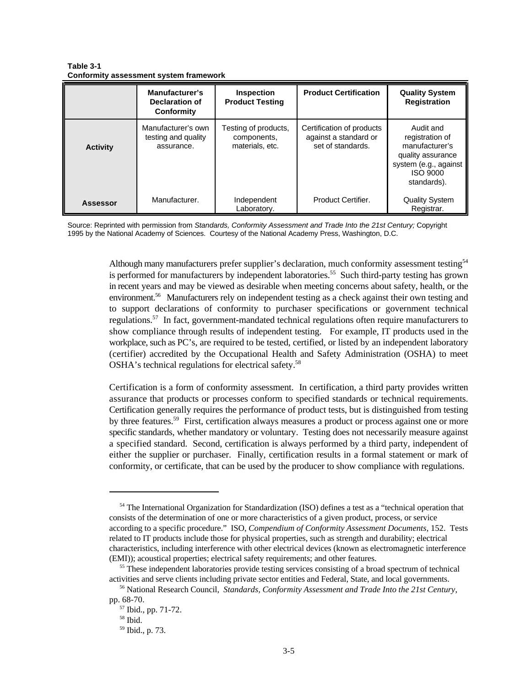**Table 3-1 Conformity assessment system framework** 

|                 | Manufacturer's<br>Declaration of<br>Conformity          | Inspection<br><b>Product Testing</b>                   | <b>Product Certification</b>                                            | <b>Quality System</b><br><b>Registration</b>                                                                            |
|-----------------|---------------------------------------------------------|--------------------------------------------------------|-------------------------------------------------------------------------|-------------------------------------------------------------------------------------------------------------------------|
| <b>Activity</b> | Manufacturer's own<br>testing and quality<br>assurance. | Testing of products,<br>components,<br>materials, etc. | Certification of products<br>against a standard or<br>set of standards. | Audit and<br>registration of<br>manufacturer's<br>quality assurance<br>system (e.g., against<br>ISO 9000<br>standards). |
| <b>Assessor</b> | Manufacturer.                                           | Independent<br>Laboratory.                             | Product Certifier.                                                      | <b>Quality System</b><br>Registrar.                                                                                     |

Source: Reprinted with permission from *Standards, Conformity Assessment and Trade Into the 21st Century;* Copyright 1995 by the National Academy of Sciences. Courtesy of the National Academy Press, Washington, D.C.

> Although many manufacturers prefer supplier's declaration, much conformity assessment testing<sup>54</sup> is performed for manufacturers by independent laboratories.<sup>55</sup> Such third-party testing has grown in recent years and may be viewed as desirable when meeting concerns about safety, health, or the environment.<sup>56</sup> Manufacturers rely on independent testing as a check against their own testing and to support declarations of conformity to purchaser specifications or government technical regulations.<sup>57</sup> In fact, government-mandated technical regulations often require manufacturers to show compliance through results of independent testing. For example, IT products used in the workplace, such as PC's, are required to be tested, certified, or listed by an independent laboratory (certifier) accredited by the Occupational Health and Safety Administration (OSHA) to meet OSHA's technical regulations for electrical safety.<sup>58</sup>

> Certification is a form of conformity assessment. In certification, a third party provides written assurance that products or processes conform to specified standards or technical requirements. Certification generally requires the performance of product tests, but is distinguished from testing by three features.<sup>59</sup> First, certification always measures a product or process against one or more specific standards, whether mandatory or voluntary. Testing does not necessarily measure against a specified standard. Second, certification is always performed by a third party, independent of either the supplier or purchaser. Finally, certification results in a formal statement or mark of conformity, or certificate, that can be used by the producer to show compliance with regulations.

<sup>&</sup>lt;sup>54</sup> The International Organization for Standardization (ISO) defines a test as a "technical operation that consists of the determination of one or more characteristics of a given product, process, or service according to a specific procedure." ISO, *Compendium of Conformity Assessment Documents*, 152. Tests related to IT products include those for physical properties, such as strength and durability; electrical characteristics, including interference with other electrical devices (known as electromagnetic interference (EMI)); acoustical properties; electrical safety requirements; and other features.

<sup>&</sup>lt;sup>55</sup> These independent laboratories provide testing services consisting of a broad spectrum of technical activities and serve clients including private sector entities and Federal, State, and local governments.

National Research Council, *Standards, Conformity Assessment and Trade Into the 21st Century*, 56 pp. 68-70.

 $57$  Ibid., pp. 71-72.

 $^{58}$  Ibid.

<sup>&</sup>lt;sup>59</sup> Ibid., p. 73.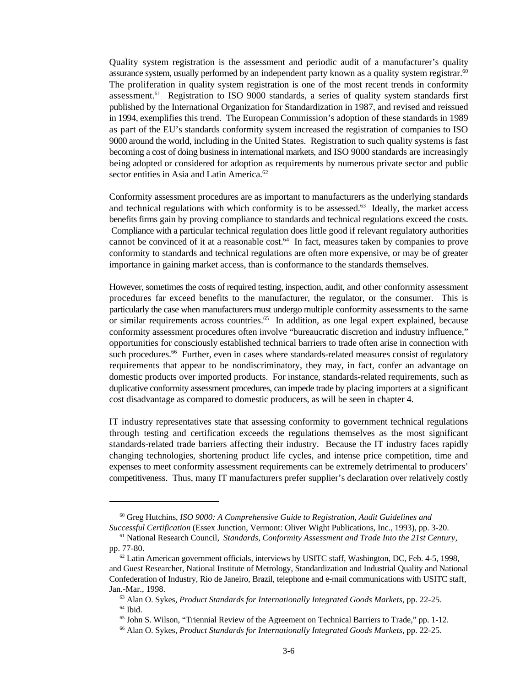Quality system registration is the assessment and periodic audit of a manufacturer's quality assurance system, usually performed by an independent party known as a quality system registrar.<sup>60</sup> The proliferation in quality system registration is one of the most recent trends in conformity assessment.<sup>61</sup> Registration to ISO 9000 standards, a series of quality system standards first published by the International Organization for Standardization in 1987, and revised and reissued in 1994, exemplifies this trend. The European Commission's adoption of these standards in 1989 as part of the EU's standards conformity system increased the registration of companies to ISO 9000 around the world, including in the United States. Registration to such quality systems is fast becoming a cost of doing business in international markets, and ISO 9000 standards are increasingly being adopted or considered for adoption as requirements by numerous private sector and public sector entities in Asia and Latin America.<sup>62</sup>

Conformity assessment procedures are as important to manufacturers as the underlying standards and technical regulations with which conformity is to be assessed. $63$  Ideally, the market access benefits firms gain by proving compliance to standards and technical regulations exceed the costs. Compliance with a particular technical regulation does little good if relevant regulatory authorities cannot be convinced of it at a reasonable cost. $<sup>64</sup>$  In fact, measures taken by companies to prove</sup> conformity to standards and technical regulations are often more expensive, or may be of greater importance in gaining market access, than is conformance to the standards themselves.

However, sometimes the costs of required testing, inspection, audit, and other conformity assessment procedures far exceed benefits to the manufacturer, the regulator, or the consumer. This is particularly the case when manufacturers must undergo multiple conformity assessments to the same or similar requirements across countries.<sup>65</sup> In addition, as one legal expert explained, because conformity assessment procedures often involve "bureaucratic discretion and industry influence," opportunities for consciously established technical barriers to trade often arise in connection with such procedures.<sup>66</sup> Further, even in cases where standards-related measures consist of regulatory requirements that appear to be nondiscriminatory, they may, in fact, confer an advantage on domestic products over imported products. For instance, standards-related requirements, such as duplicative conformity assessment procedures, can impede trade by placing importers at a significant cost disadvantage as compared to domestic producers, as will be seen in chapter 4.

IT industry representatives state that assessing conformity to government technical regulations through testing and certification exceeds the regulations themselves as the most significant standards-related trade barriers affecting their industry. Because the IT industry faces rapidly changing technologies, shortening product life cycles, and intense price competition, time and expenses to meet conformity assessment requirements can be extremely detrimental to producers' competitiveness. Thus, many IT manufacturers prefer supplier's declaration over relatively costly

<sup>&</sup>lt;sup>60</sup> Greg Hutchins, *ISO 9000: A Comprehensive Guide to Registration, Audit Guidelines and Successful Certification* (Essex Junction, Vermont: Oliver Wight Publications, Inc., 1993), pp. 3-20.

<sup>&</sup>lt;sup>61</sup> National Research Council, *Standards, Conformity Assessment and Trade Into the 21st Century*, pp. 77-80.

 $62$  Latin American government officials, interviews by USITC staff, Washington, DC, Feb. 4-5, 1998, and Guest Researcher, National Institute of Metrology, Standardization and Industrial Quality and National Confederation of Industry, Rio de Janeiro, Brazil, telephone and e-mail communications with USITC staff, Jan.-Mar., 1998.

<sup>&</sup>lt;sup>63</sup> Alan O. Sykes, *Product Standards for Internationally Integrated Goods Markets*, pp. 22-25.  $^{64}$  Ibid.

 $<sup>65</sup>$  John S. Wilson, "Triennial Review of the Agreement on Technical Barriers to Trade," pp. 1-12.</sup>

<sup>&</sup>lt;sup>66</sup> Alan O. Sykes, *Product Standards for Internationally Integrated Goods Markets*, pp. 22-25.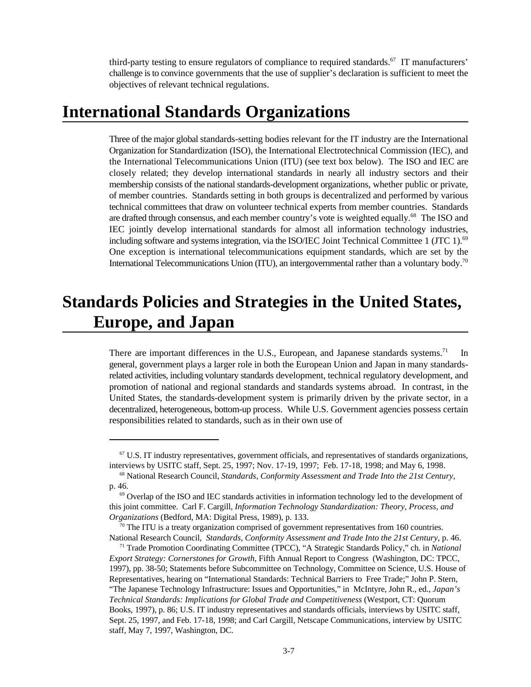third-party testing to ensure regulators of compliance to required standards.<sup>67</sup> IT manufacturers' challenge is to convince governments that the use of supplier's declaration is sufficient to meet the objectives of relevant technical regulations.

## **International Standards Organizations**

Three of the major global standards-setting bodies relevant for the IT industry are the International Organization for Standardization (ISO), the International Electrotechnical Commission (IEC), and the International Telecommunications Union (ITU) (see text box below). The ISO and IEC are closely related; they develop international standards in nearly all industry sectors and their membership consists of the national standards-development organizations, whether public or private, of member countries. Standards setting in both groups is decentralized and performed by various technical committees that draw on volunteer technical experts from member countries. Standards are drafted through consensus, and each member country's vote is weighted equally.<sup>68</sup> The ISO and IEC jointly develop international standards for almost all information technology industries, including software and systems integration, via the ISO/IEC Joint Technical Committee 1 (JTC 1).<sup>69</sup> One exception is international telecommunications equipment standards, which are set by the International Telecommunications Union (ITU), an intergovernmental rather than a voluntary body.<sup>70</sup>

# **Standards Policies and Strategies in the United States, Europe, and Japan**

There are important differences in the U.S., European, and Japanese standards systems.<sup>71</sup> In general, government plays a larger role in both the European Union and Japan in many standardsrelated activities, including voluntary standards development, technical regulatory development, and promotion of national and regional standards and standards systems abroad. In contrast, in the United States, the standards-development system is primarily driven by the private sector, in a decentralized, heterogeneous, bottom-up process. While U.S. Government agencies possess certain responsibilities related to standards, such as in their own use of

 $\sigma$  U.S. IT industry representatives, government officials, and representatives of standards organizations, interviews by USITC staff, Sept. 25, 1997; Nov. 17-19, 1997; Feb. 17-18, 1998; and May 6, 1998.

<sup>&</sup>lt;sup>68</sup> National Research Council, *Standards, Conformity Assessment and Trade Into the 21st Century*, p. 46.

 $<sup>69</sup>$  Overlap of the ISO and IEC standards activities in information technology led to the development of</sup> this joint committee. Carl F. Cargill, *Information Technology Standardization: Theory, Process, and Organizations* (Bedford, MA: Digital Press, 1989), p. 133.

 $70$  The ITU is a treaty organization comprised of government representatives from 160 countries. National Research Council, *Standards, Conformity Assessment and Trade Into the 21st Century*, p. 46.

<sup>&</sup>lt;sup>71</sup> Trade Promotion Coordinating Committee (TPCC), "A Strategic Standards Policy," ch. in *National Export Strategy: Cornerstones for Growth,* Fifth Annual Report to Congress(Washington, DC: TPCC, 1997), pp. 38-50; Statements before Subcommittee on Technology, Committee on Science, U.S. House of Representatives, hearing on "International Standards: Technical Barriers to Free Trade;" John P. Stern, "The Japanese Technology Infrastructure: Issues and Opportunities," in McIntyre, John R., ed., *Japan's Technical Standards: Implications for Global Trade and Competitiveness* (Westport, CT: Quorum Books, 1997), p. 86; U.S. IT industry representatives and standards officials, interviews by USITC staff, Sept. 25, 1997, and Feb. 17-18, 1998; and Carl Cargill, Netscape Communications, interview by USITC staff, May 7, 1997, Washington, DC.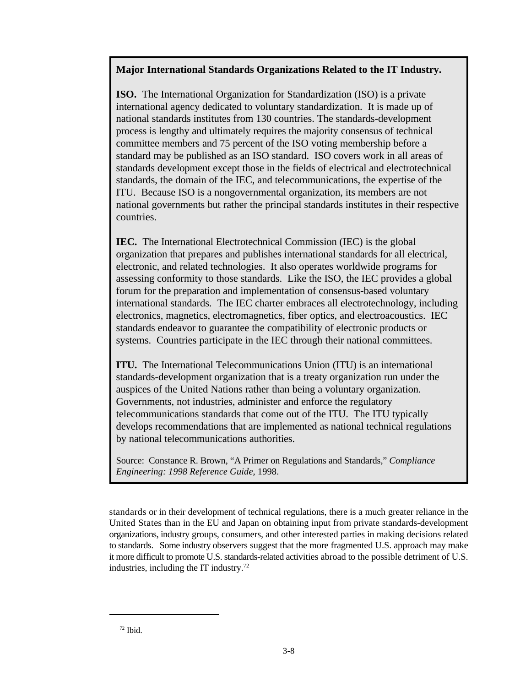#### **Major International Standards Organizations Related to the IT Industry.**

**ISO.** The International Organization for Standardization (ISO) is a private international agency dedicated to voluntary standardization. It is made up of national standards institutes from 130 countries. The standards-development process is lengthy and ultimately requires the majority consensus of technical committee members and 75 percent of the ISO voting membership before a standard may be published as an ISO standard. ISO covers work in all areas of standards development except those in the fields of electrical and electrotechnical standards, the domain of the IEC, and telecommunications, the expertise of the ITU. Because ISO is a nongovernmental organization, its members are not national governments but rather the principal standards institutes in their respective countries.

**IEC.** The International Electrotechnical Commission (IEC) is the global organization that prepares and publishes international standards for all electrical, electronic, and related technologies. It also operates worldwide programs for assessing conformity to those standards. Like the ISO, the IEC provides a global forum for the preparation and implementation of consensus-based voluntary international standards. The IEC charter embraces all electrotechnology, including electronics, magnetics, electromagnetics, fiber optics, and electroacoustics. IEC standards endeavor to guarantee the compatibility of electronic products or systems. Countries participate in the IEC through their national committees.

**ITU.** The International Telecommunications Union (ITU) is an international standards-development organization that is a treaty organization run under the auspices of the United Nations rather than being a voluntary organization. Governments, not industries, administer and enforce the regulatory telecommunications standards that come out of the ITU. The ITU typically develops recommendations that are implemented as national technical regulations by national telecommunications authorities.

Source: Constance R. Brown, "A Primer on Regulations and Standards," *Compliance Engineering: 1998 Reference Guide*, 1998.

standards or in their development of technical regulations, there is a much greater reliance in the United States than in the EU and Japan on obtaining input from private standards-development organizations, industry groups, consumers, and other interested parties in making decisions related to standards. Some industry observers suggest that the more fragmented U.S. approach may make it more difficult to promote U.S. standards-related activities abroad to the possible detriment of U.S. industries, including the IT industry. $72$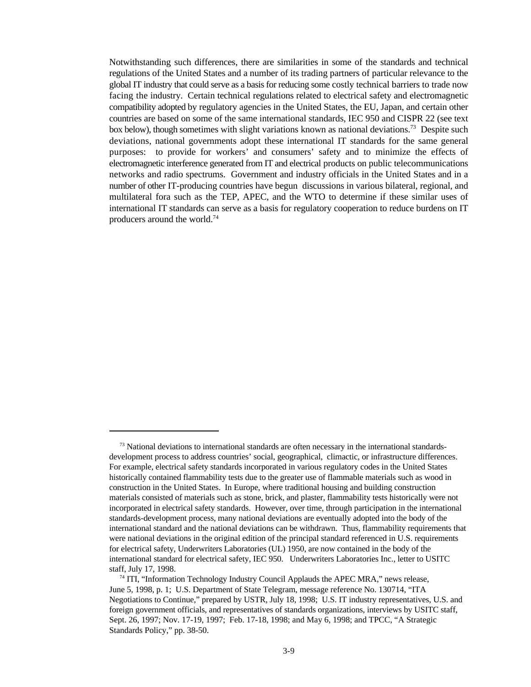Notwithstanding such differences, there are similarities in some of the standards and technical regulations of the United States and a number of its trading partners of particular relevance to the global IT industry that could serve as a basis for reducing some costly technical barriers to trade now facing the industry. Certain technical regulations related to electrical safety and electromagnetic compatibility adopted by regulatory agencies in the United States, the EU, Japan, and certain other countries are based on some of the same international standards, IEC 950 and CISPR 22 (see text box below), though sometimes with slight variations known as national deviations.<sup>73</sup> Despite such deviations, national governments adopt these international IT standards for the same general purposes: to provide for workers' and consumers' safety and to minimize the effects of electromagnetic interference generated from IT and electrical products on public telecommunications networks and radio spectrums. Government and industry officials in the United States and in a number of other IT-producing countries have begun discussions in various bilateral, regional, and multilateral fora such as the TEP, APEC, and the WTO to determine if these similar uses of international IT standards can serve as a basis for regulatory cooperation to reduce burdens on IT producers around the world.74

 $73$  National deviations to international standards are often necessary in the international standardsdevelopment process to address countries' social, geographical, climactic, or infrastructure differences. For example, electrical safety standards incorporated in various regulatory codes in the United States historically contained flammability tests due to the greater use of flammable materials such as wood in construction in the United States. In Europe, where traditional housing and building construction materials consisted of materials such as stone, brick, and plaster, flammability tests historically were not incorporated in electrical safety standards. However, over time, through participation in the international standards-development process, many national deviations are eventually adopted into the body of the international standard and the national deviations can be withdrawn. Thus, flammability requirements that were national deviations in the original edition of the principal standard referenced in U.S. requirements for electrical safety, Underwriters Laboratories (UL) 1950, are now contained in the body of the international standard for electrical safety, IEC 950. Underwriters Laboratories Inc., letter to USITC staff, July 17, 1998.

 $174$  ITI, "Information Technology Industry Council Applauds the APEC MRA," news release, June 5, 1998, p. 1; U.S. Department of State Telegram, message reference No. 130714, "ITA Negotiations to Continue," prepared by USTR, July 18, 1998; U.S. IT industry representatives, U.S. and foreign government officials, and representatives of standards organizations, interviews by USITC staff, Sept. 26, 1997; Nov. 17-19, 1997; Feb. 17-18, 1998; and May 6, 1998; and TPCC, "A Strategic Standards Policy," pp. 38-50.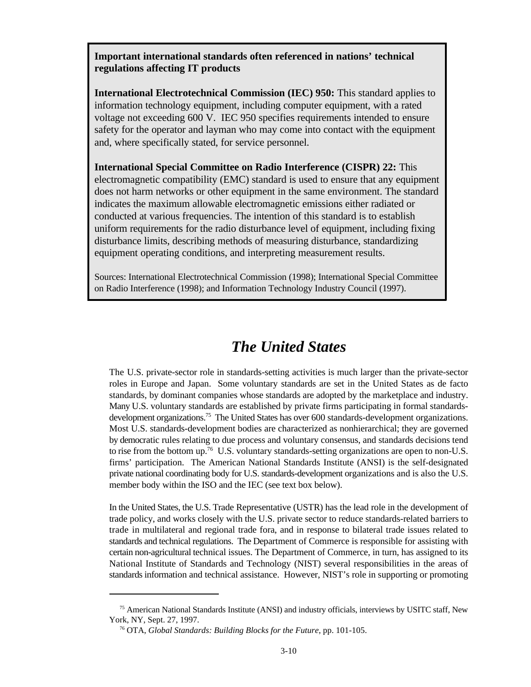**Important international standards often referenced in nations' technical regulations affecting IT products**

**International Electrotechnical Commission (IEC) 950:** This standard applies to information technology equipment, including computer equipment, with a rated voltage not exceeding 600 V. IEC 950 specifies requirements intended to ensure safety for the operator and layman who may come into contact with the equipment and, where specifically stated, for service personnel.

**International Special Committee on Radio Interference (CISPR) 22:** This electromagnetic compatibility (EMC) standard is used to ensure that any equipment does not harm networks or other equipment in the same environment. The standard indicates the maximum allowable electromagnetic emissions either radiated or conducted at various frequencies. The intention of this standard is to establish uniform requirements for the radio disturbance level of equipment, including fixing disturbance limits, describing methods of measuring disturbance, standardizing equipment operating conditions, and interpreting measurement results.

Sources: International Electrotechnical Commission (1998); International Special Committee on Radio Interference (1998); and Information Technology Industry Council (1997).

#### *The United States*

The U.S. private-sector role in standards-setting activities is much larger than the private-sector roles in Europe and Japan. Some voluntary standards are set in the United States as de facto standards, by dominant companies whose standards are adopted by the marketplace and industry. Many U.S. voluntary standards are established by private firms participating in formal standardsdevelopment organizations.<sup>75</sup> The United States has over 600 standards-development organizations. Most U.S. standards-development bodies are characterized as nonhierarchical; they are governed by democratic rules relating to due process and voluntary consensus, and standards decisions tend to rise from the bottom up.<sup>76</sup> U.S. voluntary standards-setting organizations are open to non-U.S. firms' participation. The American National Standards Institute (ANSI) is the self-designated private national coordinating body for U.S. standards-development organizations and is also the U.S. member body within the ISO and the IEC (see text box below).

In the United States, the U.S. Trade Representative (USTR) has the lead role in the development of trade policy, and works closely with the U.S. private sector to reduce standards-related barriers to trade in multilateral and regional trade fora, and in response to bilateral trade issues related to standards and technical regulations. The Department of Commerce is responsible for assisting with certain non-agricultural technical issues. The Department of Commerce, in turn, has assigned to its National Institute of Standards and Technology (NIST) several responsibilities in the areas of standards information and technical assistance. However, NIST's role in supporting or promoting

<sup>&</sup>lt;sup>75</sup> American National Standards Institute (ANSI) and industry officials, interviews by USITC staff, New York, NY, Sept. 27, 1997.

<sup>&</sup>lt;sup>76</sup> OTA, *Global Standards: Building Blocks for the Future*, pp. 101-105.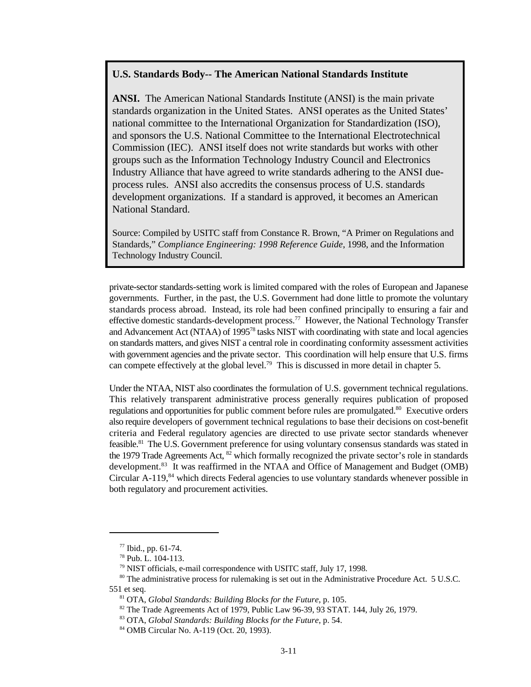#### **U.S. Standards Body-- The American National Standards Institute**

**ANSI.** The American National Standards Institute (ANSI) is the main private standards organization in the United States. ANSI operates as the United States' national committee to the International Organization for Standardization (ISO), and sponsors the U.S. National Committee to the International Electrotechnical Commission (IEC). ANSI itself does not write standards but works with other groups such as the Information Technology Industry Council and Electronics Industry Alliance that have agreed to write standards adhering to the ANSI dueprocess rules. ANSI also accredits the consensus process of U.S. standards development organizations. If a standard is approved, it becomes an American National Standard.

Source: Compiled by USITC staff from Constance R. Brown, "A Primer on Regulations and Standards," *Compliance Engineering: 1998 Reference Guide*, 1998, and the Information Technology Industry Council.

private-sector standards-setting work is limited compared with the roles of European and Japanese governments. Further, in the past, the U.S. Government had done little to promote the voluntary standards process abroad. Instead, its role had been confined principally to ensuring a fair and effective domestic standards-development process.<sup>77</sup> However, the National Technology Transfer and Advancement Act (NTAA) of 1995<sup>78</sup> tasks NIST with coordinating with state and local agencies on standards matters, and gives NIST a central role in coordinating conformity assessment activities with government agencies and the private sector. This coordination will help ensure that U.S. firms can compete effectively at the global level.<sup>79</sup> This is discussed in more detail in chapter 5.

Under the NTAA, NIST also coordinates the formulation of U.S. government technical regulations. This relatively transparent administrative process generally requires publication of proposed regulations and opportunities for public comment before rules are promulgated.<sup>80</sup> Executive orders also require developers of government technical regulations to base their decisions on cost-benefit criteria and Federal regulatory agencies are directed to use private sector standards whenever feasible.<sup>81</sup> The U.S. Government preference for using voluntary consensus standards was stated in the 1979 Trade Agreements Act,  $^{82}$  which formally recognized the private sector's role in standards development.<sup>83</sup> It was reaffirmed in the NTAA and Office of Management and Budget (OMB) Circular  $A-119$ , <sup>84</sup> which directs Federal agencies to use voluntary standards whenever possible in both regulatory and procurement activities.

 $77$  Ibid., pp. 61-74.

<sup>&</sup>lt;sup>78</sup> Pub. L. 104-113.

<sup>&</sup>lt;sup>79</sup> NIST officials, e-mail correspondence with USITC staff, July 17, 1998.

 $80$  The administrative process for rulemaking is set out in the Administrative Procedure Act. 5 U.S.C. 551 et seq.

<sup>&</sup>lt;sup>81</sup> OTA, *Global Standards: Building Blocks for the Future*, p. 105.

 $82$  The Trade Agreements Act of 1979, Public Law 96-39, 93 STAT. 144, July 26, 1979.

<sup>83</sup> OTA, *Global Standards: Building Blocks for the Future*, p. 54.

<sup>&</sup>lt;sup>84</sup> OMB Circular No. A-119 (Oct. 20, 1993).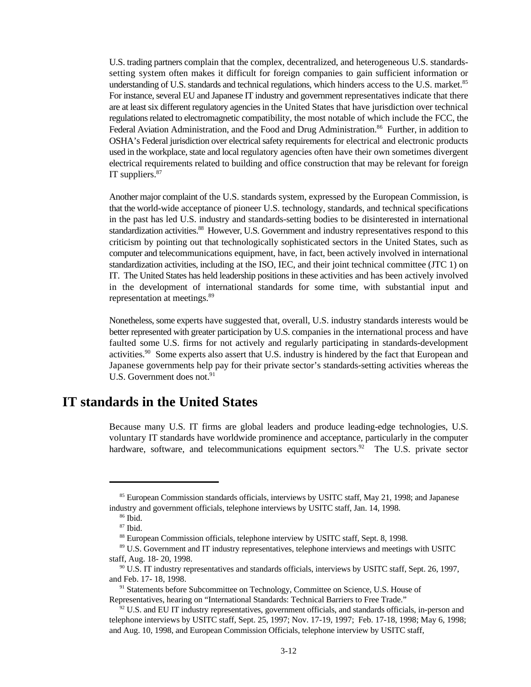U.S. trading partners complain that the complex, decentralized, and heterogeneous U.S. standardssetting system often makes it difficult for foreign companies to gain sufficient information or understanding of U.S. standards and technical regulations, which hinders access to the U.S. market.<sup>85</sup> For instance, several EU and Japanese IT industry and government representatives indicate that there are at least six different regulatory agencies in the United States that have jurisdiction over technical regulations related to electromagnetic compatibility, the most notable of which include the FCC, the Federal Aviation Administration, and the Food and Drug Administration.<sup>86</sup> Further, in addition to OSHA's Federal jurisdiction over electrical safety requirements for electrical and electronic products used in the workplace, state and local regulatory agencies often have their own sometimes divergent electrical requirements related to building and office construction that may be relevant for foreign IT suppliers.<sup>87</sup>

Another major complaint of the U.S. standards system, expressed by the European Commission, is that the world-wide acceptance of pioneer U.S. technology, standards, and technical specifications in the past has led U.S. industry and standards-setting bodies to be disinterested in international standardization activities.<sup>88</sup> However, U.S. Government and industry representatives respond to this criticism by pointing out that technologically sophisticated sectors in the United States, such as computer and telecommunications equipment, have, in fact, been actively involved in international standardization activities, including at the ISO, IEC, and their joint technical committee (JTC 1) on IT. The United States has held leadership positions in these activities and has been actively involved in the development of international standards for some time, with substantial input and representation at meetings.<sup>89</sup>

Nonetheless, some experts have suggested that, overall, U.S. industry standards interests would be better represented with greater participation by U.S. companies in the international process and have faulted some U.S. firms for not actively and regularly participating in standards-development activities.<sup>90</sup> Some experts also assert that U.S. industry is hindered by the fact that European and Japanese governments help pay for their private sector's standards-setting activities whereas the U.S. Government does not. $91$ 

#### **IT standards in the United States**

Because many U.S. IT firms are global leaders and produce leading-edge technologies, U.S. voluntary IT standards have worldwide prominence and acceptance, particularly in the computer hardware, software, and telecommunications equipment sectors.<sup>92</sup> The U.S. private sector

<sup>&</sup>lt;sup>85</sup> European Commission standards officials, interviews by USITC staff, May 21, 1998; and Japanese industry and government officials, telephone interviews by USITC staff, Jan. 14, 1998.

 $86$  Ibid.

 $87$  Ibid.

<sup>&</sup>lt;sup>88</sup> European Commission officials, telephone interview by USITC staff, Sept. 8, 1998.

<sup>&</sup>lt;sup>89</sup> U.S. Government and IT industry representatives, telephone interviews and meetings with USITC staff, Aug. 18- 20, 1998.

 $90$  U.S. IT industry representatives and standards officials, interviews by USITC staff, Sept. 26, 1997, and Feb. 17- 18, 1998.

<sup>&</sup>lt;sup>91</sup> Statements before Subcommittee on Technology, Committee on Science, U.S. House of Representatives, hearing on "International Standards: Technical Barriers to Free Trade."

 $92$  U.S. and EU IT industry representatives, government officials, and standards officials, in-person and telephone interviews by USITC staff, Sept. 25, 1997; Nov. 17-19, 1997; Feb. 17-18, 1998; May 6, 1998; and Aug. 10, 1998, and European Commission Officials, telephone interview by USITC staff,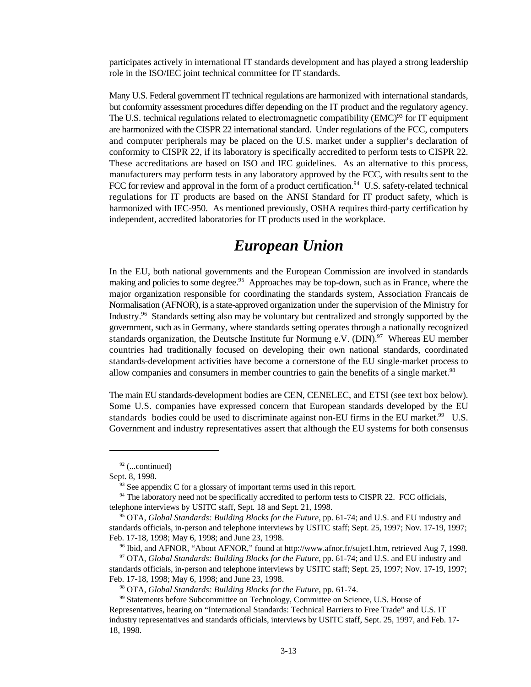participates actively in international IT standards development and has played a strong leadership role in the ISO/IEC joint technical committee for IT standards.

Many U.S. Federal government IT technical regulations are harmonized with international standards, but conformity assessment procedures differ depending on the IT product and the regulatory agency. The U.S. technical regulations related to electromagnetic compatibility ( $EMC$ )<sup>93</sup> for IT equipment are harmonized with the CISPR 22 international standard. Under regulations of the FCC, computers and computer peripherals may be placed on the U.S. market under a supplier's declaration of conformity to CISPR 22, if its laboratory is specifically accredited to perform tests to CISPR 22. These accreditations are based on ISO and IEC guidelines. As an alternative to this process, manufacturers may perform tests in any laboratory approved by the FCC, with results sent to the FCC for review and approval in the form of a product certification.<sup>94</sup> U.S. safety-related technical regulations for IT products are based on the ANSI Standard for IT product safety, which is harmonized with IEC-950. As mentioned previously, OSHA requires third-party certification by independent, accredited laboratories for IT products used in the workplace.

### *European Union*

In the EU, both national governments and the European Commission are involved in standards making and policies to some degree.<sup>95</sup> Approaches may be top-down, such as in France, where the major organization responsible for coordinating the standards system, Association Francais de Normalisation (AFNOR), is a state-approved organization under the supervision of the Ministry for Industry.<sup>96</sup> Standards setting also may be voluntary but centralized and strongly supported by the government, such as in Germany, where standards setting operates through a nationally recognized standards organization, the Deutsche Institute fur Normung e.V. (DIN).<sup>97</sup> Whereas EU member countries had traditionally focused on developing their own national standards, coordinated standards-development activities have become a cornerstone of the EU single-market process to allow companies and consumers in member countries to gain the benefits of a single market.<sup>98</sup>

The main EU standards-development bodies are CEN, CENELEC, and ETSI (see text box below). Some U.S. companies have expressed concern that European standards developed by the EU standards bodies could be used to discriminate against non-EU firms in the EU market.<sup>99</sup> U.S. Government and industry representatives assert that although the EU systems for both consensus

 $92$  (...continued)

Sept. 8, 1998.

 $93$  See appendix C for a glossary of important terms used in this report.

 $94$  The laboratory need not be specifically accredited to perform tests to CISPR 22. FCC officials, telephone interviews by USITC staff, Sept. 18 and Sept. 21, 1998.

<sup>&</sup>lt;sup>95</sup> OTA, *Global Standards: Building Blocks for the Future*, pp. 61-74; and U.S. and EU industry and standards officials, in-person and telephone interviews by USITC staff; Sept. 25, 1997; Nov. 17-19, 1997; Feb. 17-18, 1998; May 6, 1998; and June 23, 1998.

<sup>&</sup>lt;sup>96</sup> Ibid, and AFNOR, "About AFNOR," found at http://www.afnor.fr/sujet1.htm, retrieved Aug 7, 1998.

<sup>&</sup>lt;sup>97</sup> OTA, *Global Standards: Building Blocks for the Future*, pp. 61-74; and U.S. and EU industry and standards officials, in-person and telephone interviews by USITC staff; Sept. 25, 1997; Nov. 17-19, 1997; Feb. 17-18, 1998; May 6, 1998; and June 23, 1998.

<sup>&</sup>lt;sup>98</sup> OTA, *Global Standards: Building Blocks for the Future*, pp. 61-74.

<sup>&</sup>lt;sup>99</sup> Statements before Subcommittee on Technology, Committee on Science, U.S. House of Representatives, hearing on "International Standards: Technical Barriers to Free Trade" and U.S. IT industry representatives and standards officials, interviews by USITC staff, Sept. 25, 1997, and Feb. 17- 18, 1998.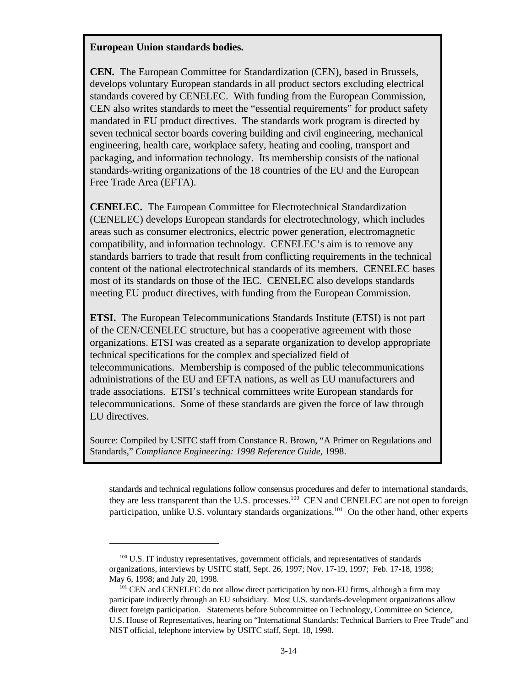#### **European Union standards bodies.**

**CEN.** The European Committee for Standardization (CEN), based in Brussels, develops voluntary European standards in all product sectors excluding electrical standards covered by CENELEC. With funding from the European Commission, CEN also writes standards to meet the "essential requirements" for product safety mandated in EU product directives. The standards work program is directed by seven technical sector boards covering building and civil engineering, mechanical engineering, health care, workplace safety, heating and cooling, transport and packaging, and information technology. Its membership consists of the national standards-writing organizations of the 18 countries of the EU and the European Free Trade Area (EFTA).

**CENELEC.** The European Committee for Electrotechnical Standardization (CENELEC) develops European standards for electrotechnology, which includes areas such as consumer electronics, electric power generation, electromagnetic compatibility, and information technology. CENELEC's aim is to remove any standards barriers to trade that result from conflicting requirements in the technical content of the national electrotechnical standards of its members. CENELEC bases most of its standards on those of the IEC. CENELEC also develops standards meeting EU product directives, with funding from the European Commission.

**ETSI.** The European Telecommunications Standards Institute (ETSI) is not part of the CEN/CENELEC structure, but has a cooperative agreement with those organizations. ETSI was created as a separate organization to develop appropriate technical specifications for the complex and specialized field of telecommunications. Membership is composed of the public telecommunications administrations of the EU and EFTA nations, as well as EU manufacturers and trade associations. ETSI's technical committees write European standards for telecommunications. Some of these standards are given the force of law through EU directives.

Source: Compiled by USITC staff from Constance R. Brown, "A Primer on Regulations and Standards," *Compliance Engineering: 1998 Reference Guide*, 1998.

standards and technical regulations follow consensus procedures and defer to international standards, they are less transparent than the U.S. processes.<sup>100</sup> CEN and CENELEC are not open to foreign participation, unlike U.S. voluntary standards organizations.<sup>101</sup> On the other hand, other experts

 $100$  U.S. IT industry representatives, government officials, and representatives of standards organizations, interviews by USITC staff, Sept. 26, 1997; Nov. 17-19, 1997; Feb. 17-18, 1998; May 6, 1998; and July 20, 1998.

 $^{101}$  CEN and CENELEC do not allow direct participation by non-EU firms, although a firm may participate indirectly through an EU subsidiary. Most U.S. standards-development organizations allow direct foreign participation. Statements before Subcommittee on Technology, Committee on Science, U.S. House of Representatives, hearing on "International Standards: Technical Barriers to Free Trade" and NIST official, telephone interview by USITC staff, Sept. 18, 1998.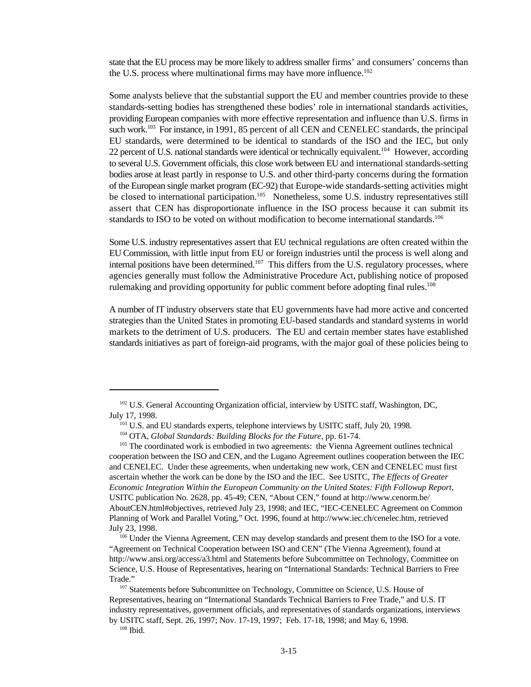state that the EU process may be more likely to address smaller firms' and consumers' concerns than the U.S. process where multinational firms may have more influence.<sup>102</sup>

Some analysts believe that the substantial support the EU and member countries provide to these standards-setting bodies has strengthened these bodies' role in international standards activities, providing European companies with more effective representation and influence than U.S. firms in such work.<sup>103</sup> For instance, in 1991, 85 percent of all CEN and CENELEC standards, the principal EU standards, were determined to be identical to standards of the ISO and the IEC, but only 22 percent of U.S. national standards were identical or technically equivalent.<sup>104</sup> However, according to several U.S. Government officials, this close work between EU and international standards-setting bodies arose at least partly in response to U.S. and other third-party concerns during the formation of the European single market program (EC-92) that Europe-wide standards-setting activities might be closed to international participation.<sup>105</sup> Nonetheless, some U.S. industry representatives still assert that CEN has disproportionate influence in the ISO process because it can submit its standards to ISO to be voted on without modification to become international standards.<sup>106</sup>

Some U.S. industry representatives assert that EU technical regulations are often created within the EU Commission, with little input from EU or foreign industries until the process is well along and internal positions have been determined.<sup>107</sup> This differs from the U.S. regulatory processes, where agencies generally must follow the Administrative Procedure Act, publishing notice of proposed rulemaking and providing opportunity for public comment before adopting final rules.<sup>108</sup>

A number of IT industry observers state that EU governments have had more active and concerted strategies than the United States in promoting EU-based standards and standard systems in world markets to the detriment of U.S. producers. The EU and certain member states have established standards initiatives as part of foreign-aid programs, with the major goal of these policies being to

 $102$  U.S. General Accounting Organization official, interview by USITC staff, Washington, DC, July 17, 1998.

 $^{103}$  U.S. and EU standards experts, telephone interviews by USITC staff, July 20, 1998.

<sup>&</sup>lt;sup>104</sup> OTA, *Global Standards: Building Blocks for the Future*, pp. 61-74.

 $105$  The coordinated work is embodied in two agreements: the Vienna Agreement outlines technical cooperation between the ISO and CEN, and the Lugano Agreement outlines cooperation between the IEC and CENELEC. Under these agreements, when undertaking new work, CEN and CENELEC must first ascertain whether the work can be done by the ISO and the IEC. See USITC, *The Effects of Greater Economic Integration Within the European Community on the United States: Fifth Followup Report,* USITC publication No. 2628, pp. 45-49; CEN, "About CEN," found at http://www.cenorm.be/ AboutCEN.html#objectives, retrieved July 23, 1998; and IEC, "IEC-CENELEC Agreement on Common Planning of Work and Parallel Voting," Oct. 1996, found at http://www.iec.ch/cenelec.htm, retrieved July 23, 1998.

<sup>106</sup> Under the Vienna Agreement, CEN may develop standards and present them to the ISO for a vote. "Agreement on Technical Cooperation between ISO and CEN" (The Vienna Agreement), found at http://www.ansi.org/access/a3.html and Statements before Subcommittee on Technology, Committee on Science, U.S. House of Representatives, hearing on "International Standards: Technical Barriers to Free Trade."

 $107$  Statements before Subcommittee on Technology, Committee on Science, U.S. House of Representatives, hearing on "International Standards Technical Barriers to Free Trade," and U.S. IT industry representatives, government officials, and representatives of standards organizations, interviews by USITC staff, Sept. 26, 1997; Nov. 17-19, 1997; Feb. 17-18, 1998; and May 6, 1998.

 $108$  Ibid.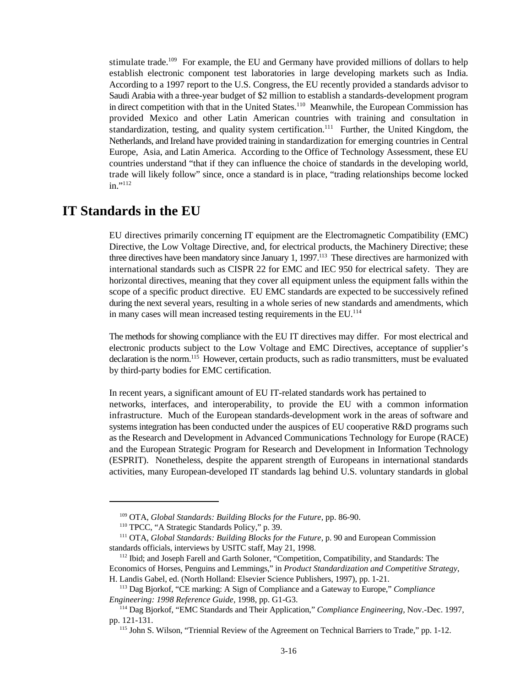stimulate trade.<sup>109</sup> For example, the EU and Germany have provided millions of dollars to help establish electronic component test laboratories in large developing markets such as India. According to a 1997 report to the U.S. Congress, the EU recently provided a standards advisor to Saudi Arabia with a three-year budget of \$2 million to establish a standards-development program in direct competition with that in the United States.<sup>110</sup> Meanwhile, the European Commission has provided Mexico and other Latin American countries with training and consultation in standardization, testing, and quality system certification.<sup>111</sup> Further, the United Kingdom, the Netherlands, and Ireland have provided training in standardization for emerging countries in Central Europe, Asia, and Latin America. According to the Office of Technology Assessment, these EU countries understand "that if they can influence the choice of standards in the developing world, trade will likely follow" since, once a standard is in place, "trading relationships become locked in."<sup>112</sup>

#### **IT Standards in the EU**

EU directives primarily concerning IT equipment are the Electromagnetic Compatibility (EMC) Directive, the Low Voltage Directive, and, for electrical products, the Machinery Directive; these three directives have been mandatory since January 1, 1997.<sup>113</sup> These directives are harmonized with international standards such as CISPR 22 for EMC and IEC 950 for electrical safety. They are horizontal directives, meaning that they cover all equipment unless the equipment falls within the scope of a specific product directive. EU EMC standards are expected to be successively refined during the next several years, resulting in a whole series of new standards and amendments, which in many cases will mean increased testing requirements in the EU.<sup>114</sup>

The methods for showing compliance with the EU IT directives may differ. For most electrical and electronic products subject to the Low Voltage and EMC Directives, acceptance of supplier's declaration is the norm.<sup>115</sup> However, certain products, such as radio transmitters, must be evaluated by third-party bodies for EMC certification.

In recent years, a significant amount of EU IT-related standards work has pertained to networks, interfaces, and interoperability, to provide the EU with a common information infrastructure. Much of the European standards-development work in the areas of software and systems integration has been conducted under the auspices of EU cooperative R&D programs such as the Research and Development in Advanced Communications Technology for Europe (RACE) and the European Strategic Program for Research and Development in Information Technology (ESPRIT). Nonetheless, despite the apparent strength of Europeans in international standards activities, many European-developed IT standards lag behind U.S. voluntary standards in global

<sup>&</sup>lt;sup>109</sup> OTA, *Global Standards: Building Blocks for the Future*, pp. 86-90.

<sup>&</sup>lt;sup>110</sup> TPCC, "A Strategic Standards Policy," p. 39.

<sup>&</sup>lt;sup>111</sup> OTA, *Global Standards: Building Blocks for the Future*, p. 90 and European Commission standards officials, interviews by USITC staff, May 21, 1998.

<sup>&</sup>lt;sup>112</sup> Ibid; and Joseph Farell and Garth Soloner, "Competition, Compatibility, and Standards: The Economics of Horses, Penguins and Lemmings," in *Product Standardization and Competitive Strategy*, H. Landis Gabel, ed. (North Holland: Elsevier Science Publishers, 1997), pp. 1-21.

<sup>&</sup>lt;sup>113</sup> Dag Bjorkof, "CE marking: A Sign of Compliance and a Gateway to Europe," *Compliance Engineering: 1998 Reference Guide*, 1998, pp. G1-G3.

<sup>&</sup>lt;sup>114</sup> Dag Bjorkof, "EMC Standards and Their Application," *Compliance Engineering*, Nov.-Dec. 1997, pp. 121-131.

<sup>&</sup>lt;sup>115</sup> John S. Wilson, "Triennial Review of the Agreement on Technical Barriers to Trade," pp. 1-12.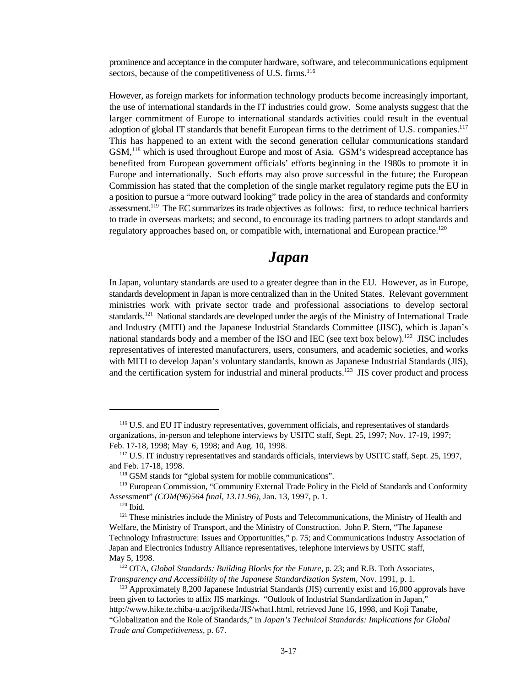prominence and acceptance in the computer hardware, software, and telecommunications equipment sectors, because of the competitiveness of U.S. firms.<sup>116</sup>

However, as foreign markets for information technology products become increasingly important, the use of international standards in the IT industries could grow. Some analysts suggest that the larger commitment of Europe to international standards activities could result in the eventual adoption of global IT standards that benefit European firms to the detriment of U.S. companies.<sup>117</sup> This has happened to an extent with the second generation cellular communications standard GSM,<sup>118</sup> which is used throughout Europe and most of Asia. GSM's widespread acceptance has benefited from European government officials' efforts beginning in the 1980s to promote it in Europe and internationally. Such efforts may also prove successful in the future; the European Commission has stated that the completion of the single market regulatory regime puts the EU in a position to pursue a "more outward looking" trade policy in the area of standards and conformity assessment.<sup>119</sup> The EC summarizes its trade objectives as follows: first, to reduce technical barriers to trade in overseas markets; and second, to encourage its trading partners to adopt standards and regulatory approaches based on, or compatible with, international and European practice.<sup>120</sup>

#### *Japan*

In Japan, voluntary standards are used to a greater degree than in the EU. However, as in Europe, standards development in Japan is more centralized than in the United States. Relevant government ministries work with private sector trade and professional associations to develop sectoral standards.<sup>121</sup> National standards are developed under the aegis of the Ministry of International Trade and Industry (MITI) and the Japanese Industrial Standards Committee (JISC), which is Japan's national standards body and a member of the ISO and IEC (see text box below).<sup>122</sup> JISC includes representatives of interested manufacturers, users, consumers, and academic societies, and works with MITI to develop Japan's voluntary standards, known as Japanese Industrial Standards (JIS), and the certification system for industrial and mineral products.<sup>123</sup> JIS cover product and process

<sup>&</sup>lt;sup>116</sup> U.S. and EU IT industry representatives, government officials, and representatives of standards organizations, in-person and telephone interviews by USITC staff, Sept. 25, 1997; Nov. 17-19, 1997; Feb. 17-18, 1998; May 6, 1998; and Aug. 10, 1998.

<sup>&</sup>lt;sup>117</sup> U.S. IT industry representatives and standards officials, interviews by USITC staff, Sept. 25, 1997, and Feb. 17-18, 1998.

 $118$  GSM stands for "global system for mobile communications".

<sup>&</sup>lt;sup>119</sup> European Commission, "Community External Trade Policy in the Field of Standards and Conformity Assessment" *(COM(96)564 final, 13.11.96)*, Jan. 13, 1997, p. 1.

 $120$  Ibid.

<sup>&</sup>lt;sup>121</sup> These ministries include the Ministry of Posts and Telecommunications, the Ministry of Health and Welfare, the Ministry of Transport, and the Ministry of Construction. John P. Stern, "The Japanese Technology Infrastructure: Issues and Opportunities," p. 75; and Communications Industry Association of Japan and Electronics Industry Alliance representatives, telephone interviews by USITC staff, May 5, 1998.

<sup>&</sup>lt;sup>122</sup> OTA, *Global Standards: Building Blocks for the Future*, p. 23; and R.B. Toth Associates, *Transparency and Accessibility of the Japanese Standardization System*, Nov. 1991, p. 1.

<sup>&</sup>lt;sup> $123$ </sup> Approximately 8,200 Japanese Industrial Standards (JIS) currently exist and 16,000 approvals have been given to factories to affix JIS markings. "Outlook of Industrial Standardization in Japan," http://www.hike.te.chiba-u.ac/jp/ikeda/JIS/what1.html, retrieved June 16, 1998, and Koji Tanabe, "Globalization and the Role of Standards," in *Japan's Technical Standards: Implications for Global Trade and Competitiveness,* p. 67.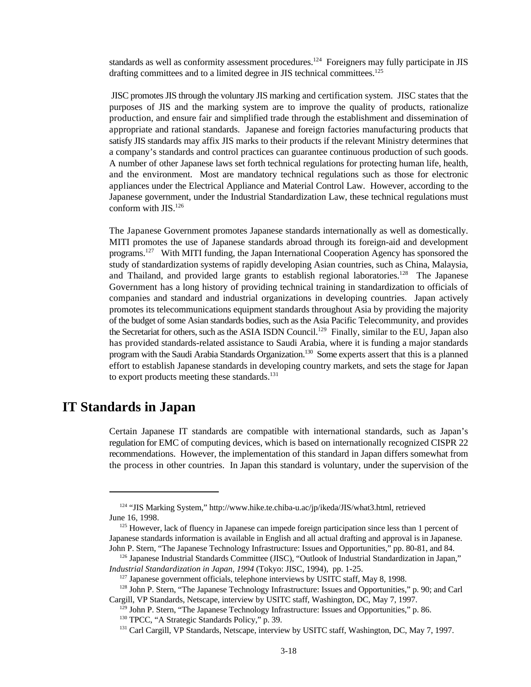standards as well as conformity assessment procedures.<sup>124</sup> Foreigners may fully participate in JIS drafting committees and to a limited degree in JIS technical committees.<sup>125</sup>

 JISC promotes JIS through the voluntary JIS marking and certification system. JISC states that the purposes of JIS and the marking system are to improve the quality of products, rationalize production, and ensure fair and simplified trade through the establishment and dissemination of appropriate and rational standards. Japanese and foreign factories manufacturing products that satisfy JIS standards may affix JIS marks to their products if the relevant Ministry determines that a company's standards and control practices can guarantee continuous production of such goods. A number of other Japanese laws set forth technical regulations for protecting human life, health, and the environment. Most are mandatory technical regulations such as those for electronic appliances under the Electrical Appliance and Material Control Law. However, according to the Japanese government, under the Industrial Standardization Law, these technical regulations must conform with JIS.<sup>126</sup>

The Japanese Government promotes Japanese standards internationally as well as domestically. MITI promotes the use of Japanese standards abroad through its foreign-aid and development programs. <sup>127</sup> With MITI funding, the Japan International Cooperation Agency has sponsored the study of standardization systems of rapidly developing Asian countries, such as China, Malaysia, and Thailand, and provided large grants to establish regional laboratories.<sup>128</sup> The Japanese Government has a long history of providing technical training in standardization to officials of companies and standard and industrial organizations in developing countries. Japan actively promotes its telecommunications equipment standards throughout Asia by providing the majority of the budget of some Asian standards bodies, such as the Asia Pacific Telecommunity, and provides the Secretariat for others, such as the ASIA ISDN Council.<sup>129</sup> Finally, similar to the EU, Japan also has provided standards-related assistance to Saudi Arabia, where it is funding a major standards program with the Saudi Arabia Standards Organization.<sup>130</sup> Some experts assert that this is a planned effort to establish Japanese standards in developing country markets, and sets the stage for Japan to export products meeting these standards.<sup>131</sup>

#### **IT Standards in Japan**

Certain Japanese IT standards are compatible with international standards, such as Japan's regulation for EMC of computing devices, which is based on internationally recognized CISPR 22 recommendations. However, the implementation of this standard in Japan differs somewhat from the process in other countries. In Japan this standard is voluntary, under the supervision of the

<sup>&</sup>lt;sup>124</sup> "JIS Marking System," http://www.hike.te.chiba-u.ac/jp/ikeda/JIS/what3.html, retrieved June 16, 1998.

 $125$  However, lack of fluency in Japanese can impede foreign participation since less than 1 percent of Japanese standards information is available in English and all actual drafting and approval is in Japanese. John P. Stern, "The Japanese Technology Infrastructure: Issues and Opportunities," pp. 80-81, and 84.

<sup>&</sup>lt;sup>126</sup> Japanese Industrial Standards Committee (JISC), "Outlook of Industrial Standardization in Japan," *Industrial Standardization in Japan, 1994* (Tokyo: JISC, 1994), pp. 1-25.

 $127$  Japanese government officials, telephone interviews by USITC staff, May 8, 1998.

<sup>&</sup>lt;sup>128</sup> John P. Stern, "The Japanese Technology Infrastructure: Issues and Opportunities," p. 90; and Carl Cargill, VP Standards, Netscape, interview by USITC staff, Washington, DC, May 7, 1997.

 $129$  John P. Stern, "The Japanese Technology Infrastructure: Issues and Opportunities," p. 86.

<sup>&</sup>lt;sup>130</sup> TPCC, "A Strategic Standards Policy," p. 39.

<sup>&</sup>lt;sup>131</sup> Carl Cargill, VP Standards, Netscape, interview by USITC staff, Washington, DC, May 7, 1997.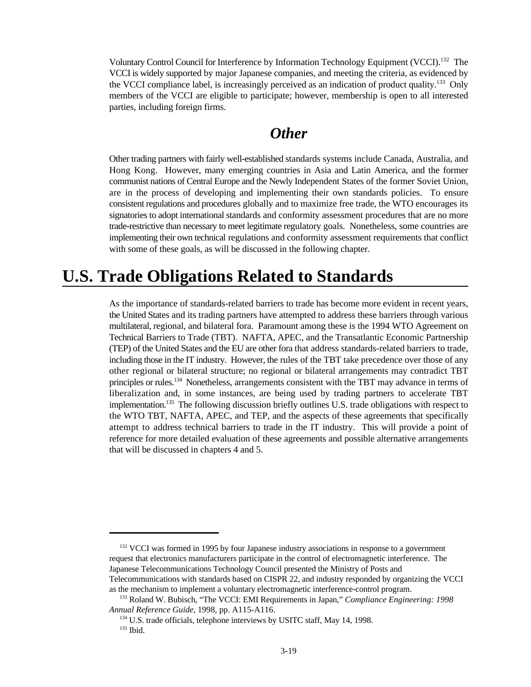Voluntary Control Council for Interference by Information Technology Equipment (VCCI).<sup>132</sup> The VCCI is widely supported by major Japanese companies, and meeting the criteria, as evidenced by the VCCI compliance label, is increasingly perceived as an indication of product quality.<sup>133</sup> Only members of the VCCI are eligible to participate; however, membership is open to all interested parties, including foreign firms.

#### *Other*

Other trading partners with fairly well-established standards systems include Canada, Australia, and Hong Kong. However, many emerging countries in Asia and Latin America, and the former communist nations of Central Europe and the Newly Independent States of the former Soviet Union, are in the process of developing and implementing their own standards policies. To ensure consistent regulations and procedures globally and to maximize free trade, the WTO encourages its signatories to adopt international standards and conformity assessment procedures that are no more trade-restrictive than necessary to meet legitimate regulatory goals. Nonetheless, some countries are implementing their own technical regulations and conformity assessment requirements that conflict with some of these goals, as will be discussed in the following chapter.

## **U.S. Trade Obligations Related to Standards**

As the importance of standards-related barriers to trade has become more evident in recent years, the United States and its trading partners have attempted to address these barriers through various multilateral, regional, and bilateral fora. Paramount among these is the 1994 WTO Agreement on Technical Barriers to Trade (TBT). NAFTA, APEC, and the Transatlantic Economic Partnership (TEP) of the United States and the EU are other fora that address standards-related barriers to trade, including those in the IT industry. However, the rules of the TBT take precedence over those of any other regional or bilateral structure; no regional or bilateral arrangements may contradict TBT principles or rules.<sup>134</sup> Nonetheless, arrangements consistent with the TBT may advance in terms of liberalization and, in some instances, are being used by trading partners to accelerate TBT implementation.<sup>135</sup> The following discussion briefly outlines U.S. trade obligations with respect to the WTO TBT, NAFTA, APEC, and TEP, and the aspects of these agreements that specifically attempt to address technical barriers to trade in the IT industry. This will provide a point of reference for more detailed evaluation of these agreements and possible alternative arrangements that will be discussed in chapters 4 and 5.

 $132$  VCCI was formed in 1995 by four Japanese industry associations in response to a government request that electronics manufacturers participate in the control of electromagnetic interference. The Japanese Telecommunications Technology Council presented the Ministry of Posts and Telecommunications with standards based on CISPR 22, and industry responded by organizing the VCCI as the mechanism to implement a voluntary electromagnetic interference-control program.

<sup>&</sup>lt;sup>133</sup> Roland W. Bubisch, "The VCCI: EMI Requirements in Japan," *Compliance Engineering: 1998 Annual Reference Guide*, 1998, pp. A115-A116.

 $134$  U.S. trade officials, telephone interviews by USITC staff, May 14, 1998.  $135$  Ibid.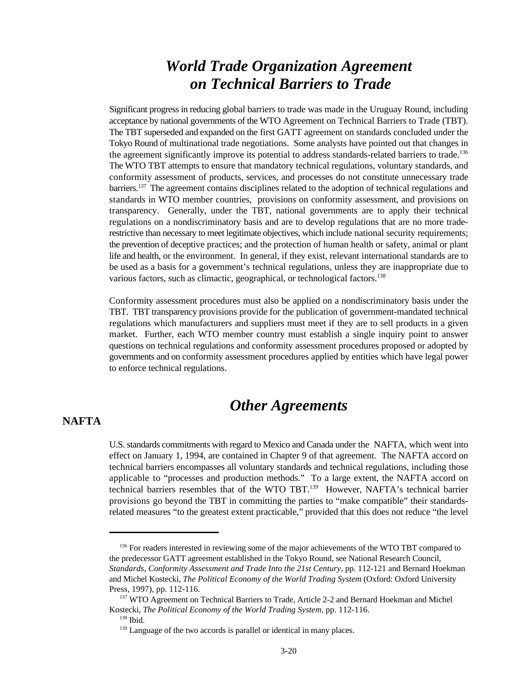### *World Trade Organization Agreement on Technical Barriers to Trade*

Significant progress in reducing global barriers to trade was made in the Uruguay Round, including acceptance by national governments of the WTO Agreement on Technical Barriers to Trade (TBT). The TBT superseded and expanded on the first GATT agreement on standards concluded under the Tokyo Round of multinational trade negotiations. Some analysts have pointed out that changes in the agreement significantly improve its potential to address standards-related barriers to trade.<sup>136</sup> The WTO TBT attempts to ensure that mandatory technical regulations, voluntary standards, and conformity assessment of products, services, and processes do not constitute unnecessary trade barriers. <sup>137</sup> The agreement contains disciplines related to the adoption of technical regulations and standards in WTO member countries, provisions on conformity assessment, and provisions on transparency. Generally, under the TBT, national governments are to apply their technical regulations on a nondiscriminatory basis and are to develop regulations that are no more traderestrictive than necessary to meet legitimate objectives, which include national security requirements; the prevention of deceptive practices; and the protection of human health or safety, animal or plant life and health, or the environment. In general, if they exist, relevant international standards are to be used as a basis for a government's technical regulations, unless they are inappropriate due to various factors, such as climactic, geographical, or technological factors.<sup>138</sup>

Conformity assessment procedures must also be applied on a nondiscriminatory basis under the TBT. TBT transparency provisions provide for the publication of government-mandated technical regulations which manufacturers and suppliers must meet if they are to sell products in a given market. Further, each WTO member country must establish a single inquiry point to answer questions on technical regulations and conformity assessment procedures proposed or adopted by governments and on conformity assessment procedures applied by entities which have legal power to enforce technical regulations.

## *Other Agreements*

#### **NAFTA**

U.S. standards commitments with regard to Mexico and Canada under the NAFTA, which went into effect on January 1, 1994, are contained in Chapter 9 of that agreement. The NAFTA accord on technical barriers encompasses all voluntary standards and technical regulations, including those applicable to "processes and production methods." To a large extent, the NAFTA accord on technical barriers resembles that of the WTO TBT.<sup>139</sup> However, NAFTA's technical barrier provisions go beyond the TBT in committing the parties to "make compatible" their standardsrelated measures "to the greatest extent practicable," provided that this does not reduce "the level

<sup>&</sup>lt;sup>136</sup> For readers interested in reviewing some of the major achievements of the WTO TBT compared to the predecessor GATT agreement established in the Tokyo Round, see National Research Council, *Standards, Conformity Assessment and Trade Into the 21st Century,* pp. 112-121 and Bernard Hoekman and Michel Kostecki, *The Political Economy of the World Trading System* (Oxford: Oxford University Press, 1997), pp. 112-116.

<sup>&</sup>lt;sup>137</sup> WTO Agreement on Technical Barriers to Trade, Article 2-2 and Bernard Hoekman and Michel Kostecki, *The Political Economy of the World Trading System*, pp. 112-116.  $138$  Ibid.

 $139$  Language of the two accords is parallel or identical in many places.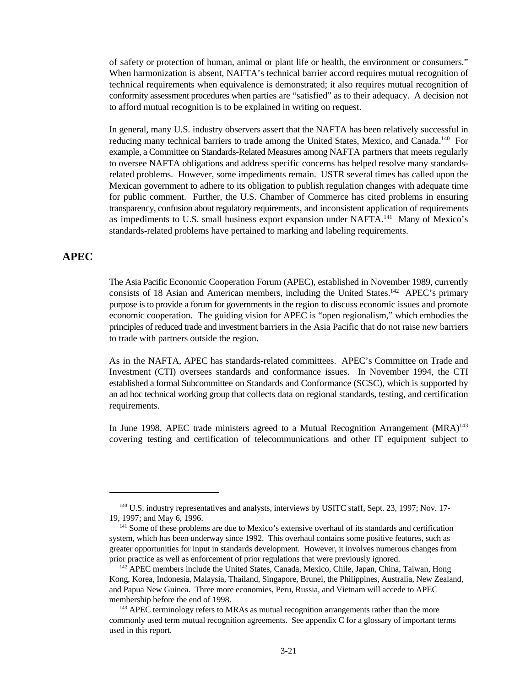of safety or protection of human, animal or plant life or health, the environment or consumers." When harmonization is absent, NAFTA's technical barrier accord requires mutual recognition of technical requirements when equivalence is demonstrated; it also requires mutual recognition of conformity assessment procedures when parties are "satisfied" as to their adequacy. A decision not to afford mutual recognition is to be explained in writing on request.

In general, many U.S. industry observers assert that the NAFTA has been relatively successful in reducing many technical barriers to trade among the United States, Mexico, and Canada.<sup>140</sup> For example, a Committee on Standards-Related Measures among NAFTA partners that meets regularly to oversee NAFTA obligations and address specific concerns has helped resolve many standardsrelated problems. However, some impediments remain. USTR several times has called upon the Mexican government to adhere to its obligation to publish regulation changes with adequate time for public comment. Further, the U.S. Chamber of Commerce has cited problems in ensuring transparency, confusion about regulatory requirements, and inconsistent application of requirements as impediments to U.S. small business export expansion under NAFTA.<sup>141</sup> Many of Mexico's standards-related problems have pertained to marking and labeling requirements.

#### **APEC**

The Asia Pacific Economic Cooperation Forum (APEC), established in November 1989, currently consists of 18 Asian and American members, including the United States.<sup>142</sup> APEC's primary purpose is to provide a forum for governments in the region to discuss economic issues and promote economic cooperation. The guiding vision for APEC is "open regionalism," which embodies the principles of reduced trade and investment barriers in the Asia Pacific that do not raise new barriers to trade with partners outside the region.

As in the NAFTA, APEC has standards-related committees. APEC's Committee on Trade and Investment (CTI) oversees standards and conformance issues. In November 1994, the CTI established a formal Subcommittee on Standards and Conformance (SCSC), which is supported by an ad hoc technical working group that collects data on regional standards, testing, and certification requirements.

In June 1998, APEC trade ministers agreed to a Mutual Recognition Arrangement  $(MRA)^{143}$ covering testing and certification of telecommunications and other IT equipment subject to

<sup>&</sup>lt;sup>140</sup> U.S. industry representatives and analysts, interviews by USITC staff, Sept. 23, 1997; Nov. 17-19, 1997; and May 6, 1996.

 $<sup>141</sup>$  Some of these problems are due to Mexico's extensive overhaul of its standards and certification</sup> system, which has been underway since 1992. This overhaul contains some positive features, such as greater opportunities for input in standards development. However, it involves numerous changes from prior practice as well as enforcement of prior regulations that were previously ignored.

 $142$  APEC members include the United States, Canada, Mexico, Chile, Japan, China, Taiwan, Hong Kong, Korea, Indonesia, Malaysia, Thailand, Singapore, Brunei, the Philippines, Australia, New Zealand, and Papua New Guinea. Three more economies, Peru, Russia, and Vietnam will accede to APEC membership before the end of 1998.

 $143$  APEC terminology refers to MRAs as mutual recognition arrangements rather than the more commonly used term mutual recognition agreements. See appendix C for a glossary of important terms used in this report.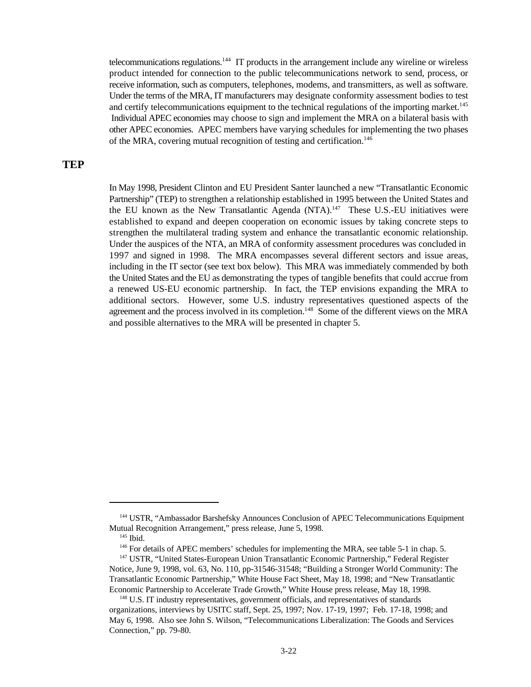telecommunications regulations.  $144$  IT products in the arrangement include any wireline or wireless product intended for connection to the public telecommunications network to send, process, or receive information, such as computers, telephones, modems, and transmitters, as well as software. Under the terms of the MRA, IT manufacturers may designate conformity assessment bodies to test and certify telecommunications equipment to the technical regulations of the importing market.<sup>145</sup> Individual APEC economies may choose to sign and implement the MRA on a bilateral basis with other APEC economies. APEC members have varying schedules for implementing the two phases of the MRA, covering mutual recognition of testing and certification.<sup>146</sup>

#### **TEP**

In May 1998, President Clinton and EU President Santer launched a new "Transatlantic Economic Partnership" (TEP) to strengthen a relationship established in 1995 between the United States and the EU known as the New Transatlantic Agenda (NTA).<sup>147</sup> These U.S.-EU initiatives were established to expand and deepen cooperation on economic issues by taking concrete steps to strengthen the multilateral trading system and enhance the transatlantic economic relationship. Under the auspices of the NTA, an MRA of conformity assessment procedures was concluded in 1997 and signed in 1998. The MRA encompasses several different sectors and issue areas, including in the IT sector (see text box below). This MRA was immediately commended by both the United States and the EU as demonstrating the types of tangible benefits that could accrue from a renewed US-EU economic partnership. In fact, the TEP envisions expanding the MRA to additional sectors. However, some U.S. industry representatives questioned aspects of the agreement and the process involved in its completion.<sup>148</sup> Some of the different views on the MRA and possible alternatives to the MRA will be presented in chapter 5.

<sup>&</sup>lt;sup>144</sup> USTR, "Ambassador Barshefsky Announces Conclusion of APEC Telecommunications Equipment Mutual Recognition Arrangement," press release, June 5, 1998.

 $145$  Ibid.

 $<sup>146</sup>$  For details of APEC members' schedules for implementing the MRA, see table 5-1 in chap. 5.</sup>

<sup>&</sup>lt;sup>147</sup> USTR, "United States-European Union Transatlantic Economic Partnership," Federal Register Notice, June 9, 1998, vol. 63, No. 110, pp-31546-31548; "Building a Stronger World Community: The Transatlantic Economic Partnership," White House Fact Sheet, May 18, 1998; and "New Transatlantic Economic Partnership to Accelerate Trade Growth," White House press release, May 18, 1998.

<sup>&</sup>lt;sup>148</sup> U.S. IT industry representatives, government officials, and representatives of standards organizations, interviews by USITC staff, Sept. 25, 1997; Nov. 17-19, 1997; Feb. 17-18, 1998; and May 6, 1998. Also see John S. Wilson, "Telecommunications Liberalization: The Goods and Services Connection," pp. 79-80.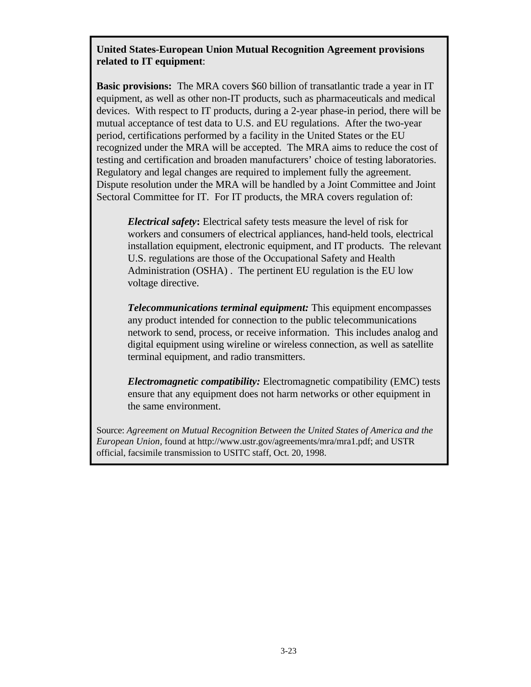#### **United States-European Union Mutual Recognition Agreement provisions related to IT equipment**:

**Basic provisions:** The MRA covers \$60 billion of transatlantic trade a year in IT equipment, as well as other non-IT products, such as pharmaceuticals and medical devices. With respect to IT products, during a 2-year phase-in period, there will be mutual acceptance of test data to U.S. and EU regulations. After the two-year period, certifications performed by a facility in the United States or the EU recognized under the MRA will be accepted. The MRA aims to reduce the cost of testing and certification and broaden manufacturers' choice of testing laboratories. Regulatory and legal changes are required to implement fully the agreement. Dispute resolution under the MRA will be handled by a Joint Committee and Joint Sectoral Committee for IT. For IT products, the MRA covers regulation of:

*Electrical safety***:** Electrical safety tests measure the level of risk for workers and consumers of electrical appliances, hand-held tools, electrical installation equipment, electronic equipment, and IT products. The relevant U.S. regulations are those of the Occupational Safety and Health Administration (OSHA) . The pertinent EU regulation is the EU low voltage directive.

*Telecommunications terminal equipment:* This equipment encompasses any product intended for connection to the public telecommunications network to send, process, or receive information. This includes analog and digital equipment using wireline or wireless connection, as well as satellite terminal equipment, and radio transmitters.

*Electromagnetic compatibility:* Electromagnetic compatibility (EMC) tests ensure that any equipment does not harm networks or other equipment in the same environment.

Source: *Agreement on Mutual Recognition Between the United States of America and the European Union,* found at http://www.ustr.gov/agreements/mra/mra1.pdf; and USTR official, facsimile transmission to USITC staff, Oct. 20, 1998.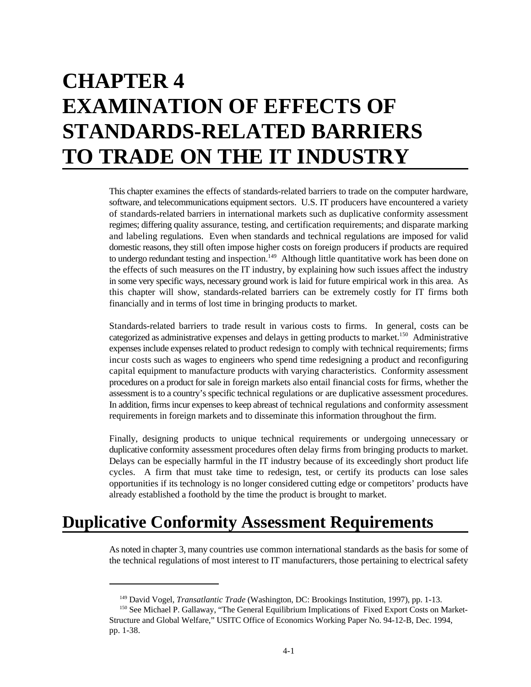# **CHAPTER 4 EXAMINATION OF EFFECTS OF STANDARDS-RELATED BARRIERS TO TRADE ON THE IT INDUSTRY**

This chapter examines the effects of standards-related barriers to trade on the computer hardware, software, and telecommunications equipment sectors. U.S. IT producers have encountered a variety of standards-related barriers in international markets such as duplicative conformity assessment regimes; differing quality assurance, testing, and certification requirements; and disparate marking and labeling regulations. Even when standards and technical regulations are imposed for valid domestic reasons, they still often impose higher costs on foreign producers if products are required to undergo redundant testing and inspection.<sup>149</sup> Although little quantitative work has been done on the effects of such measures on the IT industry, by explaining how such issues affect the industry in some very specific ways, necessary ground work is laid for future empirical work in this area. As this chapter will show, standards-related barriers can be extremely costly for IT firms both financially and in terms of lost time in bringing products to market.

Standards-related barriers to trade result in various costs to firms. In general, costs can be categorized as administrative expenses and delays in getting products to market.<sup>150</sup> Administrative expenses include expenses related to product redesign to comply with technical requirements; firms incur costs such as wages to engineers who spend time redesigning a product and reconfiguring capital equipment to manufacture products with varying characteristics. Conformity assessment procedures on a product for sale in foreign markets also entail financial costs for firms, whether the assessment is to a country's specific technical regulations or are duplicative assessment procedures. In addition, firms incur expenses to keep abreast of technical regulations and conformity assessment requirements in foreign markets and to disseminate this information throughout the firm.

Finally, designing products to unique technical requirements or undergoing unnecessary or duplicative conformity assessment procedures often delay firms from bringing products to market. Delays can be especially harmful in the IT industry because of its exceedingly short product life cycles. A firm that must take time to redesign, test, or certify its products can lose sales opportunities if its technology is no longer considered cutting edge or competitors' products have already established a foothold by the time the product is brought to market.

## **Duplicative Conformity Assessment Requirements**

As noted in chapter 3, many countries use common international standards as the basis for some of the technical regulations of most interest to IT manufacturers, those pertaining to electrical safety

<sup>&</sup>lt;sup>149</sup> David Vogel, *Transatlantic Trade* (Washington, DC: Brookings Institution, 1997), pp. 1-13.

<sup>&</sup>lt;sup>150</sup> See Michael P. Gallaway, "The General Equilibrium Implications of Fixed Export Costs on Market-Structure and Global Welfare," USITC Office of Economics Working Paper No. 94-12-B, Dec. 1994, pp. 1-38.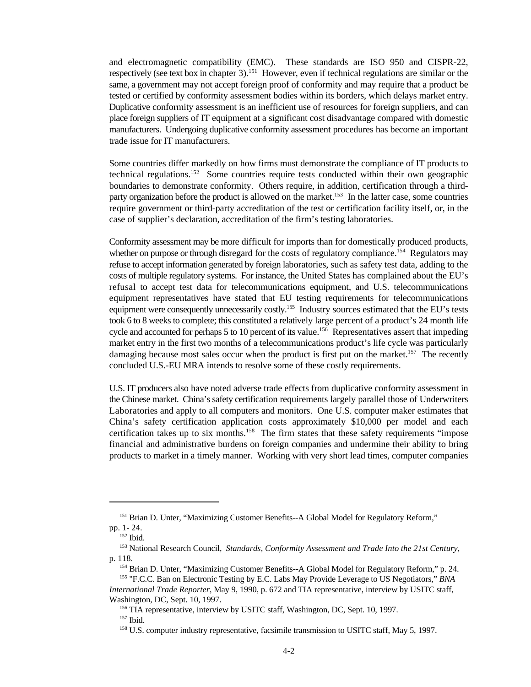and electromagnetic compatibility (EMC). These standards are ISO 950 and CISPR-22, respectively (see text box in chapter 3).<sup>151</sup> However, even if technical regulations are similar or the same, a government may not accept foreign proof of conformity and may require that a product be tested or certified by conformity assessment bodies within its borders, which delays market entry. Duplicative conformity assessment is an inefficient use of resources for foreign suppliers, and can place foreign suppliers of IT equipment at a significant cost disadvantage compared with domestic manufacturers. Undergoing duplicative conformity assessment procedures has become an important trade issue for IT manufacturers.

Some countries differ markedly on how firms must demonstrate the compliance of IT products to technical regulations.<sup>152</sup> Some countries require tests conducted within their own geographic boundaries to demonstrate conformity. Others require, in addition, certification through a thirdparty organization before the product is allowed on the market.<sup>153</sup> In the latter case, some countries require government or third-party accreditation of the test or certification facility itself, or, in the case of supplier's declaration, accreditation of the firm's testing laboratories.

Conformity assessment may be more difficult for imports than for domestically produced products, whether on purpose or through disregard for the costs of regulatory compliance.<sup>154</sup> Regulators may refuse to accept information generated by foreign laboratories, such as safety test data, adding to the costs of multiple regulatory systems. For instance, the United States has complained about the EU's refusal to accept test data for telecommunications equipment, and U.S. telecommunications equipment representatives have stated that EU testing requirements for telecommunications equipment were consequently unnecessarily costly.<sup>155</sup> Industry sources estimated that the EU's tests took 6 to 8 weeks to complete; this constituted a relatively large percent of a product's 24 month life cycle and accounted for perhaps 5 to 10 percent of its value.<sup>156</sup> Representatives assert that impeding market entry in the first two months of a telecommunications product's life cycle was particularly damaging because most sales occur when the product is first put on the market.<sup>157</sup> The recently concluded U.S.-EU MRA intends to resolve some of these costly requirements.

U.S. IT producers also have noted adverse trade effects from duplicative conformity assessment in the Chinese market. China's safety certification requirements largely parallel those of Underwriters Laboratories and apply to all computers and monitors. One U.S. computer maker estimates that China's safety certification application costs approximately \$10,000 per model and each certification takes up to six months.<sup>158</sup> The firm states that these safety requirements "impose financial and administrative burdens on foreign companies and undermine their ability to bring products to market in a timely manner. Working with very short lead times, computer companies

<sup>&</sup>lt;sup>151</sup> Brian D. Unter, "Maximizing Customer Benefits--A Global Model for Regulatory Reform," pp. 1- 24.

 $152$  Ibid.

<sup>&</sup>lt;sup>153</sup> National Research Council, *Standards, Conformity Assessment and Trade Into the 21st Century,* p. 118.

<sup>&</sup>lt;sup>154</sup> Brian D. Unter, "Maximizing Customer Benefits--A Global Model for Regulatory Reform," p. 24. <sup>155</sup> "F.C.C. Ban on Electronic Testing by E.C. Labs May Provide Leverage to US Negotiators," *BNA* 

*International Trade Reporter*, May 9, 1990, p. 672 and TIA representative, interview by USITC staff, Washington, DC, Sept. 10, 1997.

 $156$  TIA representative, interview by USITC staff, Washington, DC, Sept. 10, 1997.

<sup>&</sup>lt;sup>157</sup> Ibid.

<sup>&</sup>lt;sup>158</sup> U.S. computer industry representative, facsimile transmission to USITC staff, May 5, 1997.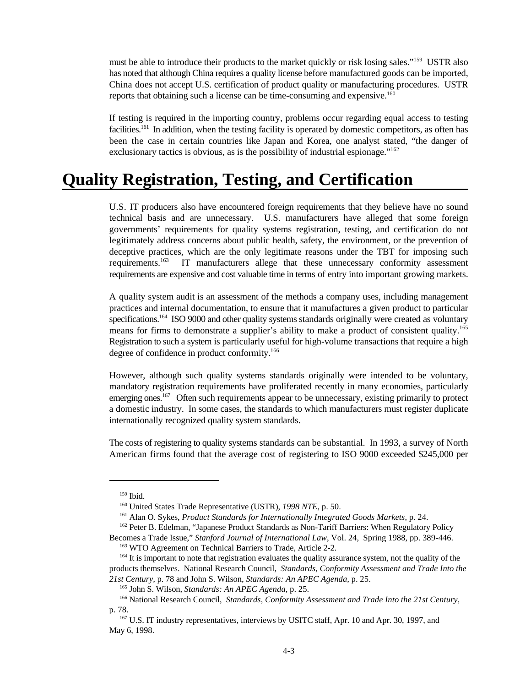must be able to introduce their products to the market quickly or risk losing sales."<sup>159</sup> USTR also has noted that although China requires a quality license before manufactured goods can be imported, China does not accept U.S. certification of product quality or manufacturing procedures. USTR reports that obtaining such a license can be time-consuming and expensive.<sup>160</sup>

If testing is required in the importing country, problems occur regarding equal access to testing facilities.<sup>161</sup> In addition, when the testing facility is operated by domestic competitors, as often has been the case in certain countries like Japan and Korea, one analyst stated, "the danger of exclusionary tactics is obvious, as is the possibility of industrial espionage."<sup>162</sup>

## **Quality Registration, Testing, and Certification**

U.S. IT producers also have encountered foreign requirements that they believe have no sound technical basis and are unnecessary. U.S. manufacturers have alleged that some foreign governments' requirements for quality systems registration, testing, and certification do not legitimately address concerns about public health, safety, the environment, or the prevention of deceptive practices, which are the only legitimate reasons under the TBT for imposing such IT manufacturers allege that these unnecessary conformity assessment requirements. $163$ requirements are expensive and cost valuable time in terms of entry into important growing markets.

A quality system audit is an assessment of the methods a company uses, including management practices and internal documentation, to ensure that it manufactures a given product to particular specifications.<sup>164</sup> ISO 9000 and other quality systems standards originally were created as voluntary means for firms to demonstrate a supplier's ability to make a product of consistent quality.<sup>165</sup> Registration to such a system is particularly useful for high-volume transactions that require a high degree of confidence in product conformity.<sup>166</sup>

However, although such quality systems standards originally were intended to be voluntary, mandatory registration requirements have proliferated recently in many economies, particularly emerging ones.<sup>167</sup> Often such requirements appear to be unnecessary, existing primarily to protect a domestic industry. In some cases, the standards to which manufacturers must register duplicate internationally recognized quality system standards.

The costs of registering to quality systems standards can be substantial. In 1993, a survey of North American firms found that the average cost of registering to ISO 9000 exceeded \$245,000 per

 $159$  Ibid.

<sup>&</sup>lt;sup>160</sup> United States Trade Representative (USTR), 1998 NTE, p. 50.

<sup>&</sup>lt;sup>161</sup> Alan O. Sykes, *Product Standards for Internationally Integrated Goods Markets*, p. 24.

<sup>&</sup>lt;sup>162</sup> Peter B. Edelman, "Japanese Product Standards as Non-Tariff Barriers: When Regulatory Policy Becomes a Trade Issue," *Stanford Journal of International Law*, Vol. 24, Spring 1988, pp. 389-446.

<sup>&</sup>lt;sup>163</sup> WTO Agreement on Technical Barriers to Trade, Article 2-2.

 $164$  It is important to note that registration evaluates the quality assurance system, not the quality of the products themselves. National Research Council, *Standards, Conformity Assessment and Trade Into the 21st Century,* p. 78 and John S. Wilson, *Standards: An APEC Agenda,* p. 25.

<sup>&</sup>lt;sup>165</sup> John S. Wilson, *Standards: An APEC Agenda*, p. 25.

<sup>&</sup>lt;sup>166</sup> National Research Council, *Standards, Conformity Assessment and Trade Into the 21st Century,* p. 78.

<sup>&</sup>lt;sup>167</sup> U.S. IT industry representatives, interviews by USITC staff, Apr. 10 and Apr. 30, 1997, and May 6, 1998.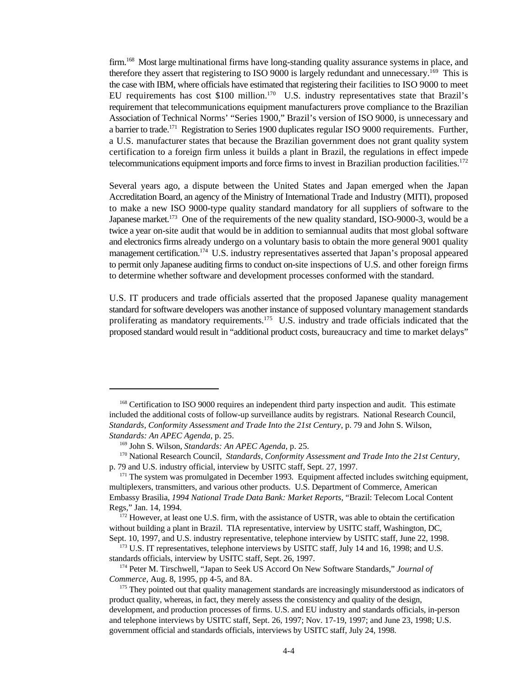firm. <sup>168</sup> Most large multinational firms have long-standing quality assurance systems in place, and therefore they assert that registering to ISO 9000 is largely redundant and unnecessary.<sup>169</sup> This is the case with IBM, where officials have estimated that registering their facilities to ISO 9000 to meet EU requirements has cost \$100 million.<sup>170</sup> U.S. industry representatives state that Brazil's requirement that telecommunications equipment manufacturers prove compliance to the Brazilian Association of Technical Norms' "Series 1900," Brazil's version of ISO 9000, is unnecessary and a barrier to trade.<sup>171</sup> Registration to Series 1900 duplicates regular ISO 9000 requirements. Further, a U.S. manufacturer states that because the Brazilian government does not grant quality system certification to a foreign firm unless it builds a plant in Brazil, the regulations in effect impede telecommunications equipment imports and force firms to invest in Brazilian production facilities.<sup>172</sup>

Several years ago, a dispute between the United States and Japan emerged when the Japan Accreditation Board, an agency of the Ministry of International Trade and Industry (MITI), proposed to make a new ISO 9000-type quality standard mandatory for all suppliers of software to the Japanese market.<sup>173</sup> One of the requirements of the new quality standard, ISO-9000-3, would be a twice a year on-site audit that would be in addition to semiannual audits that most global software and electronics firms already undergo on a voluntary basis to obtain the more general 9001 quality management certification.<sup>174</sup> U.S. industry representatives asserted that Japan's proposal appeared to permit only Japanese auditing firms to conduct on-site inspections of U.S. and other foreign firms to determine whether software and development processes conformed with the standard.

U.S. IT producers and trade officials asserted that the proposed Japanese quality management standard for software developers was another instance of supposed voluntary management standards proliferating as mandatory requirements.<sup>175</sup> U.S. industry and trade officials indicated that the proposed standard would result in "additional product costs, bureaucracy and time to market delays"

<sup>&</sup>lt;sup>168</sup> Certification to ISO 9000 requires an independent third party inspection and audit. This estimate included the additional costs of follow-up surveillance audits by registrars. National Research Council, *Standards, Conformity Assessment and Trade Into the 21st Century,* p. 79 and John S. Wilson, *Standards: An APEC Agenda,* p. 25.

<sup>&</sup>lt;sup>169</sup> John S. Wilson, *Standards: An APEC Agenda*, p. 25.

<sup>&</sup>lt;sup>170</sup> National Research Council, *Standards, Conformity Assessment and Trade Into the 21st Century,* p. 79 and U.S. industry official, interview by USITC staff, Sept. 27, 1997.

 $171$  The system was promulgated in December 1993. Equipment affected includes switching equipment, multiplexers, transmitters, and various other products. U.S. Department of Commerce, American Embassy Brasilia, *1994 National Trade Data Bank: Market Reports,* "Brazil: Telecom Local Content Regs," Jan. 14, 1994.

 $\frac{1}{172}$  However, at least one U.S. firm, with the assistance of USTR, was able to obtain the certification without building a plant in Brazil. TIA representative, interview by USITC staff, Washington, DC, Sept. 10, 1997, and U.S. industry representative, telephone interview by USITC staff, June 22, 1998.

 $173$  U.S. IT representatives, telephone interviews by USITC staff, July 14 and 16, 1998; and U.S. standards officials, interview by USITC staff, Sept. 26, 1997.

<sup>&</sup>lt;sup>174</sup> Peter M. Tirschwell, "Japan to Seek US Accord On New Software Standards," *Journal of Commerce*, Aug. 8, 1995, pp 4-5, and 8A.

<sup>&</sup>lt;sup>175</sup> They pointed out that quality management standards are increasingly misunderstood as indicators of product quality, whereas, in fact, they merely assess the consistency and quality of the design, development, and production processes of firms. U.S. and EU industry and standards officials, in-person and telephone interviews by USITC staff, Sept. 26, 1997; Nov. 17-19, 1997; and June 23, 1998; U.S. government official and standards officials, interviews by USITC staff, July 24, 1998.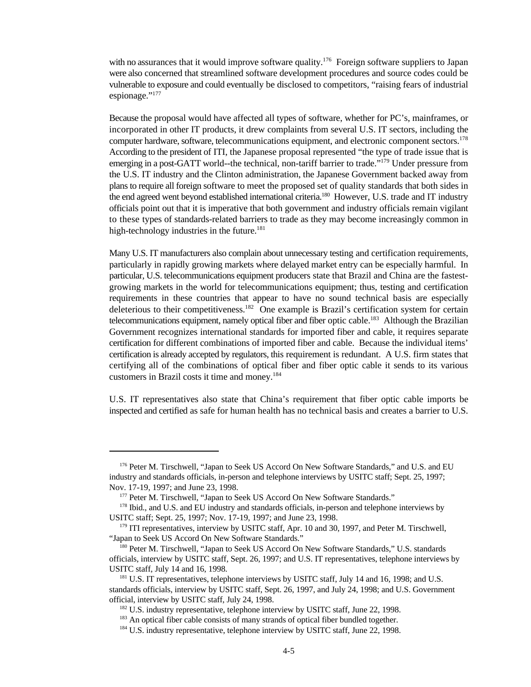with no assurances that it would improve software quality.<sup>176</sup> Foreign software suppliers to Japan were also concerned that streamlined software development procedures and source codes could be vulnerable to exposure and could eventually be disclosed to competitors, "raising fears of industrial espionage."<sup>177</sup>

Because the proposal would have affected all types of software, whether for PC's, mainframes, or incorporated in other IT products, it drew complaints from several U.S. IT sectors, including the computer hardware, software, telecommunications equipment, and electronic component sectors.<sup>178</sup> According to the president of ITI, the Japanese proposal represented "the type of trade issue that is emerging in a post-GATT world--the technical, non-tariff barrier to trade."<sup>179</sup> Under pressure from the U.S. IT industry and the Clinton administration, the Japanese Government backed away from plans to require all foreign software to meet the proposed set of quality standards that both sides in the end agreed went beyond established international criteria.<sup>180</sup> However, U.S. trade and IT industry officials point out that it is imperative that both government and industry officials remain vigilant to these types of standards-related barriers to trade as they may become increasingly common in high-technology industries in the future.<sup>181</sup>

Many U.S. IT manufacturers also complain about unnecessary testing and certification requirements, particularly in rapidly growing markets where delayed market entry can be especially harmful. In particular, U.S. telecommunications equipment producers state that Brazil and China are the fastestgrowing markets in the world for telecommunications equipment; thus, testing and certification requirements in these countries that appear to have no sound technical basis are especially deleterious to their competitiveness.<sup>182</sup> One example is Brazil's certification system for certain telecommunications equipment, namely optical fiber and fiber optic cable.<sup>183</sup> Although the Brazilian Government recognizes international standards for imported fiber and cable, it requires separate certification for different combinations of imported fiber and cable. Because the individual items' certification is already accepted by regulators, this requirement is redundant. A U.S. firm states that certifying all of the combinations of optical fiber and fiber optic cable it sends to its various customers in Brazil costs it time and money.<sup>184</sup>

U.S. IT representatives also state that China's requirement that fiber optic cable imports be inspected and certified as safe for human health has no technical basis and creates a barrier to U.S.

<sup>&</sup>lt;sup>176</sup> Peter M. Tirschwell, "Japan to Seek US Accord On New Software Standards," and U.S. and EU industry and standards officials, in-person and telephone interviews by USITC staff; Sept. 25, 1997; Nov. 17-19, 1997; and June 23, 1998.

<sup>&</sup>lt;sup>177</sup> Peter M. Tirschwell, "Japan to Seek US Accord On New Software Standards."

<sup>&</sup>lt;sup>178</sup> Ibid., and U.S. and EU industry and standards officials, in-person and telephone interviews by USITC staff; Sept. 25, 1997; Nov. 17-19, 1997; and June 23, 1998.

<sup>&</sup>lt;sup>179</sup> ITI representatives, interview by USITC staff, Apr. 10 and 30, 1997, and Peter M. Tirschwell, "Japan to Seek US Accord On New Software Standards."

<sup>&</sup>lt;sup>180</sup> Peter M. Tirschwell, "Japan to Seek US Accord On New Software Standards," U.S. standards officials, interview by USITC staff, Sept. 26, 1997; and U.S. IT representatives, telephone interviews by USITC staff, July 14 and 16, 1998.

<sup>&</sup>lt;sup>181</sup> U.S. IT representatives, telephone interviews by USITC staff, July 14 and 16, 1998; and U.S. standards officials, interview by USITC staff, Sept. 26, 1997, and July 24, 1998; and U.S. Government official, interview by USITC staff, July 24, 1998.

 $182$  U.S. industry representative, telephone interview by USITC staff, June 22, 1998.

<sup>&</sup>lt;sup>183</sup> An optical fiber cable consists of many strands of optical fiber bundled together.

 $184$  U.S. industry representative, telephone interview by USITC staff, June 22, 1998.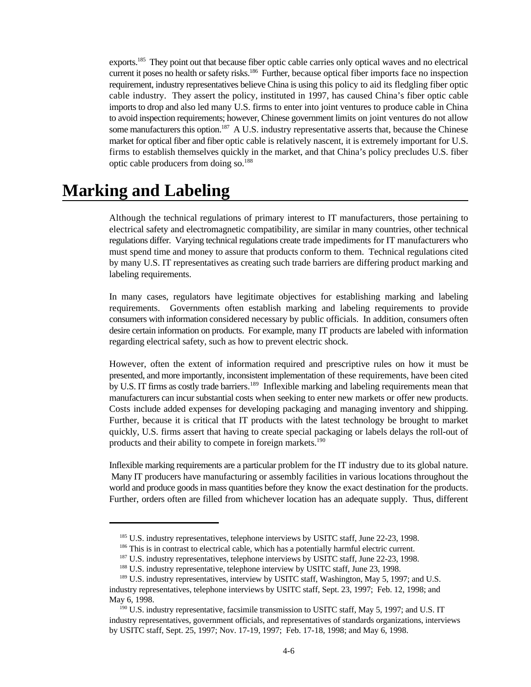exports.<sup>185</sup> They point out that because fiber optic cable carries only optical waves and no electrical current it poses no health or safety risks.<sup>186</sup> Further, because optical fiber imports face no inspection requirement, industry representatives believe China is using this policy to aid its fledgling fiber optic cable industry. They assert the policy, instituted in 1997, has caused China's fiber optic cable imports to drop and also led many U.S. firms to enter into joint ventures to produce cable in China to avoid inspection requirements; however, Chinese government limits on joint ventures do not allow some manufacturers this option.<sup>187</sup> A U.S. industry representative asserts that, because the Chinese market for optical fiber and fiber optic cable is relatively nascent, it is extremely important for U.S. firms to establish themselves quickly in the market, and that China's policy precludes U.S. fiber optic cable producers from doing so.<sup>188</sup>

## **Marking and Labeling**

Although the technical regulations of primary interest to IT manufacturers, those pertaining to electrical safety and electromagnetic compatibility, are similar in many countries, other technical regulations differ. Varying technical regulations create trade impediments for IT manufacturers who must spend time and money to assure that products conform to them. Technical regulations cited by many U.S. IT representatives as creating such trade barriers are differing product marking and labeling requirements.

In many cases, regulators have legitimate objectives for establishing marking and labeling requirements. Governments often establish marking and labeling requirements to provide consumers with information considered necessary by public officials. In addition, consumers often desire certain information on products. For example, many IT products are labeled with information regarding electrical safety, such as how to prevent electric shock.

However, often the extent of information required and prescriptive rules on how it must be presented, and more importantly, inconsistent implementation of these requirements, have been cited by U.S. IT firms as costly trade barriers.<sup>189</sup> Inflexible marking and labeling requirements mean that manufacturers can incur substantial costs when seeking to enter new markets or offer new products. Costs include added expenses for developing packaging and managing inventory and shipping. Further, because it is critical that IT products with the latest technology be brought to market quickly, U.S. firms assert that having to create special packaging or labels delays the roll-out of products and their ability to compete in foreign markets.<sup>190</sup>

Inflexible marking requirements are a particular problem for the IT industry due to its global nature. Many IT producers have manufacturing or assembly facilities in various locations throughout the world and produce goods in mass quantities before they know the exact destination for the products. Further, orders often are filled from whichever location has an adequate supply. Thus, different

 $185$  U.S. industry representatives, telephone interviews by USITC staff, June 22-23, 1998.

<sup>186</sup> This is in contrast to electrical cable, which has a potentially harmful electric current.

 $187$  U.S. industry representatives, telephone interviews by USITC staff, June 22-23, 1998.

 $188$  U.S. industry representative, telephone interview by USITC staff, June 23, 1998.

 $^{189}$  U.S. industry representatives, interview by USITC staff, Washington, May 5, 1997; and U.S. industry representatives, telephone interviews by USITC staff, Sept. 23, 1997; Feb. 12, 1998; and May 6, 1998.

 $190$  U.S. industry representative, facsimile transmission to USITC staff, May 5, 1997; and U.S. IT industry representatives, government officials, and representatives of standards organizations, interviews by USITC staff, Sept. 25, 1997; Nov. 17-19, 1997; Feb. 17-18, 1998; and May 6, 1998.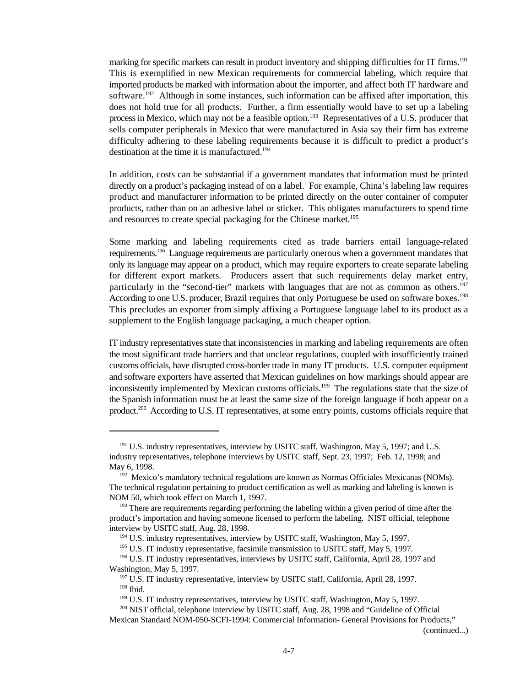marking for specific markets can result in product inventory and shipping difficulties for IT firms.<sup>191</sup> This is exemplified in new Mexican requirements for commercial labeling, which require that imported products be marked with information about the importer, and affect both IT hardware and software.<sup>192</sup> Although in some instances, such information can be affixed after importation, this does not hold true for all products. Further, a firm essentially would have to set up a labeling process in Mexico, which may not be a feasible option.<sup>193</sup> Representatives of a U.S. producer that sells computer peripherals in Mexico that were manufactured in Asia say their firm has extreme difficulty adhering to these labeling requirements because it is difficult to predict a product's destination at the time it is manufactured.<sup>194</sup>

In addition, costs can be substantial if a government mandates that information must be printed directly on a product's packaging instead of on a label. For example, China's labeling law requires product and manufacturer information to be printed directly on the outer container of computer products, rather than on an adhesive label or sticker. This obligates manufacturers to spend time and resources to create special packaging for the Chinese market.<sup>195</sup>

Some marking and labeling requirements cited as trade barriers entail language-related requirements.<sup>196</sup> Language requirements are particularly onerous when a government mandates that only its language may appear on a product, which may require exporters to create separate labeling for different export markets. Producers assert that such requirements delay market entry, particularly in the "second-tier" markets with languages that are not as common as others.<sup>197</sup> According to one U.S. producer, Brazil requires that only Portuguese be used on software boxes.<sup>198</sup> This precludes an exporter from simply affixing a Portuguese language label to its product as a supplement to the English language packaging, a much cheaper option.

IT industry representatives state that inconsistencies in marking and labeling requirements are often the most significant trade barriers and that unclear regulations, coupled with insufficiently trained customs officials, have disrupted cross-border trade in many IT products. U.S. computer equipment and software exporters have asserted that Mexican guidelines on how markings should appear are inconsistently implemented by Mexican customs officials.<sup>199</sup> The regulations state that the size of the Spanish information must be at least the same size of the foreign language if both appear on a product.<sup>200</sup> According to U.S. IT representatives, at some entry points, customs officials require that

(continued...)

 $191$  U.S. industry representatives, interview by USITC staff, Washington, May 5, 1997; and U.S. industry representatives, telephone interviews by USITC staff, Sept. 23, 1997; Feb. 12, 1998; and May 6, 1998.

<sup>&</sup>lt;sup>192</sup> Mexico's mandatory technical regulations are known as Normas Officiales Mexicanas (NOMs). The technical regulation pertaining to product certification as well as marking and labeling is known is NOM 50, which took effect on March 1, 1997.

<sup>&</sup>lt;sup>193</sup> There are requirements regarding performing the labeling within a given period of time after the product's importation and having someone licensed to perform the labeling. NIST official, telephone interview by USITC staff, Aug. 28, 1998.

 $194$  U.S. industry representatives, interview by USITC staff, Washington, May 5, 1997.

<sup>&</sup>lt;sup>195</sup> U.S. IT industry representative, facsimile transmission to USITC staff, May 5, 1997.

<sup>&</sup>lt;sup>196</sup> U.S. IT industry representatives, interviews by USITC staff, California, April 28, 1997 and Washington, May 5, 1997.

<sup>&</sup>lt;sup>197</sup> U.S. IT industry representative, interview by USITC staff, California, April 28, 1997.  $198$  Ibid.

 $199$  U.S. IT industry representatives, interview by USITC staff, Washington, May 5, 1997.

 $\frac{200}{15}$  NIST official, telephone interview by USITC staff, Aug. 28, 1998 and "Guideline of Official

Mexican Standard NOM-050-SCFI-1994: Commercial Information- General Provisions for Products,"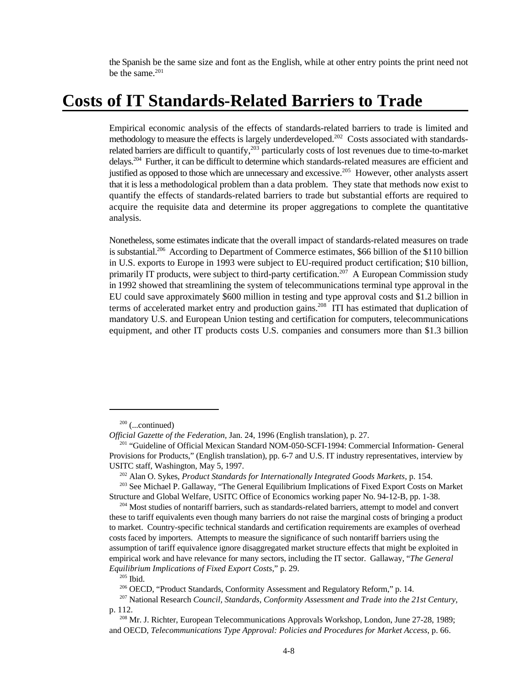the Spanish be the same size and font as the English, while at other entry points the print need not be the same.<sup>201</sup>

### **Costs of IT Standards-Related Barriers to Trade**

Empirical economic analysis of the effects of standards-related barriers to trade is limited and methodology to measure the effects is largely underdeveloped.<sup>202</sup> Costs associated with standardsrelated barriers are difficult to quantify,  $203$  particularly costs of lost revenues due to time-to-market delays.<sup>204</sup> Further, it can be difficult to determine which standards-related measures are efficient and justified as opposed to those which are unnecessary and excessive.<sup>205</sup> However, other analysts assert that it is less a methodological problem than a data problem. They state that methods now exist to quantify the effects of standards-related barriers to trade but substantial efforts are required to acquire the requisite data and determine its proper aggregations to complete the quantitative analysis.

Nonetheless, some estimates indicate that the overall impact of standards-related measures on trade is substantial.<sup>206</sup> According to Department of Commerce estimates, \$66 billion of the \$110 billion in U.S. exports to Europe in 1993 were subject to EU-required product certification; \$10 billion, primarily IT products, were subject to third-party certification.<sup>207</sup> A European Commission study in 1992 showed that streamlining the system of telecommunications terminal type approval in the EU could save approximately \$600 million in testing and type approval costs and \$1.2 billion in terms of accelerated market entry and production gains.<sup>208</sup> ITI has estimated that duplication of mandatory U.S. and European Union testing and certification for computers, telecommunications equipment, and other IT products costs U.S. companies and consumers more than \$1.3 billion

 $200$  (...continued)

*Official Gazette of the Federation,* Jan. 24, 1996 (English translation), p. 27.

<sup>&</sup>lt;sup>201</sup> "Guideline of Official Mexican Standard NOM-050-SCFI-1994: Commercial Information- General Provisions for Products," (English translation), pp. 6-7 and U.S. IT industry representatives, interview by USITC staff, Washington, May 5, 1997.

<sup>&</sup>lt;sup>202</sup> Alan O. Sykes, *Product Standards for Internationally Integrated Goods Markets*, p. 154.

<sup>&</sup>lt;sup>203</sup> See Michael P. Gallaway, "The General Equilibrium Implications of Fixed Export Costs on Market Structure and Global Welfare, USITC Office of Economics working paper No. 94-12-B, pp. 1-38.

<sup>&</sup>lt;sup>204</sup> Most studies of nontariff barriers, such as standards-related barriers, attempt to model and convert these to tariff equivalents even though many barriers do not raise the marginal costs of bringing a product to market. Country-specific technical standards and certification requirements are examples of overhead costs faced by importers. Attempts to measure the significance of such nontariff barriers using the assumption of tariff equivalence ignore disaggregated market structure effects that might be exploited in empirical work and have relevance for many sectors, including the IT sector. Gallaway, "*The General Equilibrium Implications of Fixed Export Costs*," p. 29.

 $205$  Ibid.

<sup>&</sup>lt;sup>206</sup> OECD, "Product Standards, Conformity Assessment and Regulatory Reform," p. 14.

National Research *Council, Standards, Conformity Assessment and Trade into the 21st Century*, 207 p. 112.

<sup>&</sup>lt;sup>208</sup> Mr. J. Richter, European Telecommunications Approvals Workshop, London, June 27-28, 1989; and OECD, *Telecommunications Type Approval: Policies and Procedures for Market Access*, p. 66.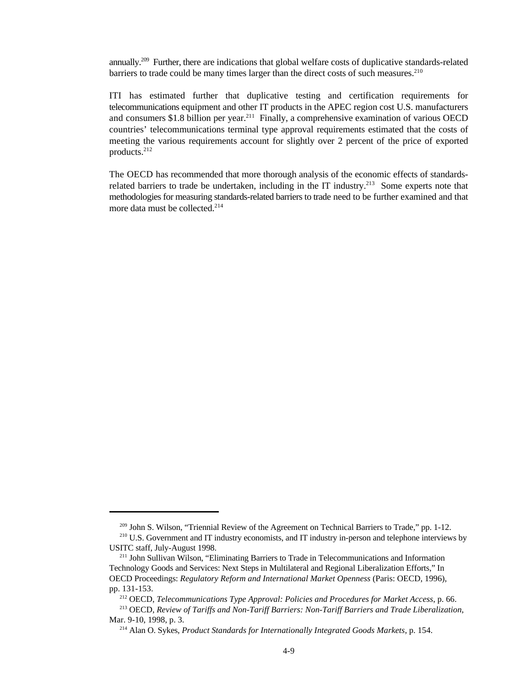annually.<sup>209</sup> Further, there are indications that global welfare costs of duplicative standards-related barriers to trade could be many times larger than the direct costs of such measures.<sup>210</sup>

ITI has estimated further that duplicative testing and certification requirements for telecommunications equipment and other IT products in the APEC region cost U.S. manufacturers and consumers \$1.8 billion per year.<sup>211</sup> Finally, a comprehensive examination of various OECD countries' telecommunications terminal type approval requirements estimated that the costs of meeting the various requirements account for slightly over 2 percent of the price of exported products.<sup>212</sup>

The OECD has recommended that more thorough analysis of the economic effects of standardsrelated barriers to trade be undertaken, including in the IT industry.<sup>213</sup> Some experts note that methodologies for measuring standards-related barriers to trade need to be further examined and that more data must be collected.<sup>214</sup>

 $209$  John S. Wilson, "Triennial Review of the Agreement on Technical Barriers to Trade," pp. 1-12.

<sup>&</sup>lt;sup>210</sup> U.S. Government and IT industry economists, and IT industry in-person and telephone interviews by USITC staff, July-August 1998.

<sup>&</sup>lt;sup>211</sup> John Sullivan Wilson, "Eliminating Barriers to Trade in Telecommunications and Information Technology Goods and Services: Next Steps in Multilateral and Regional Liberalization Efforts," In OECD Proceedings: *Regulatory Reform and International Market Openness* (Paris: OECD, 1996), pp. 131-153.

<sup>&</sup>lt;sup>212</sup> OECD, *Telecommunications Type Approval: Policies and Procedures for Market Access*, p. 66.

<sup>&</sup>lt;sup>213</sup> OECD, Review of Tariffs and Non-Tariff Barriers: Non-Tariff Barriers and Trade Liberalization, Mar. 9-10, 1998, p. 3.

<sup>&</sup>lt;sup>214</sup> Alan O. Sykes, *Product Standards for Internationally Integrated Goods Markets*, p. 154.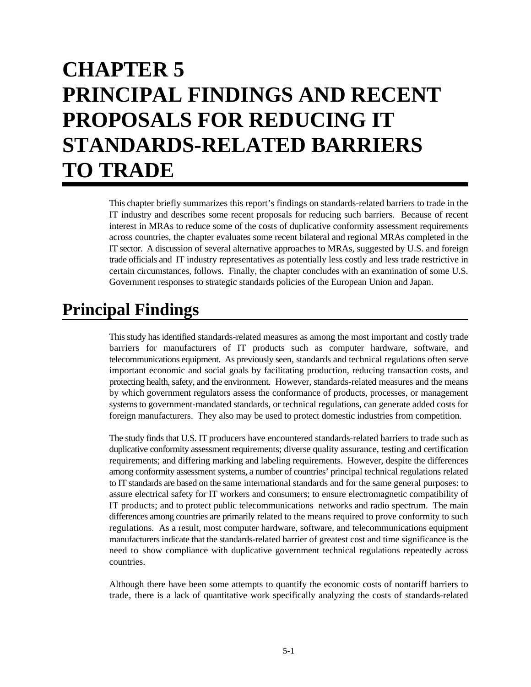# **CHAPTER 5 PRINCIPAL FINDINGS AND RECENT PROPOSALS FOR REDUCING IT STANDARDS-RELATED BARRIERS TO TRADE**

This chapter briefly summarizes this report's findings on standards-related barriers to trade in the IT industry and describes some recent proposals for reducing such barriers. Because of recent interest in MRAs to reduce some of the costs of duplicative conformity assessment requirements across countries, the chapter evaluates some recent bilateral and regional MRAs completed in the IT sector. A discussion of several alternative approaches to MRAs, suggested by U.S. and foreign trade officials and IT industry representatives as potentially less costly and less trade restrictive in certain circumstances, follows. Finally, the chapter concludes with an examination of some U.S. Government responses to strategic standards policies of the European Union and Japan.

## **Principal Findings**

This study has identified standards-related measures as among the most important and costly trade barriers for manufacturers of IT products such as computer hardware, software, and telecommunications equipment. As previously seen, standards and technical regulations often serve important economic and social goals by facilitating production, reducing transaction costs, and protecting health, safety, and the environment. However, standards-related measures and the means by which government regulators assess the conformance of products, processes, or management systems to government-mandated standards, or technical regulations, can generate added costs for foreign manufacturers. They also may be used to protect domestic industries from competition.

The study finds that U.S. IT producers have encountered standards-related barriers to trade such as duplicative conformity assessment requirements; diverse quality assurance, testing and certification requirements; and differing marking and labeling requirements. However, despite the differences among conformity assessment systems, a number of countries' principal technical regulations related to IT standards are based on the same international standards and for the same general purposes: to assure electrical safety for IT workers and consumers; to ensure electromagnetic compatibility of IT products; and to protect public telecommunications networks and radio spectrum. The main differences among countries are primarily related to the means required to prove conformity to such regulations. As a result, most computer hardware, software, and telecommunications equipment manufacturers indicate that the standards-related barrier of greatest cost and time significance is the need to show compliance with duplicative government technical regulations repeatedly across countries.

Although there have been some attempts to quantify the economic costs of nontariff barriers to trade, there is a lack of quantitative work specifically analyzing the costs of standards-related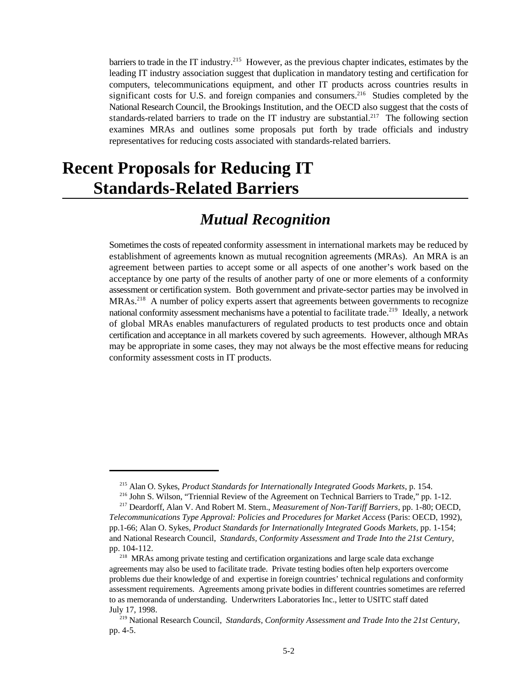barriers to trade in the IT industry.<sup>215</sup> However, as the previous chapter indicates, estimates by the leading IT industry association suggest that duplication in mandatory testing and certification for computers, telecommunications equipment, and other IT products across countries results in significant costs for U.S. and foreign companies and consumers.<sup>216</sup> Studies completed by the National Research Council, the Brookings Institution, and the OECD also suggest that the costs of standards-related barriers to trade on the IT industry are substantial.<sup>217</sup> The following section examines MRAs and outlines some proposals put forth by trade officials and industry representatives for reducing costs associated with standards-related barriers.

## **Recent Proposals for Reducing IT Standards-Related Barriers**

#### *Mutual Recognition*

Sometimes the costs of repeated conformity assessment in international markets may be reduced by establishment of agreements known as mutual recognition agreements (MRAs). An MRA is an agreement between parties to accept some or all aspects of one another's work based on the acceptance by one party of the results of another party of one or more elements of a conformity assessment or certification system. Both government and private-sector parties may be involved in  $MRAs.<sup>218</sup>$  A number of policy experts assert that agreements between governments to recognize national conformity assessment mechanisms have a potential to facilitate trade.<sup>219</sup> Ideally, a network of global MRAs enables manufacturers of regulated products to test products once and obtain certification and acceptance in all markets covered by such agreements. However, although MRAs may be appropriate in some cases, they may not always be the most effective means for reducing conformity assessment costs in IT products.

<sup>&</sup>lt;sup>215</sup> Alan O. Sykes, *Product Standards for Internationally Integrated Goods Markets*, p. 154.

<sup>&</sup>lt;sup>216</sup> John S. Wilson, "Triennial Review of the Agreement on Technical Barriers to Trade," pp. 1-12.

<sup>&</sup>lt;sup>217</sup> Deardorff, Alan V. And Robert M. Stern., *Measurement of Non-Tariff Barriers*, pp. 1-80; OECD, *Telecommunications Type Approval: Policies and Procedures for Market Access* (Paris: OECD, 1992), pp.1-66; Alan O. Sykes, *Product Standards for Internationally Integrated Goods Markets*, pp. 1-154; and National Research Council, *Standards, Conformity Assessment and Trade Into the 21st Century*, pp. 104-112.

<sup>&</sup>lt;sup>218</sup> MRAs among private testing and certification organizations and large scale data exchange agreements may also be used to facilitate trade. Private testing bodies often help exporters overcome problems due their knowledge of and expertise in foreign countries' technical regulations and conformity assessment requirements. Agreements among private bodies in different countries sometimes are referred to as memoranda of understanding. Underwriters Laboratories Inc., letter to USITC staff dated July 17, 1998.

<sup>&</sup>lt;sup>219</sup> National Research Council, *Standards, Conformity Assessment and Trade Into the 21st Century,* pp. 4-5.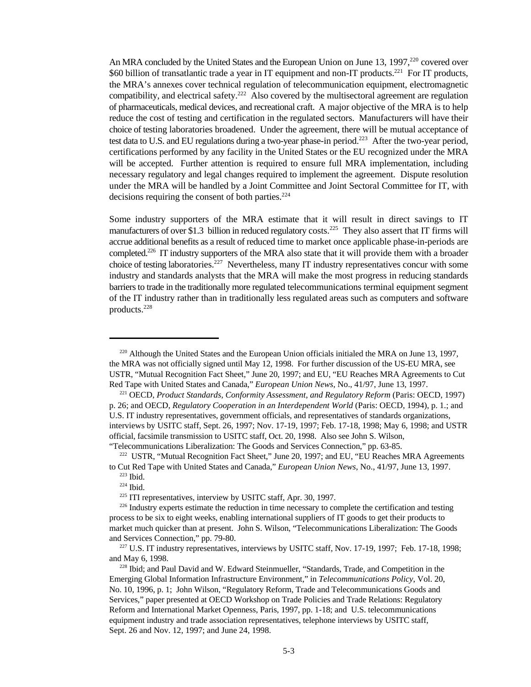An MRA concluded by the United States and the European Union on June 13, 1997,<sup>220</sup> covered over \$60 billion of transatlantic trade a year in IT equipment and non-IT products.<sup>221</sup> For IT products, the MRA's annexes cover technical regulation of telecommunication equipment, electromagnetic compatibility, and electrical safety.<sup>222</sup> Also covered by the multisectoral agreement are regulation of pharmaceuticals, medical devices, and recreational craft. A major objective of the MRA is to help reduce the cost of testing and certification in the regulated sectors. Manufacturers will have their choice of testing laboratories broadened. Under the agreement, there will be mutual acceptance of test data to U.S. and EU regulations during a two-year phase-in period.<sup>223</sup> After the two-year period, certifications performed by any facility in the United States or the EU recognized under the MRA will be accepted. Further attention is required to ensure full MRA implementation, including necessary regulatory and legal changes required to implement the agreement. Dispute resolution under the MRA will be handled by a Joint Committee and Joint Sectoral Committee for IT, with decisions requiring the consent of both parties. $224$ 

Some industry supporters of the MRA estimate that it will result in direct savings to IT manufacturers of over \$1.3 billion in reduced regulatory costs.<sup>225</sup> They also assert that IT firms will accrue additional benefits as a result of reduced time to market once applicable phase-in-periods are completed.<sup>226</sup> IT industry supporters of the MRA also state that it will provide them with a broader choice of testing laboratories.<sup>227</sup> Nevertheless, many IT industry representatives concur with some industry and standards analysts that the MRA will make the most progress in reducing standards barriers to trade in the traditionally more regulated telecommunications terminal equipment segment of the IT industry rather than in traditionally less regulated areas such as computers and software products.228

<sup>&</sup>lt;sup>220</sup> Although the United States and the European Union officials initialed the MRA on June 13, 1997, the MRA was not officially signed until May 12, 1998. For further discussion of the US-EU MRA, see USTR, "Mutual Recognition Fact Sheet," June 20, 1997; and EU, "EU Reaches MRA Agreements to Cut Red Tape with United States and Canada," *European Union News*, No., 41/97, June 13, 1997.

<sup>&</sup>lt;sup>221</sup> OECD, *Product Standards, Conformity Assessment, and Regulatory Reform* (Paris: OECD, 1997) p. 26; and OECD, *Regulatory Cooperation in an Interdependent World* (Paris: OECD, 1994), p. 1.; and U.S. IT industry representatives, government officials, and representatives of standards organizations, interviews by USITC staff, Sept. 26, 1997; Nov. 17-19, 1997; Feb. 17-18, 1998; May 6, 1998; and USTR official, facsimile transmission to USITC staff, Oct. 20, 1998. Also see John S. Wilson, "Telecommunications Liberalization: The Goods and Services Connection," pp. 63-85.

 $222$  USTR, "Mutual Recognition Fact Sheet," June 20, 1997; and EU, "EU Reaches MRA Agreements to Cut Red Tape with United States and Canada," *European Union News*, No., 41/97, June 13, 1997.

 $223$  Ibid.

 $224$  Ibid.

 $225$  ITI representatives, interview by USITC staff, Apr. 30, 1997.

<sup>&</sup>lt;sup>226</sup> Industry experts estimate the reduction in time necessary to complete the certification and testing process to be six to eight weeks, enabling international suppliers of IT goods to get their products to market much quicker than at present. John S. Wilson, "Telecommunications Liberalization: The Goods and Services Connection," pp. 79-80.

 $227$  U.S. IT industry representatives, interviews by USITC staff, Nov. 17-19, 1997; Feb. 17-18, 1998; and May 6, 1998.

 $228$  Ibid; and Paul David and W. Edward Steinmueller, "Standards, Trade, and Competition in the Emerging Global Information Infrastructure Environment," in *Telecommunications Policy*, Vol. 20, No. 10, 1996, p. 1; John Wilson, "Regulatory Reform, Trade and Telecommunications Goods and Services," paper presented at OECD Workshop on Trade Policies and Trade Relations: Regulatory Reform and International Market Openness, Paris, 1997, pp. 1-18; and U.S. telecommunications equipment industry and trade association representatives, telephone interviews by USITC staff, Sept. 26 and Nov. 12, 1997; and June 24, 1998.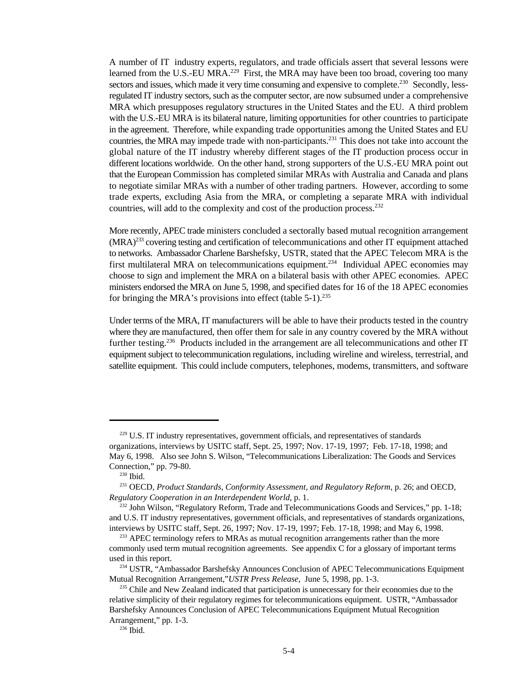A number of IT industry experts, regulators, and trade officials assert that several lessons were learned from the U.S.-EU MRA.<sup>229</sup> First, the MRA may have been too broad, covering too many sectors and issues, which made it very time consuming and expensive to complete.<sup>230</sup> Secondly, lessregulated IT industry sectors, such as the computer sector, are now subsumed under a comprehensive MRA which presupposes regulatory structures in the United States and the EU. A third problem with the U.S.-EU MRA is its bilateral nature, limiting opportunities for other countries to participate in the agreement. Therefore, while expanding trade opportunities among the United States and EU countries, the MRA may impede trade with non-participants.<sup>231</sup> This does not take into account the global nature of the IT industry whereby different stages of the IT production process occur in different locations worldwide. On the other hand, strong supporters of the U.S.-EU MRA point out that the European Commission has completed similar MRAs with Australia and Canada and plans to negotiate similar MRAs with a number of other trading partners. However, according to some trade experts, excluding Asia from the MRA, or completing a separate MRA with individual countries, will add to the complexity and cost of the production process.<sup>232</sup>

More recently, APEC trade ministers concluded a sectorally based mutual recognition arrangement  $(MRA)^{233}$  covering testing and certification of telecommunications and other IT equipment attached to networks. Ambassador Charlene Barshefsky, USTR, stated that the APEC Telecom MRA is the first multilateral MRA on telecommunications equipment.<sup>234</sup> Individual APEC economies may choose to sign and implement the MRA on a bilateral basis with other APEC economies. APEC ministers endorsed the MRA on June 5, 1998, and specified dates for 16 of the 18 APEC economies for bringing the MRA's provisions into effect (table 5-1).<sup>235</sup>

Under terms of the MRA, IT manufacturers will be able to have their products tested in the country where they are manufactured, then offer them for sale in any country covered by the MRA without further testing.<sup>236</sup> Products included in the arrangement are all telecommunications and other IT equipment subject to telecommunication regulations, including wireline and wireless, terrestrial, and satellite equipment. This could include computers, telephones, modems, transmitters, and software

<sup>&</sup>lt;sup>229</sup> U.S. IT industry representatives, government officials, and representatives of standards organizations, interviews by USITC staff, Sept. 25, 1997; Nov. 17-19, 1997; Feb. 17-18, 1998; and May 6, 1998. Also see John S. Wilson, "Telecommunications Liberalization: The Goods and Services Connection," pp. 79-80.

 $230$  Ibid.

<sup>&</sup>lt;sup>231</sup> OECD, *Product Standards, Conformity Assessment, and Regulatory Reform*, p. 26; and OECD, *Regulatory Cooperation in an Interdependent World*, p. 1.

 $232$  John Wilson, "Regulatory Reform, Trade and Telecommunications Goods and Services," pp. 1-18; and U.S. IT industry representatives, government officials, and representatives of standards organizations, interviews by USITC staff, Sept. 26, 1997; Nov. 17-19, 1997; Feb. 17-18, 1998; and May 6, 1998.

<sup>&</sup>lt;sup>233</sup> APEC terminology refers to MRAs as mutual recognition arrangements rather than the more commonly used term mutual recognition agreements. See appendix C for a glossary of important terms used in this report.

<sup>&</sup>lt;sup>234</sup> USTR, "Ambassador Barshefsky Announces Conclusion of APEC Telecommunications Equipment Mutual Recognition Arrangement,"*USTR Press Release*, June 5, 1998, pp. 1-3.

<sup>&</sup>lt;sup>235</sup> Chile and New Zealand indicated that participation is unnecessary for their economies due to the relative simplicity of their regulatory regimes for telecommunications equipment. USTR, "Ambassador Barshefsky Announces Conclusion of APEC Telecommunications Equipment Mutual Recognition Arrangement," pp. 1-3.

 $^{236}$  Ibid.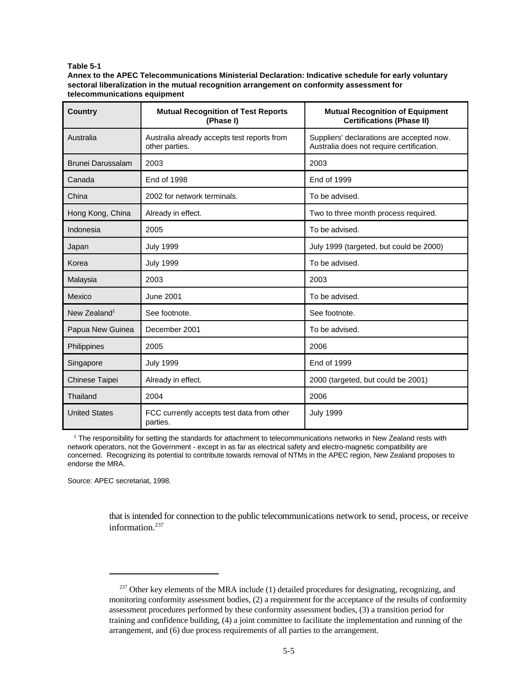#### **Table 5-1**

**Annex to the APEC Telecommunications Ministerial Declaration: Indicative schedule for early voluntary sectoral liberalization in the mutual recognition arrangement on conformity assessment for telecommunications equipment**

| <b>Country</b>           | <b>Mutual Recognition of Test Reports</b><br>(Phase I)        | <b>Mutual Recognition of Equipment</b><br><b>Certifications (Phase II)</b>             |
|--------------------------|---------------------------------------------------------------|----------------------------------------------------------------------------------------|
| Australia                | Australia already accepts test reports from<br>other parties. | Suppliers' declarations are accepted now.<br>Australia does not require certification. |
| <b>Brunei Darussalam</b> | 2003                                                          | 2003                                                                                   |
| Canada                   | <b>End of 1998</b>                                            | <b>End of 1999</b>                                                                     |
| China                    | 2002 for network terminals.                                   | To be advised.                                                                         |
| Hong Kong, China         | Already in effect.                                            | Two to three month process required.                                                   |
| Indonesia                | 2005                                                          | To be advised.                                                                         |
| Japan                    | <b>July 1999</b>                                              | July 1999 (targeted, but could be 2000)                                                |
| Korea                    | <b>July 1999</b>                                              | To be advised.                                                                         |
| Malaysia                 | 2003                                                          | 2003                                                                                   |
| Mexico                   | <b>June 2001</b>                                              | To be advised.                                                                         |
| New Zealand <sup>1</sup> | See footnote.                                                 | See footnote.                                                                          |
| Papua New Guinea         | December 2001                                                 | To be advised.                                                                         |
| Philippines              | 2005                                                          | 2006                                                                                   |
| Singapore                | <b>July 1999</b>                                              | <b>End of 1999</b>                                                                     |
| Chinese Taipei           | Already in effect.                                            | 2000 (targeted, but could be 2001)                                                     |
| Thailand                 | 2004                                                          | 2006                                                                                   |
| <b>United States</b>     | FCC currently accepts test data from other<br>parties.        | <b>July 1999</b>                                                                       |

<sup>1</sup> The responsibility for setting the standards for attachment to telecommunications networks in New Zealand rests with network operators, not the Government - except in as far as electrical safety and electro-magnetic compatibility are concerned. Recognizing its potential to contribute towards removal of NTMs in the APEC region, New Zealand proposes to endorse the MRA.

Source: APEC secretariat, 1998.

that is intended for connection to the public telecommunications network to send, process, or receive information $237$ 

 $237$  Other key elements of the MRA include (1) detailed procedures for designating, recognizing, and monitoring conformity assessment bodies, (2) a requirement for the acceptance of the results of conformity assessment procedures performed by these conformity assessment bodies, (3) a transition period for training and confidence building, (4) a joint committee to facilitate the implementation and running of the arrangement, and (6) due process requirements of all parties to the arrangement.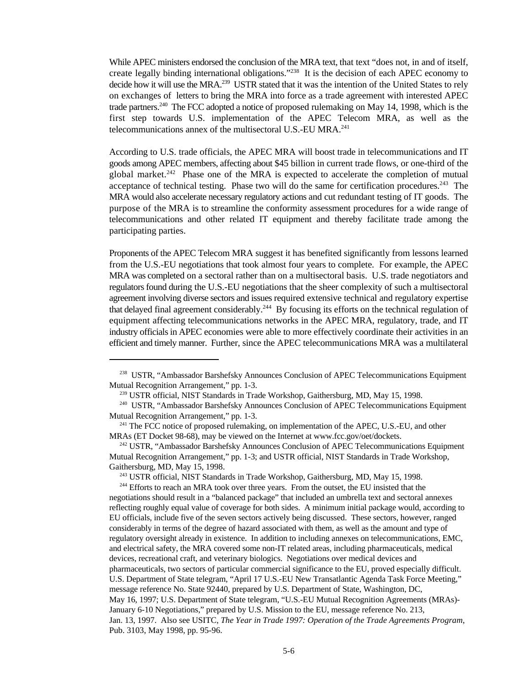While APEC ministers endorsed the conclusion of the MRA text, that text "does not, in and of itself, create legally binding international obligations."<sup>238</sup> It is the decision of each APEC economy to decide how it will use the MRA.<sup>239</sup> USTR stated that it was the intention of the United States to rely on exchanges of letters to bring the MRA into force as a trade agreement with interested APEC trade partners.  $240$  The FCC adopted a notice of proposed rulemaking on May 14, 1998, which is the first step towards U.S. implementation of the APEC Telecom MRA, as well as the telecommunications annex of the multisectoral U.S.-EU MRA.<sup>241</sup>

According to U.S. trade officials, the APEC MRA will boost trade in telecommunications and IT goods among APEC members, affecting about \$45 billion in current trade flows, or one-third of the global market.<sup>242</sup> Phase one of the MRA is expected to accelerate the completion of mutual acceptance of technical testing. Phase two will do the same for certification procedures.<sup>243</sup> The MRA would also accelerate necessary regulatory actions and cut redundant testing of IT goods. The purpose of the MRA is to streamline the conformity assessment procedures for a wide range of telecommunications and other related IT equipment and thereby facilitate trade among the participating parties.

Proponents of the APEC Telecom MRA suggest it has benefited significantly from lessons learned from the U.S.-EU negotiations that took almost four years to complete. For example, the APEC MRA was completed on a sectoral rather than on a multisectoral basis. U.S. trade negotiators and regulators found during the U.S.-EU negotiations that the sheer complexity of such a multisectoral agreement involving diverse sectors and issues required extensive technical and regulatory expertise that delayed final agreement considerably.<sup>244</sup> By focusing its efforts on the technical regulation of equipment affecting telecommunications networks in the APEC MRA, regulatory, trade, and IT industry officials in APEC economies were able to more effectively coordinate their activities in an efficient and timely manner. Further, since the APEC telecommunications MRA was a multilateral

 $244$  Efforts to reach an MRA took over three years. From the outset, the EU insisted that the negotiations should result in a "balanced package" that included an umbrella text and sectoral annexes reflecting roughly equal value of coverage for both sides. A minimum initial package would, according to EU officials, include five of the seven sectors actively being discussed. These sectors, however, ranged considerably in terms of the degree of hazard associated with them, as well as the amount and type of regulatory oversight already in existence. In addition to including annexes on telecommunications, EMC, and electrical safety, the MRA covered some non-IT related areas, including pharmaceuticals, medical devices, recreational craft, and veterinary biologics. Negotiations over medical devices and pharmaceuticals, two sectors of particular commercial significance to the EU, proved especially difficult. U.S. Department of State telegram, "April 17 U.S.-EU New Transatlantic Agenda Task Force Meeting," message reference No. State 92440, prepared by U.S. Department of State, Washington, DC, May 16, 1997; U.S. Department of State telegram, "U.S.-EU Mutual Recognition Agreements (MRAs)- January 6-10 Negotiations," prepared by U.S. Mission to the EU, message reference No. 213, Jan. 13, 1997. Also see USITC, *The Year in Trade 1997: Operation of the Trade Agreements Program*, Pub. 3103, May 1998, pp. 95-96.

<sup>&</sup>lt;sup>238</sup> USTR, "Ambassador Barshefsky Announces Conclusion of APEC Telecommunications Equipment Mutual Recognition Arrangement," pp. 1-3.

<sup>&</sup>lt;sup>239</sup> USTR official, NIST Standards in Trade Workshop, Gaithersburg, MD, May 15, 1998.

<sup>&</sup>lt;sup>240</sup> USTR, "Ambassador Barshefsky Announces Conclusion of APEC Telecommunications Equipment Mutual Recognition Arrangement," pp. 1-3.

 $241$  The FCC notice of proposed rulemaking, on implementation of the APEC, U.S.-EU, and other MRAs (ET Docket 98-68), may be viewed on the Internet at www.fcc.gov/oet/dockets.

<sup>&</sup>lt;sup>242</sup> USTR, "Ambassador Barshefsky Announces Conclusion of APEC Telecommunications Equipment Mutual Recognition Arrangement," pp. 1-3; and USTR official, NIST Standards in Trade Workshop, Gaithersburg, MD, May 15, 1998.

<sup>&</sup>lt;sup>243</sup> USTR official, NIST Standards in Trade Workshop, Gaithersburg, MD, May 15, 1998.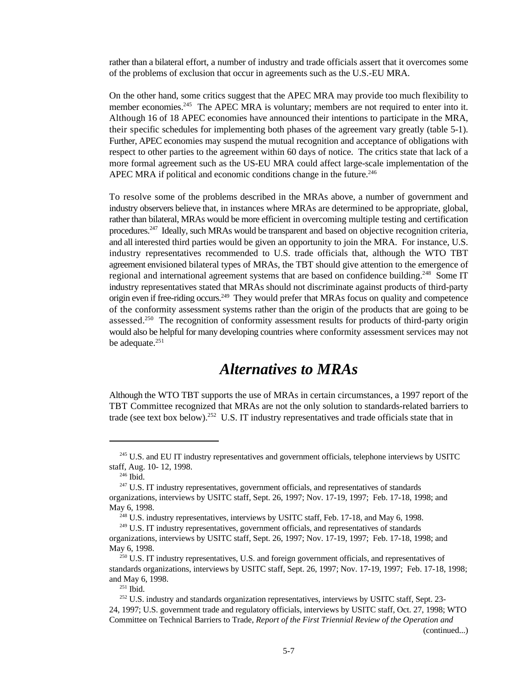rather than a bilateral effort, a number of industry and trade officials assert that it overcomes some of the problems of exclusion that occur in agreements such as the U.S.-EU MRA.

On the other hand, some critics suggest that the APEC MRA may provide too much flexibility to member economies.<sup>245</sup> The APEC MRA is voluntary; members are not required to enter into it. Although 16 of 18 APEC economies have announced their intentions to participate in the MRA, their specific schedules for implementing both phases of the agreement vary greatly (table 5-1). Further, APEC economies may suspend the mutual recognition and acceptance of obligations with respect to other parties to the agreement within 60 days of notice. The critics state that lack of a more formal agreement such as the US-EU MRA could affect large-scale implementation of the APEC MRA if political and economic conditions change in the future.<sup>246</sup>

To resolve some of the problems described in the MRAs above, a number of government and industry observers believe that, in instances where MRAs are determined to be appropriate, global, rather than bilateral, MRAs would be more efficient in overcoming multiple testing and certification procedures.<sup>247</sup> Ideally, such MRAs would be transparent and based on objective recognition criteria, and all interested third parties would be given an opportunity to join the MRA. For instance, U.S. industry representatives recommended to U.S. trade officials that, although the WTO TBT agreement envisioned bilateral types of MRAs, the TBT should give attention to the emergence of regional and international agreement systems that are based on confidence building.<sup>248</sup> Some IT industry representatives stated that MRAs should not discriminate against products of third-party origin even if free-riding occurs.<sup>249</sup> They would prefer that MRAs focus on quality and competence of the conformity assessment systems rather than the origin of the products that are going to be assessed.<sup>250</sup> The recognition of conformity assessment results for products of third-party origin would also be helpful for many developing countries where conformity assessment services may not be adequate.<sup>251</sup>

### *Alternatives to MRAs*

Although the WTO TBT supports the use of MRAs in certain circumstances, a 1997 report of the TBT Committee recognized that MRAs are not the only solution to standards-related barriers to trade (see text box below).<sup>252</sup> U.S. IT industry representatives and trade officials state that in

(continued...)

<sup>&</sup>lt;sup>245</sup> U.S. and EU IT industry representatives and government officials, telephone interviews by USITC staff, Aug. 10- 12, 1998.

 $246$  Ibid.

 $247$  U.S. IT industry representatives, government officials, and representatives of standards organizations, interviews by USITC staff, Sept. 26, 1997; Nov. 17-19, 1997; Feb. 17-18, 1998; and May 6, 1998.

 $^{248}$  U.S. industry representatives, interviews by USITC staff, Feb. 17-18, and May 6, 1998.

<sup>&</sup>lt;sup>249</sup> U.S. IT industry representatives, government officials, and representatives of standards

organizations, interviews by USITC staff, Sept. 26, 1997; Nov. 17-19, 1997; Feb. 17-18, 1998; and May 6, 1998.

 $250$  U.S. IT industry representatives, U.S. and foreign government officials, and representatives of standards organizations, interviews by USITC staff, Sept. 26, 1997; Nov. 17-19, 1997; Feb. 17-18, 1998; and May 6, 1998.

 $^{251}$  Ibid.

 $252$  U.S. industry and standards organization representatives, interviews by USITC staff, Sept. 23-24, 1997; U.S. government trade and regulatory officials, interviews by USITC staff, Oct. 27, 1998; WTO Committee on Technical Barriers to Trade, *Report of the First Triennial Review of the Operation and*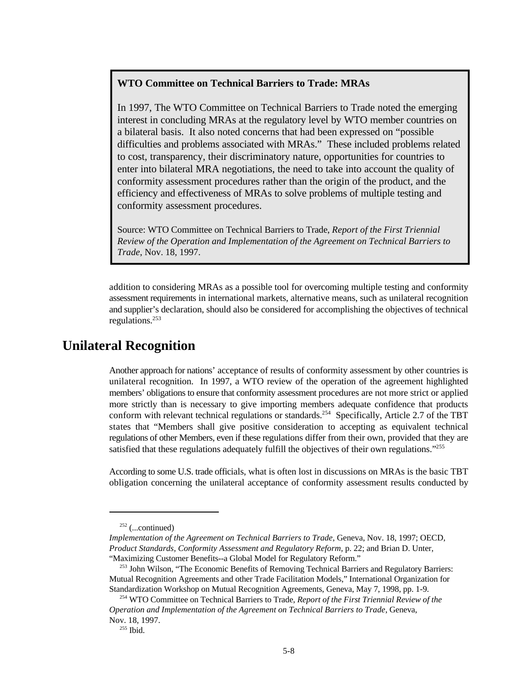#### **WTO Committee on Technical Barriers to Trade: MRAs**

In 1997, The WTO Committee on Technical Barriers to Trade noted the emerging interest in concluding MRAs at the regulatory level by WTO member countries on a bilateral basis. It also noted concerns that had been expressed on "possible difficulties and problems associated with MRAs." These included problems related to cost, transparency, their discriminatory nature, opportunities for countries to enter into bilateral MRA negotiations, the need to take into account the quality of conformity assessment procedures rather than the origin of the product, and the efficiency and effectiveness of MRAs to solve problems of multiple testing and conformity assessment procedures.

Source: WTO Committee on Technical Barriers to Trade, *Report of the First Triennial Review of the Operation and Implementation of the Agreement on Technical Barriers to Trade*, Nov. 18, 1997.

addition to considering MRAs as a possible tool for overcoming multiple testing and conformity assessment requirements in international markets, alternative means, such as unilateral recognition and supplier's declaration, should also be considered for accomplishing the objectives of technical regulations.<sup>253</sup>

#### **Unilateral Recognition**

Another approach for nations' acceptance of results of conformity assessment by other countries is unilateral recognition. In 1997, a WTO review of the operation of the agreement highlighted members' obligations to ensure that conformity assessment procedures are not more strict or applied more strictly than is necessary to give importing members adequate confidence that products conform with relevant technical regulations or standards.<sup>254</sup> Specifically, Article 2.7 of the TBT states that "Members shall give positive consideration to accepting as equivalent technical regulations of other Members, even if these regulations differ from their own, provided that they are satisfied that these regulations adequately fulfill the objectives of their own regulations."<sup>255</sup>

According to some U.S. trade officials, what is often lost in discussions on MRAs is the basic TBT obligation concerning the unilateral acceptance of conformity assessment results conducted by

 $252$  (...continued)

*Implementation of the Agreement on Technical Barriers to Trade*, Geneva, Nov. 18, 1997; OECD, *Product Standards, Conformity Assessment and Regulatory Reform,* p. 22; and Brian D. Unter, "Maximizing Customer Benefits--a Global Model for Regulatory Reform."

<sup>&</sup>lt;sup>253</sup> John Wilson, "The Economic Benefits of Removing Technical Barriers and Regulatory Barriers: Mutual Recognition Agreements and other Trade Facilitation Models," International Organization for Standardization Workshop on Mutual Recognition Agreements, Geneva, May 7, 1998, pp. 1-9.

<sup>&</sup>lt;sup>254</sup> WTO Committee on Technical Barriers to Trade, *Report of the First Triennial Review of the Operation and Implementation of the Agreement on Technical Barriers to Trade*, Geneva, Nov. 18, 1997.

 $^{255}$  Ibid.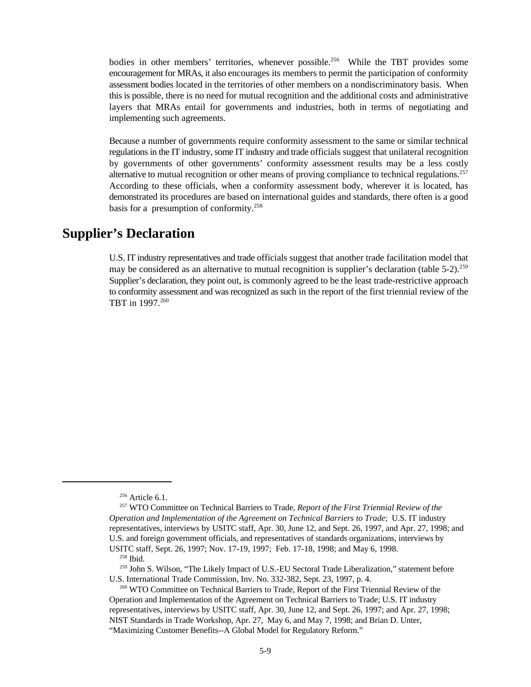bodies in other members' territories, whenever possible.<sup>256</sup> While the TBT provides some encouragement for MRAs, it also encourages its members to permit the participation of conformity assessment bodies located in the territories of other members on a nondiscriminatory basis. When this is possible, there is no need for mutual recognition and the additional costs and administrative layers that MRAs entail for governments and industries, both in terms of negotiating and implementing such agreements.

Because a number of governments require conformity assessment to the same or similar technical regulations in the IT industry, some IT industry and trade officials suggest that unilateral recognition by governments of other governments' conformity assessment results may be a less costly alternative to mutual recognition or other means of proving compliance to technical regulations.<sup>257</sup> According to these officials, when a conformity assessment body, wherever it is located, has demonstrated its procedures are based on international guides and standards, there often is a good basis for a presumption of conformity.<sup>258</sup>

#### **Supplier's Declaration**

U.S. IT industry representatives and trade officials suggest that another trade facilitation model that may be considered as an alternative to mutual recognition is supplier's declaration (table  $5-2$ ).<sup>259</sup> Supplier's declaration, they point out, is commonly agreed to be the least trade-restrictive approach to conformity assessment and was recognized as such in the report of the first triennial review of the TBT in 1997.<sup>260</sup>

<sup>259</sup> John S. Wilson, "The Likely Impact of U.S.-EU Sectoral Trade Liberalization," statement before U.S. International Trade Commission, Inv. No. 332-382, Sept. 23, 1997, p. 4.

 $256$  Article 6.1.

<sup>&</sup>lt;sup>257</sup> WTO Committee on Technical Barriers to Trade, *Report of the First Triennial Review of the Operation and Implementation of the Agreement on Technical Barriers to Trade*; U.S. IT industry representatives, interviews by USITC staff, Apr. 30, June 12, and Sept. 26, 1997, and Apr. 27, 1998; and U.S. and foreign government officials, and representatives of standards organizations, interviews by USITC staff, Sept. 26, 1997; Nov. 17-19, 1997; Feb. 17-18, 1998; and May 6, 1998.

 $258$  Ibid.

<sup>&</sup>lt;sup>260</sup> WTO Committee on Technical Barriers to Trade, Report of the First Triennial Review of the Operation and Implementation of the Agreement on Technical Barriers to Trade; U.S. IT industry representatives, interviews by USITC staff, Apr. 30, June 12, and Sept. 26, 1997; and Apr. 27, 1998; NIST Standards in Trade Workshop, Apr. 27, May 6, and May 7, 1998; and Brian D. Unter, "Maximizing Customer Benefits--A Global Model for Regulatory Reform."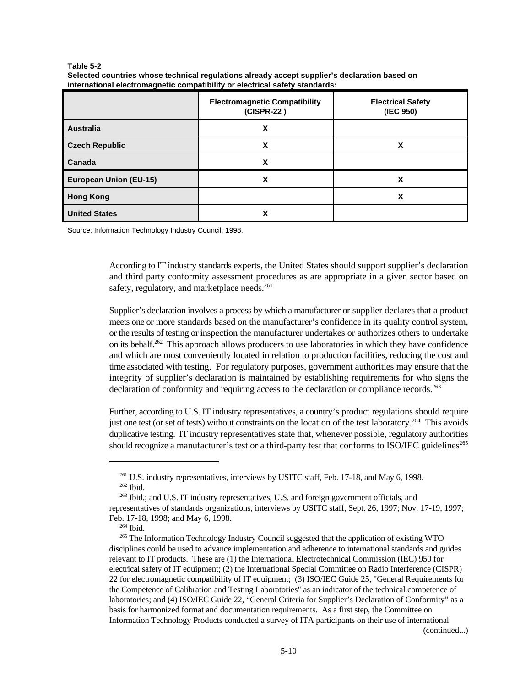|                               | <b>Electromagnetic Compatibility</b><br>(CISPR-22) | <b>Electrical Safety</b><br>(IEC 950) |
|-------------------------------|----------------------------------------------------|---------------------------------------|
| <b>Australia</b>              | x                                                  |                                       |
| <b>Czech Republic</b>         | χ                                                  | χ                                     |
| Canada                        | χ                                                  |                                       |
| <b>European Union (EU-15)</b> | χ                                                  | χ                                     |
| <b>Hong Kong</b>              |                                                    | χ                                     |
| <b>United States</b>          | х                                                  |                                       |

**Table 5-2 Selected countries whose technical regulations already accept supplier's declaration based on international electromagnetic compatibility or electrical safety standards:** 

Source: Information Technology Industry Council, 1998.

According to IT industry standards experts, the United States should support supplier's declaration and third party conformity assessment procedures as are appropriate in a given sector based on safety, regulatory, and marketplace needs.<sup>261</sup>

Supplier's declaration involves a process by which a manufacturer or supplier declares that a product meets one or more standards based on the manufacturer's confidence in its quality control system, or the results of testing or inspection the manufacturer undertakes or authorizes others to undertake on its behalf.<sup>262</sup> This approach allows producers to use laboratories in which they have confidence and which are most conveniently located in relation to production facilities, reducing the cost and time associated with testing. For regulatory purposes, government authorities may ensure that the integrity of supplier's declaration is maintained by establishing requirements for who signs the declaration of conformity and requiring access to the declaration or compliance records.<sup>263</sup>

Further, according to U.S. IT industry representatives, a country's product regulations should require just one test (or set of tests) without constraints on the location of the test laboratory.<sup>264</sup> This avoids duplicative testing. IT industry representatives state that, whenever possible, regulatory authorities should recognize a manufacturer's test or a third-party test that conforms to ISO/IEC guidelines<sup>265</sup>

(continued...)

<sup>&</sup>lt;sup>261</sup> U.S. industry representatives, interviews by USITC staff, Feb. 17-18, and May 6, 1998.  $262$  Ibid.

 $^{263}$  Ibid.; and U.S. IT industry representatives, U.S. and foreign government officials, and representatives of standards organizations, interviews by USITC staff, Sept. 26, 1997; Nov. 17-19, 1997; Feb. 17-18, 1998; and May 6, 1998.

 $264$  Ibid.

<sup>&</sup>lt;sup>265</sup> The Information Technology Industry Council suggested that the application of existing WTO disciplines could be used to advance implementation and adherence to international standards and guides relevant to IT products. These are (1) the International Electrotechnical Commission (IEC) 950 for electrical safety of IT equipment; (2) the International Special Committee on Radio Interference (CISPR) 22 for electromagnetic compatibility of IT equipment; (3) ISO/IEC Guide 25, "General Requirements for the Competence of Calibration and Testing Laboratories" as an indicator of the technical competence of laboratories; and (4) ISO/IEC Guide 22, "General Criteria for Supplier's Declaration of Conformity" as a basis for harmonized format and documentation requirements. As a first step, the Committee on Information Technology Products conducted a survey of ITA participants on their use of international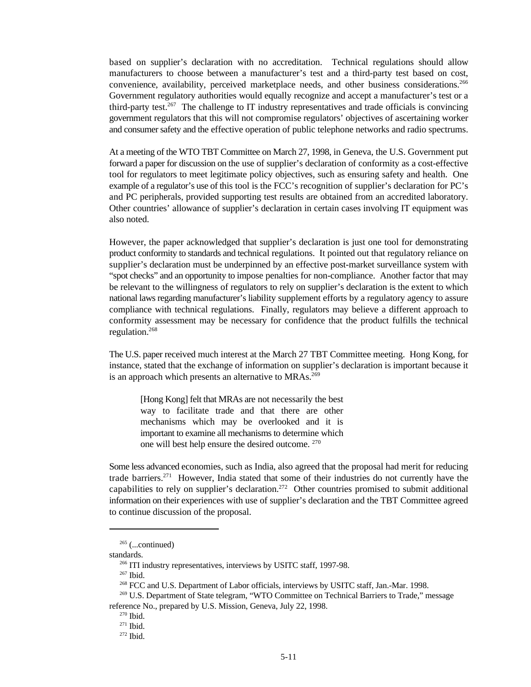based on supplier's declaration with no accreditation. Technical regulations should allow manufacturers to choose between a manufacturer's test and a third-party test based on cost, convenience, availability, perceived marketplace needs, and other business considerations.<sup>266</sup> Government regulatory authorities would equally recognize and accept a manufacturer's test or a third-party test.<sup>267</sup> The challenge to IT industry representatives and trade officials is convincing government regulators that this will not compromise regulators' objectives of ascertaining worker and consumer safety and the effective operation of public telephone networks and radio spectrums.

At a meeting of the WTO TBT Committee on March 27, 1998, in Geneva, the U.S. Government put forward a paper for discussion on the use of supplier's declaration of conformity as a cost-effective tool for regulators to meet legitimate policy objectives, such as ensuring safety and health. One example of a regulator's use of this tool is the FCC's recognition of supplier's declaration for PC's and PC peripherals, provided supporting test results are obtained from an accredited laboratory. Other countries' allowance of supplier's declaration in certain cases involving IT equipment was also noted.

However, the paper acknowledged that supplier's declaration is just one tool for demonstrating product conformity to standards and technical regulations. It pointed out that regulatory reliance on supplier's declaration must be underpinned by an effective post-market surveillance system with "spot checks" and an opportunity to impose penalties for non-compliance. Another factor that may be relevant to the willingness of regulators to rely on supplier's declaration is the extent to which national laws regarding manufacturer's liability supplement efforts by a regulatory agency to assure compliance with technical regulations. Finally, regulators may believe a different approach to conformity assessment may be necessary for confidence that the product fulfills the technical regulation. 268

The U.S. paper received much interest at the March 27 TBT Committee meeting. Hong Kong, for instance, stated that the exchange of information on supplier's declaration is important because it is an approach which presents an alternative to MRAs.<sup>269</sup>

[Hong Kong] felt that MRAs are not necessarily the best way to facilitate trade and that there are other mechanisms which may be overlooked and it is important to examine all mechanisms to determine which one will best help ensure the desired outcome. <sup>270</sup>

Some less advanced economies, such as India, also agreed that the proposal had merit for reducing trade barriers.<sup>271</sup> However, India stated that some of their industries do not currently have the capabilities to rely on supplier's declaration.<sup>272</sup> Other countries promised to submit additional information on their experiences with use of supplier's declaration and the TBT Committee agreed to continue discussion of the proposal.

 $265$  (...continued)

standards.

 $266$  ITI industry representatives, interviews by USITC staff, 1997-98.

 $267$  Ibid.

<sup>&</sup>lt;sup>268</sup> FCC and U.S. Department of Labor officials, interviews by USITC staff, Jan.-Mar. 1998.

<sup>&</sup>lt;sup>269</sup> U.S. Department of State telegram, "WTO Committee on Technical Barriers to Trade," message reference No., prepared by U.S. Mission, Geneva, July 22, 1998.

 $270$  Ibid.

 $271$  Ibid.

 $272$  Ibid.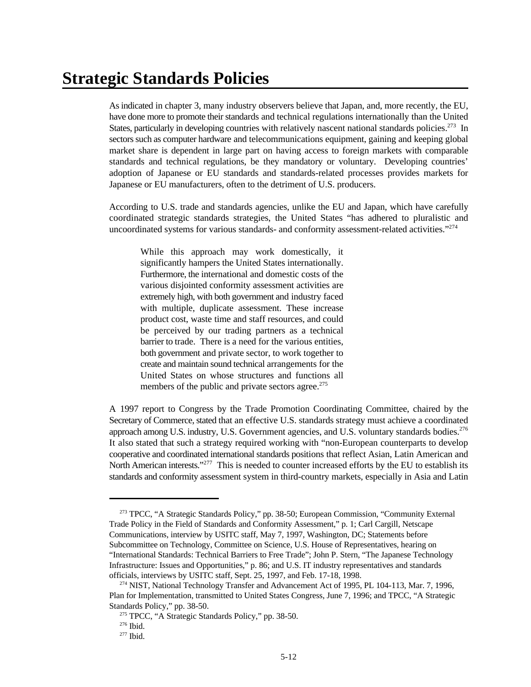## **Strategic Standards Policies**

As indicated in chapter 3, many industry observers believe that Japan, and, more recently, the EU, have done more to promote their standards and technical regulations internationally than the United States, particularly in developing countries with relatively nascent national standards policies.<sup>273</sup> In sectors such as computer hardware and telecommunications equipment, gaining and keeping global market share is dependent in large part on having access to foreign markets with comparable standards and technical regulations, be they mandatory or voluntary. Developing countries' adoption of Japanese or EU standards and standards-related processes provides markets for Japanese or EU manufacturers, often to the detriment of U.S. producers.

According to U.S. trade and standards agencies, unlike the EU and Japan, which have carefully coordinated strategic standards strategies, the United States "has adhered to pluralistic and uncoordinated systems for various standards- and conformity assessment-related activities."<sup>274</sup>

While this approach may work domestically, it significantly hampers the United States internationally. Furthermore, the international and domestic costs of the various disjointed conformity assessment activities are extremely high, with both government and industry faced with multiple, duplicate assessment. These increase product cost, waste time and staff resources, and could be perceived by our trading partners as a technical barrier to trade. There is a need for the various entities, both government and private sector, to work together to create and maintain sound technical arrangements for the United States on whose structures and functions all members of the public and private sectors agree. $275$ 

A 1997 report to Congress by the Trade Promotion Coordinating Committee, chaired by the Secretary of Commerce, stated that an effective U.S. standards strategy must achieve a coordinated approach among U.S. industry, U.S. Government agencies, and U.S. voluntary standards bodies.<sup>276</sup> It also stated that such a strategy required working with "non-European counterparts to develop cooperative and coordinated international standards positions that reflect Asian, Latin American and North American interests."<sup>277</sup> This is needed to counter increased efforts by the EU to establish its standards and conformity assessment system in third-country markets, especially in Asia and Latin

<sup>&</sup>lt;sup>273</sup> TPCC, "A Strategic Standards Policy," pp. 38-50; European Commission, "Community External Trade Policy in the Field of Standards and Conformity Assessment," p. 1; Carl Cargill, Netscape Communications, interview by USITC staff, May 7, 1997, Washington, DC; Statements before Subcommittee on Technology, Committee on Science, U.S. House of Representatives, hearing on "International Standards: Technical Barriers to Free Trade"; John P. Stern, "The Japanese Technology Infrastructure: Issues and Opportunities," p. 86; and U.S. IT industry representatives and standards officials, interviews by USITC staff, Sept. 25, 1997, and Feb. 17-18, 1998.

 $1274$  NIST, National Technology Transfer and Advancement Act of 1995, PL 104-113, Mar. 7, 1996, Plan for Implementation, transmitted to United States Congress, June 7, 1996; and TPCC, "A Strategic Standards Policy," pp. 38-50.

<sup>&</sup>lt;sup>275</sup> TPCC, "A Strategic Standards Policy," pp. 38-50.

 $276$  Ibid.

 $277$  Ibid.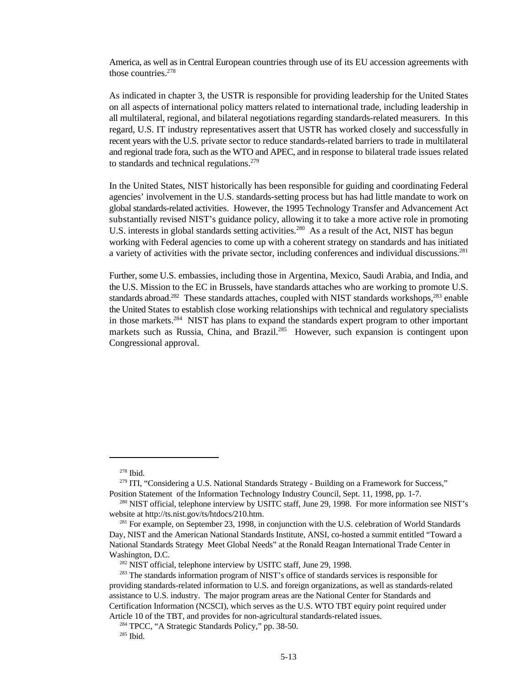America, as well as in Central European countries through use of its EU accession agreements with those countries. 278

As indicated in chapter 3, the USTR is responsible for providing leadership for the United States on all aspects of international policy matters related to international trade, including leadership in all multilateral, regional, and bilateral negotiations regarding standards-related measurers. In this regard, U.S. IT industry representatives assert that USTR has worked closely and successfully in recent years with the U.S. private sector to reduce standards-related barriers to trade in multilateral and regional trade fora, such as the WTO and APEC, and in response to bilateral trade issues related to standards and technical regulations.<sup>279</sup>

In the United States, NIST historically has been responsible for guiding and coordinating Federal agencies' involvement in the U.S. standards-setting process but has had little mandate to work on global standards-related activities. However, the 1995 Technology Transfer and Advancement Act substantially revised NIST's guidance policy, allowing it to take a more active role in promoting U.S. interests in global standards setting activities.<sup>280</sup> As a result of the Act, NIST has begun working with Federal agencies to come up with a coherent strategy on standards and has initiated a variety of activities with the private sector, including conferences and individual discussions.<sup>281</sup>

Further, some U.S. embassies, including those in Argentina, Mexico, Saudi Arabia, and India, and the U.S. Mission to the EC in Brussels, have standards attaches who are working to promote U.S. standards abroad.<sup>282</sup> These standards attaches, coupled with NIST standards workshops, $283$  enable the United States to establish close working relationships with technical and regulatory specialists in those markets.<sup>284</sup> NIST has plans to expand the standards expert program to other important markets such as Russia, China, and Brazil.<sup>285</sup> However, such expansion is contingent upon Congressional approval.

 $^{278}$  Ibid.

 $279$  ITI, "Considering a U.S. National Standards Strategy - Building on a Framework for Success," Position Statement of the Information Technology Industry Council, Sept. 11, 1998, pp. 1-7.

 $^{280}$  NIST official, telephone interview by USITC staff, June 29, 1998. For more information see NIST's website at http://ts.nist.gov/ts/htdocs/210.htm.

<sup>&</sup>lt;sup>281</sup> For example, on September 23, 1998, in conjunction with the U.S. celebration of World Standards Day, NIST and the American National Standards Institute, ANSI, co-hosted a summit entitled "Toward a National Standards Strategy Meet Global Needs" at the Ronald Reagan International Trade Center in Washington, D.C.

<sup>&</sup>lt;sup>282</sup> NIST official, telephone interview by USITC staff, June 29, 1998.

<sup>&</sup>lt;sup>283</sup> The standards information program of NIST's office of standards services is responsible for providing standards-related information to U.S. and foreign organizations, as well as standards-related assistance to U.S. industry. The major program areas are the National Center for Standards and Certification Information (NCSCI), which serves as the U.S. WTO TBT equiry point required under Article 10 of the TBT, and provides for non-agricultural standards-related issues.

<sup>&</sup>lt;sup>284</sup> TPCC, "A Strategic Standards Policy," pp. 38-50.

 $285$  Ibid.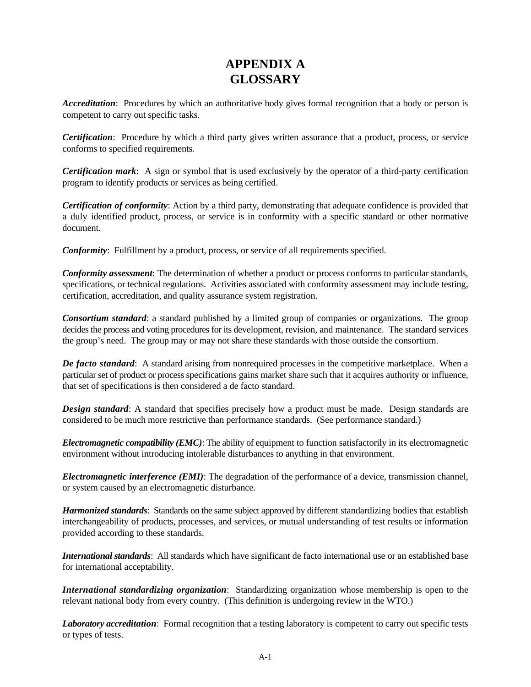#### **APPENDIX A GLOSSARY**

*Accreditation*: Procedures by which an authoritative body gives formal recognition that a body or person is competent to carry out specific tasks.

*Certification*: Procedure by which a third party gives written assurance that a product, process, or service conforms to specified requirements.

*Certification mark*: A sign or symbol that is used exclusively by the operator of a third-party certification program to identify products or services as being certified.

*Certification of conformity*: Action by a third party, demonstrating that adequate confidence is provided that a duly identified product, process, or service is in conformity with a specific standard or other normative document.

*Conformity*: Fulfillment by a product, process, or service of all requirements specified.

*Conformity assessment*: The determination of whether a product or process conforms to particular standards, specifications, or technical regulations. Activities associated with conformity assessment may include testing, certification, accreditation, and quality assurance system registration.

*Consortium standard*: a standard published by a limited group of companies or organizations. The group decides the process and voting procedures for its development, revision, and maintenance. The standard services the group's need. The group may or may not share these standards with those outside the consortium.

*De facto standard*: A standard arising from nonrequired processes in the competitive marketplace. When a particular set of product or process specifications gains market share such that it acquires authority or influence, that set of specifications is then considered a de facto standard.

**Design standard**: A standard that specifies precisely how a product must be made. Design standards are considered to be much more restrictive than performance standards. (See performance standard.)

*Electromagnetic compatibility (EMC)*: The ability of equipment to function satisfactorily in its electromagnetic environment without introducing intolerable disturbances to anything in that environment.

*Electromagnetic interference (EMI)*: The degradation of the performance of a device, transmission channel, or system caused by an electromagnetic disturbance.

*Harmonized standards*: Standards on the same subject approved by different standardizing bodies that establish interchangeability of products, processes, and services, or mutual understanding of test results or information provided according to these standards.

*International standards*: All standards which have significant de facto international use or an established base for international acceptability.

*International standardizing organization*: Standardizing organization whose membership is open to the relevant national body from every country. (This definition is undergoing review in the WTO.)

*Laboratory accreditation*: Formal recognition that a testing laboratory is competent to carry out specific tests or types of tests.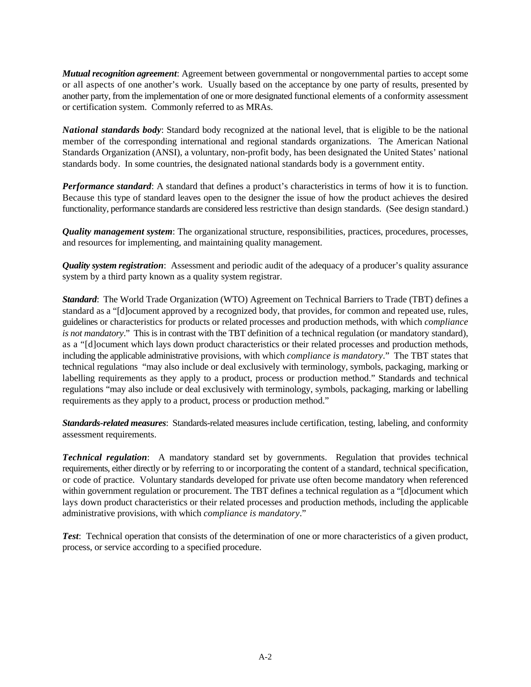*Mutual recognition agreement*: Agreement between governmental or nongovernmental parties to accept some or all aspects of one another's work. Usually based on the acceptance by one party of results, presented by another party, from the implementation of one or more designated functional elements of a conformity assessment or certification system. Commonly referred to as MRAs.

*National standards body*: Standard body recognized at the national level, that is eligible to be the national member of the corresponding international and regional standards organizations. The American National Standards Organization (ANSI), a voluntary, non-profit body, has been designated the United States' national standards body. In some countries, the designated national standards body is a government entity.

*Performance standard*: A standard that defines a product's characteristics in terms of how it is to function. Because this type of standard leaves open to the designer the issue of how the product achieves the desired functionality, performance standards are considered less restrictive than design standards. (See design standard.)

*Quality management system*: The organizational structure, responsibilities, practices, procedures, processes, and resources for implementing, and maintaining quality management.

*Quality system registration*: Assessment and periodic audit of the adequacy of a producer's quality assurance system by a third party known as a quality system registrar.

*Standard*: The World Trade Organization (WTO) Agreement on Technical Barriers to Trade (TBT) defines a standard as a "[d]ocument approved by a recognized body, that provides, for common and repeated use, rules, guidelines or characteristics for products or related processes and production methods, with which *compliance is not mandatory*." This is in contrast with the TBT definition of a technical regulation (or mandatory standard), as a "[d]ocument which lays down product characteristics or their related processes and production methods, including the applicable administrative provisions, with which *compliance is mandatory*." The TBT states that technical regulations "may also include or deal exclusively with terminology, symbols, packaging, marking or labelling requirements as they apply to a product, process or production method." Standards and technical regulations "may also include or deal exclusively with terminology, symbols, packaging, marking or labelling requirements as they apply to a product, process or production method."

*Standards-related measures*: Standards-related measures include certification, testing, labeling, and conformity assessment requirements.

*Technical regulation*: A mandatory standard set by governments. Regulation that provides technical requirements, either directly or by referring to or incorporating the content of a standard, technical specification, or code of practice. Voluntary standards developed for private use often become mandatory when referenced within government regulation or procurement. The TBT defines a technical regulation as a "[d]ocument which lays down product characteristics or their related processes and production methods, including the applicable administrative provisions, with which *compliance is mandatory*."

*Test*: Technical operation that consists of the determination of one or more characteristics of a given product, process, or service according to a specified procedure.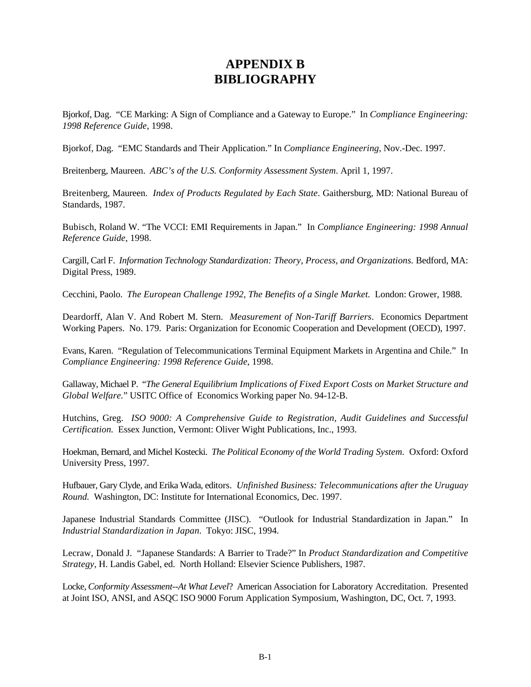#### **APPENDIX B BIBLIOGRAPHY**

Bjorkof, Dag. "CE Marking: A Sign of Compliance and a Gateway to Europe." In *Compliance Engineering: 1998 Reference Guide*, 1998.

Bjorkof, Dag. "EMC Standards and Their Application." In *Compliance Engineering,* Nov.-Dec. 1997.

Breitenberg, Maureen. *ABC's of the U.S. Conformity Assessment System*. April 1, 1997.

Breitenberg, Maureen. *Index of Products Regulated by Each State*. Gaithersburg, MD: National Bureau of Standards, 1987.

Bubisch, Roland W. "The VCCI: EMI Requirements in Japan." In *Compliance Engineering: 1998 Annual Reference Guide*, 1998.

Cargill, Carl F. *Information Technology Standardization: Theory, Process, and Organizations.* Bedford, MA: Digital Press, 1989.

Cecchini, Paolo. *The European Challenge 1992, The Benefits of a Single Market.* London: Grower, 1988.

Deardorff, Alan V. And Robert M. Stern. *Measurement of Non-Tariff Barriers*. Economics Department Working Papers. No. 179. Paris: Organization for Economic Cooperation and Development (OECD), 1997.

Evans, Karen. "Regulation of Telecommunications Terminal Equipment Markets in Argentina and Chile." In *Compliance Engineering: 1998 Reference Guide*, 1998.

Gallaway, Michael P. "*The General Equilibrium Implications of Fixed Export Costs on Market Structure and Global Welfare.*" USITC Office of Economics Working paper No. 94-12-B.

Hutchins, Greg. *ISO 9000: A Comprehensive Guide to Registration, Audit Guidelines and Successful Certification.* Essex Junction, Vermont: Oliver Wight Publications, Inc., 1993.

Hoekman, Bernard, and Michel Kostecki. *The Political Economy of the World Trading System*. Oxford: Oxford University Press, 1997.

Hufbauer, Gary Clyde, and Erika Wada, editors. *Unfinished Business: Telecommunications after the Uruguay Round.* Washington, DC: Institute for International Economics, Dec. 1997.

Japanese Industrial Standards Committee (JISC). "Outlook for Industrial Standardization in Japan." In *Industrial Standardization in Japan*. Tokyo: JISC, 1994.

Lecraw, Donald J. "Japanese Standards: A Barrier to Trade?" In *Product Standardization and Competitive Strategy*, H. Landis Gabel, ed. North Holland: Elsevier Science Publishers, 1987.

Locke, *Conformity Assessment--At What Level*? American Association for Laboratory Accreditation. Presented at Joint ISO, ANSI, and ASQC ISO 9000 Forum Application Symposium, Washington, DC, Oct. 7, 1993.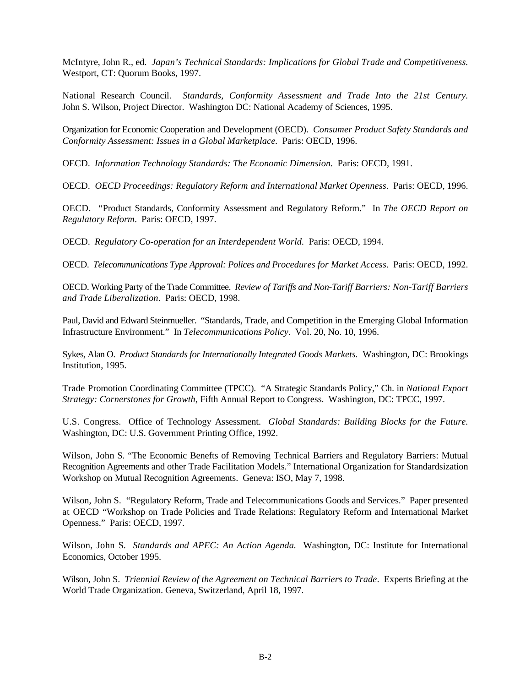McIntyre, John R., ed. *Japan's Technical Standards: Implications for Global Trade and Competitiveness.* Westport, CT: Quorum Books, 1997.

National Research Council. *Standards, Conformity Assessment and Trade Into the 21st Century.* John S. Wilson, Project Director. Washington DC: National Academy of Sciences, 1995.

Organization for Economic Cooperation and Development (OECD). *Consumer Product Safety Standards and Conformity Assessment: Issues in a Global Marketplace.* Paris: OECD, 1996.

OECD. *Information Technology Standards: The Economic Dimension.* Paris: OECD, 1991.

OECD. *OECD Proceedings: Regulatory Reform and International Market Openness*. Paris: OECD, 1996.

OECD. *"*Product Standards, Conformity Assessment and Regulatory Reform." In *The OECD Report on Regulatory Reform*. Paris: OECD, 1997.

OECD. *Regulatory Co-operation for an Interdependent World.* Paris: OECD, 1994.

OECD. *Telecommunications Type Approval: Polices and Procedures for Market Access*. Paris: OECD, 1992.

OECD. Working Party of the Trade Committee. *Review of Tariffs and Non-Tariff Barriers: Non-Tariff Barriers and Trade Liberalization*. Paris: OECD, 1998.

Paul, David and Edward Steinmueller. "Standards, Trade, and Competition in the Emerging Global Information Infrastructure Environment." In *Telecommunications Policy*. Vol. 20, No. 10, 1996.

Sykes, Alan O. *Product Standards for Internationally Integrated Goods Markets.* Washington, DC: Brookings Institution, 1995.

Trade Promotion Coordinating Committee (TPCC). "A Strategic Standards Policy," Ch. in *National Export Strategy: Cornerstones for Growth,* Fifth Annual Report to Congress.Washington, DC: TPCC, 1997.

U.S. Congress. Office of Technology Assessment. *Global Standards: Building Blocks for the Future.* Washington, DC: U.S. Government Printing Office, 1992.

Wilson, John S. "The Economic Benefts of Removing Technical Barriers and Regulatory Barriers: Mutual Recognition Agreements and other Trade Facilitation Models." International Organization for Standardsization Workshop on Mutual Recognition Agreements. Geneva: ISO, May 7, 1998.

Wilson, John S. "Regulatory Reform, Trade and Telecommunications Goods and Services." Paper presented at OECD "Workshop on Trade Policies and Trade Relations: Regulatory Reform and International Market Openness." Paris: OECD, 1997.

Wilson, John S. *Standards and APEC: An Action Agenda.* Washington, DC: Institute for International Economics, October 1995.

Wilson, John S. *Triennial Review of the Agreement on Technical Barriers to Trade*. Experts Briefing at the World Trade Organization. Geneva, Switzerland, April 18, 1997.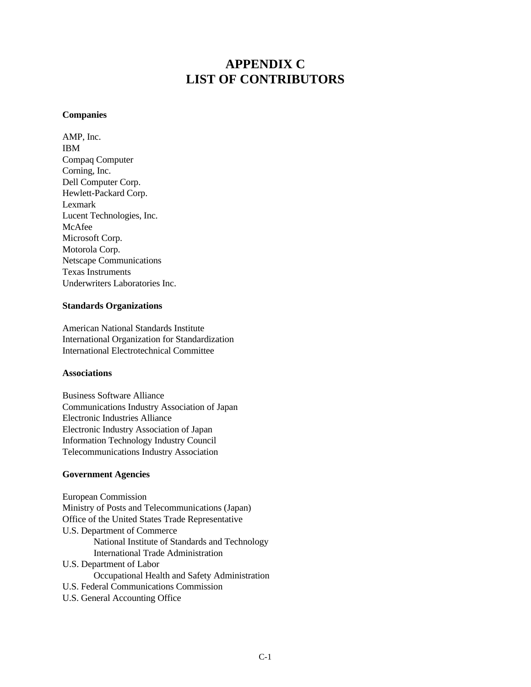#### **APPENDIX C LIST OF CONTRIBUTORS**

#### **Companies**

AMP, Inc. IBM Compaq Computer Corning, Inc. Dell Computer Corp. Hewlett-Packard Corp. Lexmark Lucent Technologies, Inc. McAfee Microsoft Corp. Motorola Corp. Netscape Communications Texas Instruments Underwriters Laboratories Inc.

#### **Standards Organizations**

American National Standards Institute International Organization for Standardization International Electrotechnical Committee

#### **Associations**

Business Software Alliance Communications Industry Association of Japan Electronic Industries Alliance Electronic Industry Association of Japan Information Technology Industry Council Telecommunications Industry Association

#### **Government Agencies**

European Commission Ministry of Posts and Telecommunications (Japan) Office of the United States Trade Representative U.S. Department of Commerce National Institute of Standards and Technology International Trade Administration U.S. Department of Labor Occupational Health and Safety Administration U.S. Federal Communications Commission U.S. General Accounting Office